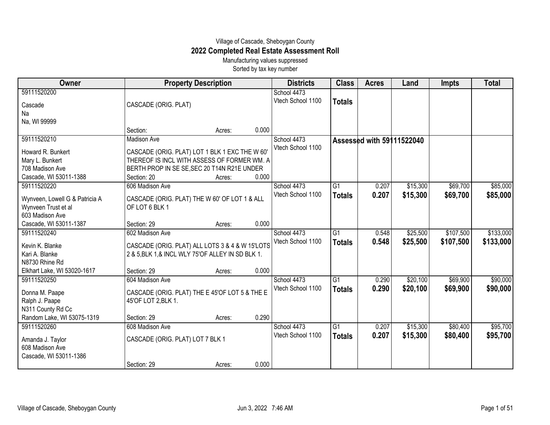## Village of Cascade, Sheboygan County **2022 Completed Real Estate Assessment Roll**

Manufacturing values suppressed Sorted by tax key number

| Owner                               | <b>Property Description</b>                        |        |       | <b>Districts</b>  | <b>Class</b>    | <b>Acres</b>              | Land     | <b>Impts</b> | <b>Total</b> |
|-------------------------------------|----------------------------------------------------|--------|-------|-------------------|-----------------|---------------------------|----------|--------------|--------------|
| 59111520200                         |                                                    |        |       | School 4473       |                 |                           |          |              |              |
| Cascade                             | CASCADE (ORIG. PLAT)                               |        |       | Vtech School 1100 | <b>Totals</b>   |                           |          |              |              |
| Na                                  |                                                    |        |       |                   |                 |                           |          |              |              |
| Na, WI 99999                        |                                                    |        |       |                   |                 |                           |          |              |              |
|                                     | Section:                                           | Acres: | 0.000 |                   |                 |                           |          |              |              |
| 59111520210                         | Madison Ave                                        |        |       | School 4473       |                 | Assessed with 59111522040 |          |              |              |
| Howard R. Bunkert                   | CASCADE (ORIG. PLAT) LOT 1 BLK 1 EXC THE W 60'     |        |       | Vtech School 1100 |                 |                           |          |              |              |
| Mary L. Bunkert                     | THEREOF IS INCL WITH ASSESS OF FORMER WM. A        |        |       |                   |                 |                           |          |              |              |
| 708 Madison Ave                     | BERTH PROP IN SE SE, SEC 20 T14N R21E UNDER        |        |       |                   |                 |                           |          |              |              |
| Cascade, WI 53011-1388              | Section: 20                                        | Acres: | 0.000 |                   |                 |                           |          |              |              |
| 59111520220                         | 606 Madison Ave                                    |        |       | School 4473       | $\overline{G1}$ | 0.207                     | \$15,300 | \$69,700     | \$85,000     |
| Wynveen, Lowell G & Patricia A      | CASCADE (ORIG. PLAT) THE W 60' OF LOT 1 & ALL      |        |       | Vtech School 1100 | <b>Totals</b>   | 0.207                     | \$15,300 | \$69,700     | \$85,000     |
| Wynveen Trust et al                 | OF LOT 6 BLK 1                                     |        |       |                   |                 |                           |          |              |              |
| 603 Madison Ave                     |                                                    |        |       |                   |                 |                           |          |              |              |
| Cascade, WI 53011-1387              | Section: 29                                        | Acres: | 0.000 |                   |                 |                           |          |              |              |
| 59111520240                         | 602 Madison Ave                                    |        |       | School 4473       | G1              | 0.548                     | \$25,500 | \$107,500    | \$133,000    |
| Kevin K. Blanke                     | CASCADE (ORIG. PLAT) ALL LOTS 3 & 4 & W 15'LOTS    |        |       | Vtech School 1100 | <b>Totals</b>   | 0.548                     | \$25,500 | \$107,500    | \$133,000    |
| Kari A. Blanke                      | 2 & 5, BLK 1, & INCL WLY 75' OF ALLEY IN SD BLK 1. |        |       |                   |                 |                           |          |              |              |
| N8730 Rhine Rd                      |                                                    |        |       |                   |                 |                           |          |              |              |
| Elkhart Lake, WI 53020-1617         | Section: 29                                        | Acres: | 0.000 |                   |                 |                           |          |              |              |
| 59111520250                         | 604 Madison Ave                                    |        |       | School 4473       | G <sub>1</sub>  | 0.290                     | \$20,100 | \$69,900     | \$90,000     |
|                                     |                                                    |        |       | Vtech School 1100 | <b>Totals</b>   | 0.290                     | \$20,100 | \$69,900     | \$90,000     |
| Donna M. Paape                      | CASCADE (ORIG. PLAT) THE E 45'OF LOT 5 & THE E     |        |       |                   |                 |                           |          |              |              |
| Ralph J. Paape<br>N311 County Rd Cc | 45'OF LOT 2, BLK 1.                                |        |       |                   |                 |                           |          |              |              |
| Random Lake, WI 53075-1319          | Section: 29                                        | Acres: | 0.290 |                   |                 |                           |          |              |              |
| 59111520260                         | 608 Madison Ave                                    |        |       | School 4473       | G <sub>1</sub>  | 0.207                     | \$15,300 | \$80,400     | \$95,700     |
|                                     |                                                    |        |       | Vtech School 1100 | <b>Totals</b>   | 0.207                     | \$15,300 | \$80,400     | \$95,700     |
| Amanda J. Taylor                    | CASCADE (ORIG. PLAT) LOT 7 BLK 1                   |        |       |                   |                 |                           |          |              |              |
| 608 Madison Ave                     |                                                    |        |       |                   |                 |                           |          |              |              |
| Cascade, WI 53011-1386              |                                                    |        | 0.000 |                   |                 |                           |          |              |              |
|                                     | Section: 29                                        | Acres: |       |                   |                 |                           |          |              |              |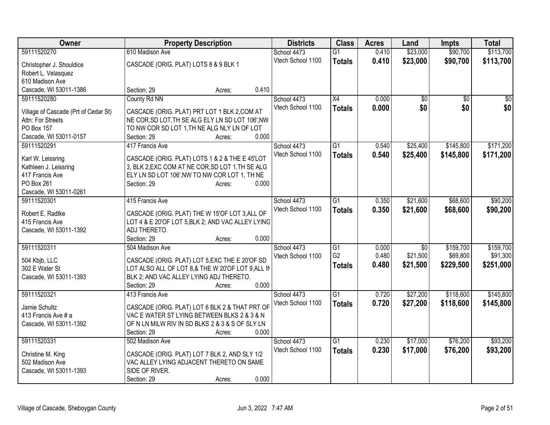| Owner                                                     | <b>Property Description</b>                       | <b>Districts</b>  | <b>Class</b>    | <b>Acres</b> | Land        | <b>Impts</b> | <b>Total</b>    |
|-----------------------------------------------------------|---------------------------------------------------|-------------------|-----------------|--------------|-------------|--------------|-----------------|
| 59111520270                                               | 610 Madison Ave                                   | School 4473       | $\overline{G1}$ | 0.410        | \$23,000    | \$90,700     | \$113,700       |
| Christopher J. Shouldice                                  | CASCADE (ORIG. PLAT) LOTS 8 & 9 BLK 1             | Vtech School 1100 | <b>Totals</b>   | 0.410        | \$23,000    | \$90,700     | \$113,700       |
| Robert L. Velasquez                                       |                                                   |                   |                 |              |             |              |                 |
| 610 Madison Ave                                           |                                                   |                   |                 |              |             |              |                 |
| Cascade, WI 53011-1386                                    | 0.410<br>Section: 29<br>Acres:                    |                   |                 |              |             |              |                 |
| 59111520280                                               | County Rd NN                                      | School 4473       | X4              | 0.000        | \$0         | \$0          | $\overline{50}$ |
|                                                           | CASCADE (ORIG. PLAT) PRT LOT 1 BLK 2, COM AT      | Vtech School 1100 | <b>Totals</b>   | 0.000        | \$0         | \$0          | \$0             |
| Village of Cascade (Prt of Cedar St)<br>Attn: For Streets | NE COR, SD LOT, TH SE ALG ELY LN SD LOT 106', NW  |                   |                 |              |             |              |                 |
| PO Box 157                                                | TO NW COR SD LOT 1, TH NE ALG NLY LN OF LOT       |                   |                 |              |             |              |                 |
| Cascade, WI 53011-0157                                    | 0.000<br>Section: 29<br>Acres:                    |                   |                 |              |             |              |                 |
| 59111520291                                               | 417 Francis Ave                                   | School 4473       | $\overline{G1}$ | 0.540        | \$25,400    | \$145,800    | \$171,200       |
|                                                           |                                                   | Vtech School 1100 | <b>Totals</b>   | 0.540        | \$25,400    | \$145,800    | \$171,200       |
| Karl W. Leissring                                         | CASCADE (ORIG. PLAT) LOTS 1 & 2 & THE E 45'LOT    |                   |                 |              |             |              |                 |
| Kathleen J. Leissring                                     | 3, BLK 2, EXC COM AT NE COR, SD LOT 1, TH SE ALG  |                   |                 |              |             |              |                 |
| 417 Francis Ave                                           | ELY LN SD LOT 106', NW TO NW COR LOT 1, TH NE     |                   |                 |              |             |              |                 |
| PO Box 261                                                | 0.000<br>Section: 29<br>Acres:                    |                   |                 |              |             |              |                 |
| Cascade, WI 53011-0261<br>59111520301                     | 415 Francis Ave                                   | School 4473       | $\overline{G1}$ | 0.350        | \$21,600    | \$68,600     | \$90,200        |
|                                                           |                                                   | Vtech School 1100 |                 |              |             |              |                 |
| Robert E. Radtke                                          | CASCADE (ORIG. PLAT) THE W 15'OF LOT 3, ALL OF    |                   | <b>Totals</b>   | 0.350        | \$21,600    | \$68,600     | \$90,200        |
| 415 Francis Ave                                           | LOT 4 & E 20'OF LOT 5, BLK 2; AND VAC ALLEY LYING |                   |                 |              |             |              |                 |
| Cascade, WI 53011-1392                                    | ADJ THERETO.                                      |                   |                 |              |             |              |                 |
|                                                           | 0.000<br>Section: 29<br>Acres:                    |                   |                 |              |             |              |                 |
| 59111520311                                               | 504 Madison Ave                                   | School 4473       | G1              | 0.000        | $\sqrt{30}$ | \$159,700    | \$159,700       |
| 504 Kbjb, LLC                                             | CASCADE (ORIG. PLAT) LOT 5, EXC THE E 20'OF SD    | Vtech School 1100 | G <sub>2</sub>  | 0.480        | \$21,500    | \$69,800     | \$91,300        |
| 302 E Water St                                            | LOT ALSO ALL OF LOT 8,& THE W 20'OF LOT 9, ALL IN |                   | <b>Totals</b>   | 0.480        | \$21,500    | \$229,500    | \$251,000       |
| Cascade, WI 53011-1393                                    | BLK 2; AND VAC ALLEY LYING ADJ THERETO.           |                   |                 |              |             |              |                 |
|                                                           | 0.000<br>Section: 29<br>Acres:                    |                   |                 |              |             |              |                 |
| 59111520321                                               | 413 Francis Ave                                   | School 4473       | $\overline{G1}$ | 0.720        | \$27,200    | \$118,600    | \$145,800       |
| Jamie Schultz                                             | CASCADE (ORIG. PLAT) LOT 6 BLK 2 & THAT PRT OF    | Vtech School 1100 | <b>Totals</b>   | 0.720        | \$27,200    | \$118,600    | \$145,800       |
| 413 Francis Ave # a                                       | VAC E WATER ST LYING BETWEEN BLKS 2 & 3 & N       |                   |                 |              |             |              |                 |
| Cascade, WI 53011-1392                                    | OF N LN MILW RIV IN SD BLKS 2 & 3 & S OF SLY LN   |                   |                 |              |             |              |                 |
|                                                           | 0.000<br>Section: 29<br>Acres:                    |                   |                 |              |             |              |                 |
| 59111520331                                               | 502 Madison Ave                                   | School 4473       | $\overline{G1}$ | 0.230        | \$17,000    | \$76,200     | \$93,200        |
|                                                           |                                                   | Vtech School 1100 | <b>Totals</b>   | 0.230        | \$17,000    | \$76,200     | \$93,200        |
| Christine M. King                                         | CASCADE (ORIG. PLAT) LOT 7 BLK 2, AND SLY 1/2     |                   |                 |              |             |              |                 |
| 502 Madison Ave                                           | VAC ALLEY LYING ADJACENT THERETO ON SAME          |                   |                 |              |             |              |                 |
| Cascade, WI 53011-1393                                    | SIDE OF RIVER.<br>0.000                           |                   |                 |              |             |              |                 |
|                                                           | Section: 29<br>Acres:                             |                   |                 |              |             |              |                 |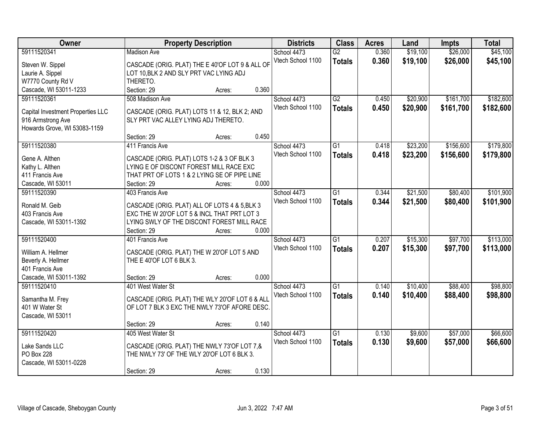| Owner                             | <b>Property Description</b>                                                                  | <b>Districts</b> | <b>Class</b>      | <b>Acres</b>    | Land  | <b>Impts</b> | <b>Total</b> |           |
|-----------------------------------|----------------------------------------------------------------------------------------------|------------------|-------------------|-----------------|-------|--------------|--------------|-----------|
| 59111520341                       | <b>Madison Ave</b>                                                                           |                  | School 4473       | $\overline{G2}$ | 0.360 | \$19,100     | \$26,000     | \$45,100  |
| Steven W. Sippel                  | CASCADE (ORIG. PLAT) THE E 40'OF LOT 9 & ALL OF                                              |                  | Vtech School 1100 | <b>Totals</b>   | 0.360 | \$19,100     | \$26,000     | \$45,100  |
| Laurie A. Sippel                  | LOT 10, BLK 2 AND SLY PRT VAC LYING ADJ                                                      |                  |                   |                 |       |              |              |           |
| W7770 County Rd V                 | THERETO.                                                                                     |                  |                   |                 |       |              |              |           |
| Cascade, WI 53011-1233            | Section: 29<br>Acres:                                                                        | 0.360            |                   |                 |       |              |              |           |
| 59111520361                       | 508 Madison Ave                                                                              |                  | School 4473       | $\overline{G2}$ | 0.450 | \$20,900     | \$161,700    | \$182,600 |
|                                   |                                                                                              |                  | Vtech School 1100 | <b>Totals</b>   | 0.450 | \$20,900     | \$161,700    | \$182,600 |
| Capital Investment Properties LLC | CASCADE (ORIG. PLAT) LOTS 11 & 12, BLK 2; AND                                                |                  |                   |                 |       |              |              |           |
| 916 Armstrong Ave                 | SLY PRT VAC ALLEY LYING ADJ THERETO.                                                         |                  |                   |                 |       |              |              |           |
| Howards Grove, WI 53083-1159      |                                                                                              |                  |                   |                 |       |              |              |           |
|                                   | Section: 29<br>Acres:                                                                        | 0.450            |                   |                 |       |              |              |           |
| 59111520380                       | 411 Francis Ave                                                                              |                  | School 4473       | G1              | 0.418 | \$23,200     | \$156,600    | \$179,800 |
| Gene A. Althen                    | CASCADE (ORIG. PLAT) LOTS 1-2 & 3 OF BLK 3                                                   |                  | Vtech School 1100 | <b>Totals</b>   | 0.418 | \$23,200     | \$156,600    | \$179,800 |
| Kathy L. Althen                   | LYING E OF DISCONT FOREST MILL RACE EXC                                                      |                  |                   |                 |       |              |              |           |
| 411 Francis Ave                   | THAT PRT OF LOTS 1 & 2 LYING SE OF PIPE LINE                                                 |                  |                   |                 |       |              |              |           |
| Cascade, WI 53011                 | Section: 29<br>Acres:                                                                        | 0.000            |                   |                 |       |              |              |           |
| 59111520390                       | 403 Francis Ave                                                                              |                  | School 4473       | G1              | 0.344 | \$21,500     | \$80,400     | \$101,900 |
| Ronald M. Geib                    |                                                                                              |                  | Vtech School 1100 | <b>Totals</b>   | 0.344 | \$21,500     | \$80,400     | \$101,900 |
| 403 Francis Ave                   | CASCADE (ORIG. PLAT) ALL OF LOTS 4 & 5, BLK 3<br>EXC THE W 20'OF LOT 5 & INCL THAT PRT LOT 3 |                  |                   |                 |       |              |              |           |
| Cascade, WI 53011-1392            | LYING SWLY OF THE DISCONT FOREST MILL RACE                                                   |                  |                   |                 |       |              |              |           |
|                                   | Section: 29<br>Acres:                                                                        | 0.000            |                   |                 |       |              |              |           |
| 59111520400                       | 401 Francis Ave                                                                              |                  | School 4473       | $\overline{G1}$ | 0.207 | \$15,300     | \$97,700     | \$113,000 |
|                                   |                                                                                              |                  | Vtech School 1100 | <b>Totals</b>   | 0.207 | \$15,300     | \$97,700     | \$113,000 |
| William A. Hellmer                | CASCADE (ORIG. PLAT) THE W 20'OF LOT 5 AND                                                   |                  |                   |                 |       |              |              |           |
| Beverly A. Hellmer                | THE E 40'OF LOT 6 BLK 3.                                                                     |                  |                   |                 |       |              |              |           |
| 401 Francis Ave                   |                                                                                              |                  |                   |                 |       |              |              |           |
| Cascade, WI 53011-1392            | Section: 29<br>Acres:                                                                        | 0.000            |                   |                 |       |              |              |           |
| 59111520410                       | 401 West Water St                                                                            |                  | School 4473       | $\overline{G1}$ | 0.140 | \$10,400     | \$88,400     | \$98,800  |
| Samantha M. Frey                  | CASCADE (ORIG. PLAT) THE WLY 20'OF LOT 6 & ALL                                               |                  | Vtech School 1100 | <b>Totals</b>   | 0.140 | \$10,400     | \$88,400     | \$98,800  |
| 401 W Water St                    | OF LOT 7 BLK 3 EXC THE NWLY 73'OF AFORE DESC.                                                |                  |                   |                 |       |              |              |           |
| Cascade, WI 53011                 |                                                                                              |                  |                   |                 |       |              |              |           |
|                                   | Section: 29<br>Acres:                                                                        | 0.140            |                   |                 |       |              |              |           |
| 59111520420                       | 405 West Water St                                                                            |                  | School 4473       | $\overline{G1}$ | 0.130 | \$9,600      | \$57,000     | \$66,600  |
|                                   |                                                                                              |                  | Vtech School 1100 | <b>Totals</b>   | 0.130 | \$9,600      | \$57,000     | \$66,600  |
| Lake Sands LLC                    | CASCADE (ORIG. PLAT) THE NWLY 73'OF LOT 7,&                                                  |                  |                   |                 |       |              |              |           |
| PO Box 228                        | THE NWLY 73' OF THE WLY 20'OF LOT 6 BLK 3.                                                   |                  |                   |                 |       |              |              |           |
| Cascade, WI 53011-0228            |                                                                                              |                  |                   |                 |       |              |              |           |
|                                   | Section: 29<br>Acres:                                                                        | 0.130            |                   |                 |       |              |              |           |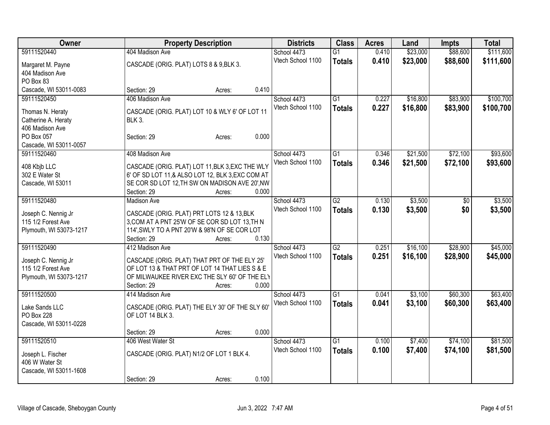| Owner                   | <b>Property Description</b>                            | <b>Districts</b>  | <b>Class</b>    | <b>Acres</b> | Land     | Impts    | <b>Total</b> |
|-------------------------|--------------------------------------------------------|-------------------|-----------------|--------------|----------|----------|--------------|
| 59111520440             | 404 Madison Ave                                        | School 4473       | $\overline{G1}$ | 0.410        | \$23,000 | \$88,600 | \$111,600    |
| Margaret M. Payne       | CASCADE (ORIG. PLAT) LOTS 8 & 9, BLK 3.                | Vtech School 1100 | <b>Totals</b>   | 0.410        | \$23,000 | \$88,600 | \$111,600    |
| 404 Madison Ave         |                                                        |                   |                 |              |          |          |              |
| PO Box 83               |                                                        |                   |                 |              |          |          |              |
| Cascade, WI 53011-0083  | 0.410<br>Section: 29<br>Acres:                         |                   |                 |              |          |          |              |
| 59111520450             | 406 Madison Ave                                        | School 4473       | G1              | 0.227        | \$16,800 | \$83,900 | \$100,700    |
|                         |                                                        | Vtech School 1100 | <b>Totals</b>   | 0.227        | \$16,800 | \$83,900 | \$100,700    |
| Thomas N. Heraty        | CASCADE (ORIG. PLAT) LOT 10 & WLY 6' OF LOT 11         |                   |                 |              |          |          |              |
| Catherine A. Heraty     | <b>BLK 3.</b>                                          |                   |                 |              |          |          |              |
| 406 Madison Ave         |                                                        |                   |                 |              |          |          |              |
| PO Box 057              | 0.000<br>Section: 29<br>Acres:                         |                   |                 |              |          |          |              |
| Cascade, WI 53011-0057  |                                                        |                   |                 |              |          |          |              |
| 59111520460             | 408 Madison Ave                                        | School 4473       | $\overline{G1}$ | 0.346        | \$21,500 | \$72,100 | \$93,600     |
| 408 Kbjb LLC            | CASCADE (ORIG. PLAT) LOT 11, BLK 3, EXC THE WLY        | Vtech School 1100 | <b>Totals</b>   | 0.346        | \$21,500 | \$72,100 | \$93,600     |
| 302 E Water St          | 6' OF SD LOT 11,& ALSO LOT 12, BLK 3, EXC COM AT       |                   |                 |              |          |          |              |
| Cascade, WI 53011       | SE COR SD LOT 12, TH SW ON MADISON AVE 20', NW         |                   |                 |              |          |          |              |
|                         | 0.000<br>Section: 29<br>Acres:                         |                   |                 |              |          |          |              |
| 59111520480             | <b>Madison Ave</b>                                     | School 4473       | G2              | 0.130        | \$3,500  | \$0      | \$3,500      |
|                         |                                                        | Vtech School 1100 | <b>Totals</b>   | 0.130        | \$3,500  | \$0      | \$3,500      |
| Joseph C. Nennig Jr     | CASCADE (ORIG. PLAT) PRT LOTS 12 & 13, BLK             |                   |                 |              |          |          |              |
| 115 1/2 Forest Ave      | 3, COM AT A PNT 25'W OF SE COR SD LOT 13, TH N         |                   |                 |              |          |          |              |
| Plymouth, WI 53073-1217 | 114', SWLY TO A PNT 20'W & 98'N OF SE COR LOT<br>0.130 |                   |                 |              |          |          |              |
| 59111520490             | Section: 29<br>Acres:<br>412 Madison Ave               | School 4473       | $\overline{G2}$ | 0.251        | \$16,100 | \$28,900 | \$45,000     |
|                         |                                                        | Vtech School 1100 |                 |              |          |          |              |
| Joseph C. Nennig Jr     | CASCADE (ORIG. PLAT) THAT PRT OF THE ELY 25'           |                   | <b>Totals</b>   | 0.251        | \$16,100 | \$28,900 | \$45,000     |
| 115 1/2 Forest Ave      | OF LOT 13 & THAT PRT OF LOT 14 THAT LIES S & E         |                   |                 |              |          |          |              |
| Plymouth, WI 53073-1217 | OF MILWAUKEE RIVER EXC THE SLY 60' OF THE ELY          |                   |                 |              |          |          |              |
|                         | 0.000<br>Section: 29<br>Acres:                         |                   |                 |              |          |          |              |
| 59111520500             | 414 Madison Ave                                        | School 4473       | $\overline{G1}$ | 0.041        | \$3,100  | \$60,300 | \$63,400     |
| Lake Sands LLC          | CASCADE (ORIG. PLAT) THE ELY 30' OF THE SLY 60'        | Vtech School 1100 | <b>Totals</b>   | 0.041        | \$3,100  | \$60,300 | \$63,400     |
| PO Box 228              | OF LOT 14 BLK 3.                                       |                   |                 |              |          |          |              |
| Cascade, WI 53011-0228  |                                                        |                   |                 |              |          |          |              |
|                         | 0.000<br>Section: 29<br>Acres:                         |                   |                 |              |          |          |              |
| 59111520510             | 406 West Water St                                      | School 4473       | $\overline{G1}$ | 0.100        | \$7,400  | \$74,100 | \$81,500     |
|                         |                                                        | Vtech School 1100 | <b>Totals</b>   | 0.100        | \$7,400  | \$74,100 | \$81,500     |
| Joseph L. Fischer       | CASCADE (ORIG. PLAT) N1/2 OF LOT 1 BLK 4.              |                   |                 |              |          |          |              |
| 406 W Water St          |                                                        |                   |                 |              |          |          |              |
| Cascade, WI 53011-1608  |                                                        |                   |                 |              |          |          |              |
|                         | 0.100<br>Section: 29<br>Acres:                         |                   |                 |              |          |          |              |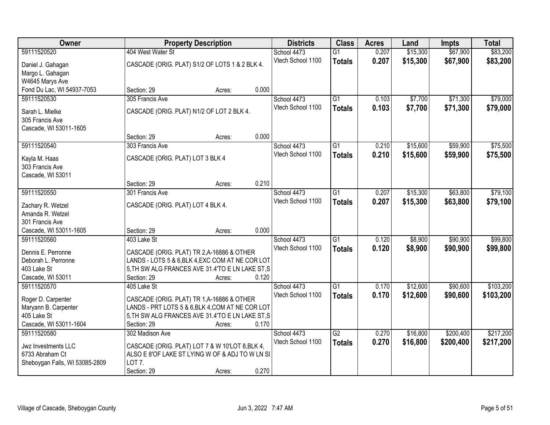| Owner                               |                                                                                                | <b>Property Description</b> |       |                   | <b>Class</b>    | <b>Acres</b> | Land     | <b>Impts</b> | <b>Total</b> |
|-------------------------------------|------------------------------------------------------------------------------------------------|-----------------------------|-------|-------------------|-----------------|--------------|----------|--------------|--------------|
| 59111520520                         | 404 West Water St                                                                              |                             |       | School 4473       | $\overline{G1}$ | 0.207        | \$15,300 | \$67,900     | \$83,200     |
| Daniel J. Gahagan                   | CASCADE (ORIG. PLAT) S1/2 OF LOTS 1 & 2 BLK 4.                                                 |                             |       | Vtech School 1100 | <b>Totals</b>   | 0.207        | \$15,300 | \$67,900     | \$83,200     |
| Margo L. Gahagan                    |                                                                                                |                             |       |                   |                 |              |          |              |              |
| W4645 Marys Ave                     |                                                                                                |                             |       |                   |                 |              |          |              |              |
| Fond Du Lac, WI 54937-7053          | Section: 29                                                                                    | Acres:                      | 0.000 |                   |                 |              |          |              |              |
| 59111520530                         | 305 Francis Ave                                                                                |                             |       | School 4473       | G1              | 0.103        | \$7,700  | \$71,300     | \$79,000     |
| Sarah L. Mielke                     | CASCADE (ORIG. PLAT) N1/2 OF LOT 2 BLK 4.                                                      |                             |       | Vtech School 1100 | <b>Totals</b>   | 0.103        | \$7,700  | \$71,300     | \$79,000     |
| 305 Francis Ave                     |                                                                                                |                             |       |                   |                 |              |          |              |              |
| Cascade, WI 53011-1605              |                                                                                                |                             |       |                   |                 |              |          |              |              |
|                                     | Section: 29                                                                                    | Acres:                      | 0.000 |                   |                 |              |          |              |              |
| 59111520540                         | 303 Francis Ave                                                                                |                             |       | School 4473       | $\overline{G1}$ | 0.210        | \$15,600 | \$59,900     | \$75,500     |
| Kayla M. Haas                       | CASCADE (ORIG. PLAT) LOT 3 BLK 4                                                               |                             |       | Vtech School 1100 | <b>Totals</b>   | 0.210        | \$15,600 | \$59,900     | \$75,500     |
| 303 Francis Ave                     |                                                                                                |                             |       |                   |                 |              |          |              |              |
| Cascade, WI 53011                   |                                                                                                |                             |       |                   |                 |              |          |              |              |
|                                     | Section: 29                                                                                    | Acres:                      | 0.210 |                   |                 |              |          |              |              |
| 59111520550                         | 301 Francis Ave                                                                                |                             |       | School 4473       | $\overline{G1}$ | 0.207        | \$15,300 | \$63,800     | \$79,100     |
| Zachary R. Wetzel                   | CASCADE (ORIG. PLAT) LOT 4 BLK 4.                                                              |                             |       | Vtech School 1100 | <b>Totals</b>   | 0.207        | \$15,300 | \$63,800     | \$79,100     |
| Amanda R. Wetzel                    |                                                                                                |                             |       |                   |                 |              |          |              |              |
| 301 Francis Ave                     |                                                                                                |                             |       |                   |                 |              |          |              |              |
| Cascade, WI 53011-1605              | Section: 29                                                                                    | Acres:                      | 0.000 |                   |                 |              |          |              |              |
| 59111520560                         | 403 Lake St                                                                                    |                             |       | School 4473       | $\overline{G1}$ | 0.120        | \$8,900  | \$90,900     | \$99,800     |
| Dennis E. Perronne                  |                                                                                                |                             |       | Vtech School 1100 | <b>Totals</b>   | 0.120        | \$8,900  | \$90,900     | \$99,800     |
| Deborah L. Perronne                 | CASCADE (ORIG. PLAT) TR 2, A-16886 & OTHER<br>LANDS - LOTS 5 & 6, BLK 4, EXC COM AT NE COR LOT |                             |       |                   |                 |              |          |              |              |
| 403 Lake St                         | 5, TH SW ALG FRANCES AVE 31.4'TO E LN LAKE ST, S                                               |                             |       |                   |                 |              |          |              |              |
| Cascade, WI 53011                   | Section: 29                                                                                    | Acres:                      | 0.120 |                   |                 |              |          |              |              |
| 59111520570                         | 405 Lake St                                                                                    |                             |       | School 4473       | $\overline{G1}$ | 0.170        | \$12,600 | \$90,600     | \$103,200    |
|                                     |                                                                                                |                             |       | Vtech School 1100 | <b>Totals</b>   | 0.170        | \$12,600 | \$90,600     | \$103,200    |
| Roger D. Carpenter                  | CASCADE (ORIG. PLAT) TR 1, A-16886 & OTHER<br>LANDS - PRT LOTS 5 & 6, BLK 4, COM AT NE COR LOT |                             |       |                   |                 |              |          |              |              |
| Maryann B. Carpenter<br>405 Lake St | 5, TH SW ALG FRANCES AVE 31.4'TO E LN LAKE ST, S                                               |                             |       |                   |                 |              |          |              |              |
| Cascade, WI 53011-1604              | Section: 29                                                                                    | Acres:                      | 0.170 |                   |                 |              |          |              |              |
| 59111520580                         | 302 Madison Ave                                                                                |                             |       | School 4473       | $\overline{G2}$ | 0.270        | \$16,800 | \$200,400    | \$217,200    |
|                                     |                                                                                                |                             |       | Vtech School 1100 | <b>Totals</b>   | 0.270        | \$16,800 | \$200,400    | \$217,200    |
| Jwz Investments LLC                 | CASCADE (ORIG. PLAT) LOT 7 & W 10'LOT 8, BLK 4,                                                |                             |       |                   |                 |              |          |              |              |
| 6733 Abraham Ct                     | ALSO E 8'OF LAKE ST LYING W OF & ADJ TO W LN SI<br>LOT <sub>7</sub> .                          |                             |       |                   |                 |              |          |              |              |
| Sheboygan Falls, WI 53085-2809      | Section: 29                                                                                    | Acres:                      | 0.270 |                   |                 |              |          |              |              |
|                                     |                                                                                                |                             |       |                   |                 |              |          |              |              |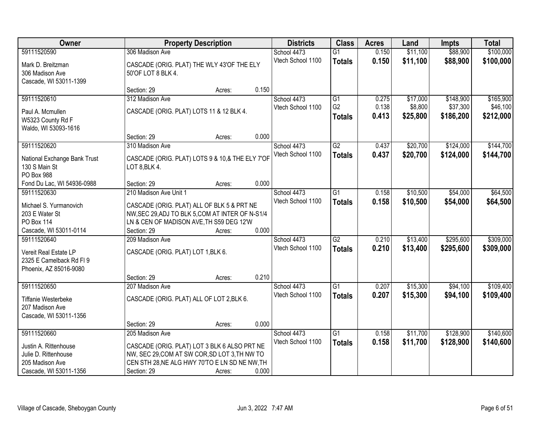| Owner                                                                                      |                                                                                                                                                 | <b>Property Description</b> |       |                                  | <b>Class</b>                     | <b>Acres</b>   | Land                 | <b>Impts</b>           | <b>Total</b>           |
|--------------------------------------------------------------------------------------------|-------------------------------------------------------------------------------------------------------------------------------------------------|-----------------------------|-------|----------------------------------|----------------------------------|----------------|----------------------|------------------------|------------------------|
| 59111520590                                                                                | 306 Madison Ave                                                                                                                                 |                             |       | School 4473                      | $\overline{G1}$                  | 0.150          | \$11,100             | \$88,900               | \$100,000              |
| Mark D. Breitzman<br>306 Madison Ave<br>Cascade, WI 53011-1399                             | CASCADE (ORIG. PLAT) THE WLY 43'OF THE ELY<br>50'OF LOT 8 BLK 4.                                                                                |                             |       | Vtech School 1100                | <b>Totals</b>                    | 0.150          | \$11,100             | \$88,900               | \$100,000              |
|                                                                                            | Section: 29                                                                                                                                     | Acres:                      | 0.150 |                                  |                                  |                |                      |                        |                        |
| 59111520610                                                                                | 312 Madison Ave                                                                                                                                 |                             |       | School 4473                      | G1                               | 0.275          | \$17,000             | \$148,900              | \$165,900              |
| Paul A. Mcmullen<br>W5323 County Rd F<br>Waldo, WI 53093-1616                              | CASCADE (ORIG. PLAT) LOTS 11 & 12 BLK 4.                                                                                                        |                             |       | Vtech School 1100                | G <sub>2</sub><br><b>Totals</b>  | 0.138<br>0.413 | \$8,800<br>\$25,800  | \$37,300<br>\$186,200  | \$46,100<br>\$212,000  |
|                                                                                            | Section: 29                                                                                                                                     | Acres:                      | 0.000 |                                  |                                  |                |                      |                        |                        |
| 59111520620                                                                                | 310 Madison Ave                                                                                                                                 |                             |       | School 4473                      | G2                               | 0.437          | \$20,700             | \$124,000              | \$144,700              |
| National Exchange Bank Trust<br>130 S Main St<br>PO Box 988                                | CASCADE (ORIG. PLAT) LOTS 9 & 10,& THE ELY 7'OF<br>LOT 8, BLK 4.                                                                                |                             |       | Vtech School 1100                | <b>Totals</b>                    | 0.437          | \$20,700             | \$124,000              | \$144,700              |
| Fond Du Lac, WI 54936-0988                                                                 | Section: 29                                                                                                                                     | Acres:                      | 0.000 |                                  |                                  |                |                      |                        |                        |
| 59111520630                                                                                | 210 Madison Ave Unit 1                                                                                                                          |                             |       | School 4473                      | G1                               | 0.158          | \$10,500             | \$54,000               | \$64,500               |
| Michael S. Yurmanovich<br>203 E Water St<br><b>PO Box 114</b>                              | CASCADE (ORIG. PLAT) ALL OF BLK 5 & PRT NE<br>NW, SEC 29, ADJ TO BLK 5, COM AT INTER OF N-S1/4<br>LN & CEN OF MADISON AVE, TH S59 DEG 12'W      |                             |       | Vtech School 1100                | <b>Totals</b>                    | 0.158          | \$10,500             | \$54,000               | \$64,500               |
| Cascade, WI 53011-0114                                                                     | Section: 29                                                                                                                                     | Acres:                      | 0.000 |                                  |                                  |                |                      |                        |                        |
| 59111520640<br>Vereit Real Estate LP<br>2325 E Camelback Rd Fl 9<br>Phoenix, AZ 85016-9080 | 209 Madison Ave<br>CASCADE (ORIG. PLAT) LOT 1, BLK 6.                                                                                           |                             |       | School 4473<br>Vtech School 1100 | $\overline{G2}$<br><b>Totals</b> | 0.210<br>0.210 | \$13,400<br>\$13,400 | \$295,600<br>\$295,600 | \$309,000<br>\$309,000 |
|                                                                                            | Section: 29                                                                                                                                     | Acres:                      | 0.210 |                                  |                                  |                |                      |                        |                        |
| 59111520650<br>Tiffanie Westerbeke<br>207 Madison Ave<br>Cascade, WI 53011-1356            | 207 Madison Ave<br>CASCADE (ORIG. PLAT) ALL OF LOT 2, BLK 6.                                                                                    |                             |       | School 4473<br>Vtech School 1100 | $\overline{G1}$<br><b>Totals</b> | 0.207<br>0.207 | \$15,300<br>\$15,300 | \$94,100<br>\$94,100   | \$109,400<br>\$109,400 |
|                                                                                            | Section: 29                                                                                                                                     | Acres:                      | 0.000 |                                  |                                  |                |                      |                        |                        |
| 59111520660                                                                                | 205 Madison Ave                                                                                                                                 |                             |       | School 4473                      | $\overline{G1}$                  | 0.158          | \$11,700             | \$128,900              | \$140,600              |
| Justin A. Rittenhouse<br>Julie D. Rittenhouse<br>205 Madison Ave                           | CASCADE (ORIG. PLAT) LOT 3 BLK 6 ALSO PRT NE<br>NW, SEC 29, COM AT SW COR, SD LOT 3, TH NW TO<br>CEN STH 28, NE ALG HWY 70'TO E LN SD NE NW, TH |                             |       | Vtech School 1100                | <b>Totals</b>                    | 0.158          | \$11,700             | \$128,900              | \$140,600              |
| Cascade, WI 53011-1356                                                                     | Section: 29                                                                                                                                     | Acres:                      | 0.000 |                                  |                                  |                |                      |                        |                        |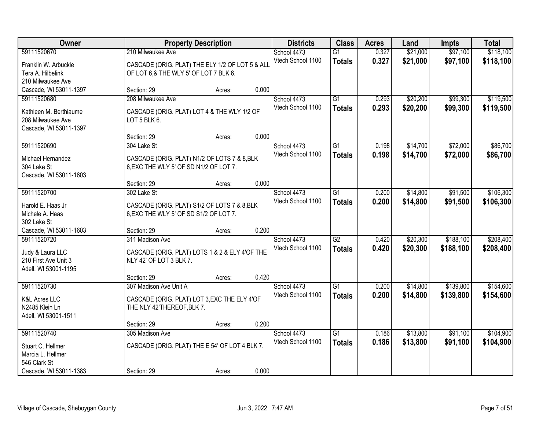| Owner                    |                                                 | <b>Property Description</b> |       |                   | <b>Class</b>    | <b>Acres</b> | Land     | <b>Impts</b> | <b>Total</b> |
|--------------------------|-------------------------------------------------|-----------------------------|-------|-------------------|-----------------|--------------|----------|--------------|--------------|
| 59111520670              | 210 Milwaukee Ave                               |                             |       | School 4473       | $\overline{G1}$ | 0.327        | \$21,000 | \$97,100     | \$118,100    |
| Franklin W. Arbuckle     | CASCADE (ORIG. PLAT) THE ELY 1/2 OF LOT 5 & ALL |                             |       | Vtech School 1100 | <b>Totals</b>   | 0.327        | \$21,000 | \$97,100     | \$118,100    |
| Tera A. Hilbelink        | OF LOT 6.& THE WLY 5' OF LOT 7 BLK 6.           |                             |       |                   |                 |              |          |              |              |
| 210 Milwaukee Ave        |                                                 |                             |       |                   |                 |              |          |              |              |
| Cascade, WI 53011-1397   | Section: 29                                     | Acres:                      | 0.000 |                   |                 |              |          |              |              |
| 59111520680              | 208 Milwaukee Ave                               |                             |       | School 4473       | $\overline{G1}$ | 0.293        | \$20,200 | \$99,300     | \$119,500    |
| Kathleen M. Berthiaume   | CASCADE (ORIG. PLAT) LOT 4 & THE WLY 1/2 OF     |                             |       | Vtech School 1100 | <b>Totals</b>   | 0.293        | \$20,200 | \$99,300     | \$119,500    |
| 208 Milwaukee Ave        | LOT 5 BLK 6.                                    |                             |       |                   |                 |              |          |              |              |
| Cascade, WI 53011-1397   |                                                 |                             |       |                   |                 |              |          |              |              |
|                          | Section: 29                                     | Acres:                      | 0.000 |                   |                 |              |          |              |              |
| 59111520690              | 304 Lake St                                     |                             |       | School 4473       | G1              | 0.198        | \$14,700 | \$72,000     | \$86,700     |
| Michael Hernandez        | CASCADE (ORIG. PLAT) N1/2 OF LOTS 7 & 8, BLK    |                             |       | Vtech School 1100 | <b>Totals</b>   | 0.198        | \$14,700 | \$72,000     | \$86,700     |
| 304 Lake St              | 6, EXC THE WLY 5' OF SD N1/2 OF LOT 7.          |                             |       |                   |                 |              |          |              |              |
| Cascade, WI 53011-1603   |                                                 |                             |       |                   |                 |              |          |              |              |
|                          | Section: 29                                     | Acres:                      | 0.000 |                   |                 |              |          |              |              |
| 59111520700              | 302 Lake St                                     |                             |       | School 4473       | G1              | 0.200        | \$14,800 | \$91,500     | \$106,300    |
| Harold E. Haas Jr        | CASCADE (ORIG. PLAT) S1/2 OF LOTS 7 & 8, BLK    |                             |       | Vtech School 1100 | <b>Totals</b>   | 0.200        | \$14,800 | \$91,500     | \$106,300    |
| Michele A. Haas          | 6, EXC THE WLY 5' OF SD S1/2 OF LOT 7.          |                             |       |                   |                 |              |          |              |              |
| 302 Lake St              |                                                 |                             |       |                   |                 |              |          |              |              |
| Cascade, WI 53011-1603   | Section: 29                                     | Acres:                      | 0.200 |                   |                 |              |          |              |              |
| 59111520720              | 311 Madison Ave                                 |                             |       | School 4473       | $\overline{G2}$ | 0.420        | \$20,300 | \$188,100    | \$208,400    |
| Judy & Laura LLC         | CASCADE (ORIG. PLAT) LOTS 1 & 2 & ELY 4'OF THE  |                             |       | Vtech School 1100 | <b>Totals</b>   | 0.420        | \$20,300 | \$188,100    | \$208,400    |
| 210 First Ave Unit 3     | NLY 42' OF LOT 3 BLK 7.                         |                             |       |                   |                 |              |          |              |              |
| Adell, WI 53001-1195     |                                                 |                             |       |                   |                 |              |          |              |              |
|                          | Section: 29                                     | Acres:                      | 0.420 |                   |                 |              |          |              |              |
| 59111520730              | 307 Madison Ave Unit A                          |                             |       | School 4473       | $\overline{G1}$ | 0.200        | \$14,800 | \$139,800    | \$154,600    |
| <b>K&amp;L Acres LLC</b> | CASCADE (ORIG. PLAT) LOT 3, EXC THE ELY 4'OF    |                             |       | Vtech School 1100 | <b>Totals</b>   | 0.200        | \$14,800 | \$139,800    | \$154,600    |
| N2485 Klein Ln           | THE NLY 42'THEREOF, BLK 7.                      |                             |       |                   |                 |              |          |              |              |
| Adell, WI 53001-1511     |                                                 |                             |       |                   |                 |              |          |              |              |
|                          | Section: 29                                     | Acres:                      | 0.200 |                   |                 |              |          |              |              |
| 59111520740              | 305 Madison Ave                                 |                             |       | School 4473       | $\overline{G1}$ | 0.186        | \$13,800 | \$91,100     | \$104,900    |
| Stuart C. Hellmer        | CASCADE (ORIG. PLAT) THE E 54' OF LOT 4 BLK 7.  |                             |       | Vtech School 1100 | <b>Totals</b>   | 0.186        | \$13,800 | \$91,100     | \$104,900    |
| Marcia L. Hellmer        |                                                 |                             |       |                   |                 |              |          |              |              |
| 546 Clark St             |                                                 |                             |       |                   |                 |              |          |              |              |
| Cascade, WI 53011-1383   | Section: 29                                     | Acres:                      | 0.000 |                   |                 |              |          |              |              |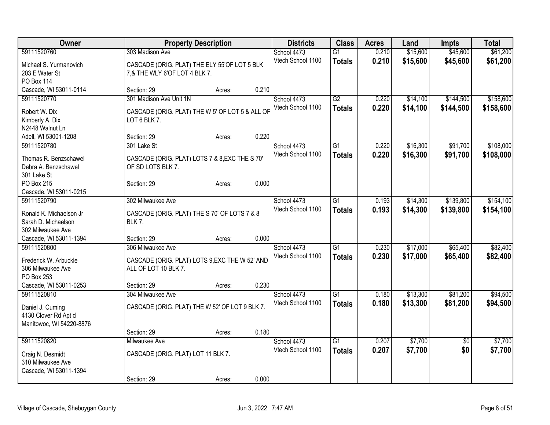| Owner                    |                                                 | <b>Property Description</b> |       |                   | <b>Class</b>    | <b>Acres</b> | Land     | <b>Impts</b>    | <b>Total</b> |
|--------------------------|-------------------------------------------------|-----------------------------|-------|-------------------|-----------------|--------------|----------|-----------------|--------------|
| 59111520760              | 303 Madison Ave                                 |                             |       | School 4473       | $\overline{G1}$ | 0.210        | \$15,600 | \$45,600        | \$61,200     |
| Michael S. Yurmanovich   | CASCADE (ORIG. PLAT) THE ELY 55'OF LOT 5 BLK    |                             |       | Vtech School 1100 | <b>Totals</b>   | 0.210        | \$15,600 | \$45,600        | \$61,200     |
| 203 E Water St           | 7,& THE WLY 6'OF LOT 4 BLK 7.                   |                             |       |                   |                 |              |          |                 |              |
| <b>PO Box 114</b>        |                                                 |                             |       |                   |                 |              |          |                 |              |
| Cascade, WI 53011-0114   | Section: 29                                     | Acres:                      | 0.210 |                   |                 |              |          |                 |              |
| 59111520770              | 301 Madison Ave Unit 1N                         |                             |       | School 4473       | $\overline{G2}$ | 0.220        | \$14,100 | \$144,500       | \$158,600    |
|                          |                                                 |                             |       | Vtech School 1100 | <b>Totals</b>   | 0.220        | \$14,100 | \$144,500       | \$158,600    |
| Robert W. Dix            | CASCADE (ORIG. PLAT) THE W 5' OF LOT 5 & ALL OF |                             |       |                   |                 |              |          |                 |              |
| Kimberly A. Dix          | LOT 6 BLK 7.                                    |                             |       |                   |                 |              |          |                 |              |
| N2448 Walnut Ln          |                                                 |                             |       |                   |                 |              |          |                 |              |
| Adell, WI 53001-1208     | Section: 29                                     | Acres:                      | 0.220 |                   |                 |              |          |                 |              |
| 59111520780              | 301 Lake St                                     |                             |       | School 4473       | $\overline{G1}$ | 0.220        | \$16,300 | \$91,700        | \$108,000    |
| Thomas R. Benzschawel    | CASCADE (ORIG. PLAT) LOTS 7 & 8, EXC THE S 70'  |                             |       | Vtech School 1100 | <b>Totals</b>   | 0.220        | \$16,300 | \$91,700        | \$108,000    |
| Debra A. Benzschawel     | OF SD LOTS BLK 7.                               |                             |       |                   |                 |              |          |                 |              |
| 301 Lake St              |                                                 |                             |       |                   |                 |              |          |                 |              |
| PO Box 215               | Section: 29                                     | Acres:                      | 0.000 |                   |                 |              |          |                 |              |
| Cascade, WI 53011-0215   |                                                 |                             |       |                   |                 |              |          |                 |              |
| 59111520790              | 302 Milwaukee Ave                               |                             |       | School 4473       | G1              | 0.193        | \$14,300 | \$139,800       | \$154,100    |
| Ronald K. Michaelson Jr  | CASCADE (ORIG. PLAT) THE S 70' OF LOTS 7 & 8    |                             |       | Vtech School 1100 | <b>Totals</b>   | 0.193        | \$14,300 | \$139,800       | \$154,100    |
| Sarah D. Michaelson      | <b>BLK 7.</b>                                   |                             |       |                   |                 |              |          |                 |              |
| 302 Milwaukee Ave        |                                                 |                             |       |                   |                 |              |          |                 |              |
| Cascade, WI 53011-1394   | Section: 29                                     | Acres:                      | 0.000 |                   |                 |              |          |                 |              |
| 59111520800              | 306 Milwaukee Ave                               |                             |       | School 4473       | G1              | 0.230        | \$17,000 | \$65,400        | \$82,400     |
|                          |                                                 |                             |       | Vtech School 1100 |                 | 0.230        | \$17,000 | \$65,400        | \$82,400     |
| Frederick W. Arbuckle    | CASCADE (ORIG. PLAT) LOTS 9, EXC THE W 52' AND  |                             |       |                   | <b>Totals</b>   |              |          |                 |              |
| 306 Milwaukee Ave        | ALL OF LOT 10 BLK 7.                            |                             |       |                   |                 |              |          |                 |              |
| PO Box 253               |                                                 |                             |       |                   |                 |              |          |                 |              |
| Cascade, WI 53011-0253   | Section: 29                                     | Acres:                      | 0.230 |                   |                 |              |          |                 |              |
| 59111520810              | 304 Milwaukee Ave                               |                             |       | School 4473       | $\overline{G1}$ | 0.180        | \$13,300 | \$81,200        | \$94,500     |
| Daniel J. Cuming         | CASCADE (ORIG. PLAT) THE W 52' OF LOT 9 BLK 7.  |                             |       | Vtech School 1100 | <b>Totals</b>   | 0.180        | \$13,300 | \$81,200        | \$94,500     |
| 4130 Clover Rd Apt d     |                                                 |                             |       |                   |                 |              |          |                 |              |
| Manitowoc, WI 54220-8876 |                                                 |                             |       |                   |                 |              |          |                 |              |
|                          | Section: 29                                     | Acres:                      | 0.180 |                   |                 |              |          |                 |              |
| 59111520820              | Milwaukee Ave                                   |                             |       | School 4473       | $\overline{G1}$ | 0.207        | \$7,700  | $\overline{50}$ | \$7,700      |
|                          |                                                 |                             |       | Vtech School 1100 | <b>Totals</b>   | 0.207        | \$7,700  | \$0             | \$7,700      |
| Craig N. Desmidt         | CASCADE (ORIG. PLAT) LOT 11 BLK 7.              |                             |       |                   |                 |              |          |                 |              |
| 310 Milwaukee Ave        |                                                 |                             |       |                   |                 |              |          |                 |              |
| Cascade, WI 53011-1394   |                                                 |                             |       |                   |                 |              |          |                 |              |
|                          | Section: 29                                     | Acres:                      | 0.000 |                   |                 |              |          |                 |              |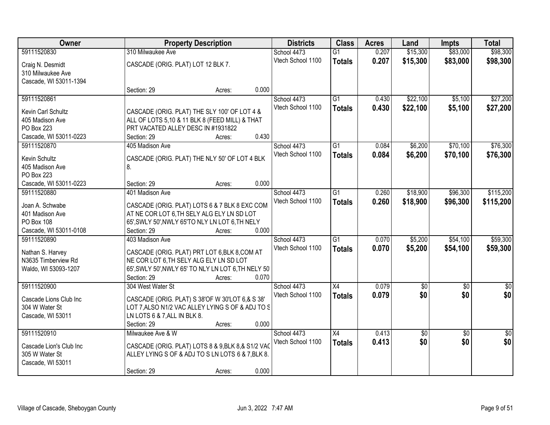| Owner                   |                                                      | <b>Property Description</b> |       |                   | <b>Class</b>    | <b>Acres</b> | Land            | <b>Impts</b>    | <b>Total</b>    |
|-------------------------|------------------------------------------------------|-----------------------------|-------|-------------------|-----------------|--------------|-----------------|-----------------|-----------------|
| 59111520830             | 310 Milwaukee Ave                                    |                             |       | School 4473       | $\overline{G1}$ | 0.207        | \$15,300        | \$83,000        | \$98,300        |
| Craig N. Desmidt        | CASCADE (ORIG. PLAT) LOT 12 BLK 7.                   |                             |       | Vtech School 1100 | <b>Totals</b>   | 0.207        | \$15,300        | \$83,000        | \$98,300        |
| 310 Milwaukee Ave       |                                                      |                             |       |                   |                 |              |                 |                 |                 |
| Cascade, WI 53011-1394  |                                                      |                             |       |                   |                 |              |                 |                 |                 |
|                         | Section: 29                                          | Acres:                      | 0.000 |                   |                 |              |                 |                 |                 |
| 59111520861             |                                                      |                             |       | School 4473       | G1              | 0.430        | \$22,100        | \$5,100         | \$27,200        |
| Kevin Carl Schultz      | CASCADE (ORIG. PLAT) THE SLY 100' OF LOT 4 &         |                             |       | Vtech School 1100 | <b>Totals</b>   | 0.430        | \$22,100        | \$5,100         | \$27,200        |
| 405 Madison Ave         | ALL OF LOTS 5,10 & 11 BLK 8 (FEED MILL) & THAT       |                             |       |                   |                 |              |                 |                 |                 |
| PO Box 223              | PRT VACATED ALLEY DESC IN #1931822                   |                             |       |                   |                 |              |                 |                 |                 |
| Cascade, WI 53011-0223  | Section: 29                                          | Acres:                      | 0.430 |                   |                 |              |                 |                 |                 |
| 59111520870             | 405 Madison Ave                                      |                             |       | School 4473       | $\overline{G1}$ | 0.084        | \$6,200         | \$70,100        | \$76,300        |
|                         |                                                      |                             |       | Vtech School 1100 | <b>Totals</b>   | 0.084        | \$6,200         | \$70,100        | \$76,300        |
| Kevin Schultz           | CASCADE (ORIG. PLAT) THE NLY 50' OF LOT 4 BLK        |                             |       |                   |                 |              |                 |                 |                 |
| 405 Madison Ave         | 8.                                                   |                             |       |                   |                 |              |                 |                 |                 |
| <b>PO Box 223</b>       |                                                      |                             |       |                   |                 |              |                 |                 |                 |
| Cascade, WI 53011-0223  | Section: 29                                          | Acres:                      | 0.000 |                   |                 |              |                 |                 |                 |
| 59111520880             | 401 Madison Ave                                      |                             |       | School 4473       | $\overline{G1}$ | 0.260        | \$18,900        | \$96,300        | \$115,200       |
| Joan A. Schwabe         | CASCADE (ORIG. PLAT) LOTS 6 & 7 BLK 8 EXC COM        |                             |       | Vtech School 1100 | <b>Totals</b>   | 0.260        | \$18,900        | \$96,300        | \$115,200       |
| 401 Madison Ave         | AT NE COR LOT 6, TH SELY ALG ELY LN SD LOT           |                             |       |                   |                 |              |                 |                 |                 |
| PO Box 108              | 65', SWLY 50', NWLY 65'TO NLY LN LOT 6, TH NELY      |                             |       |                   |                 |              |                 |                 |                 |
| Cascade, WI 53011-0108  | Section: 29                                          | Acres:                      | 0.000 |                   |                 |              |                 |                 |                 |
| 59111520890             | 403 Madison Ave                                      |                             |       | School 4473       | $\overline{G1}$ | 0.070        | \$5,200         | \$54,100        | \$59,300        |
| Nathan S. Harvey        | CASCADE (ORIG. PLAT) PRT LOT 6, BLK 8, COM AT        |                             |       | Vtech School 1100 | <b>Totals</b>   | 0.070        | \$5,200         | \$54,100        | \$59,300        |
| N3635 Timberview Rd     | NE COR LOT 6, TH SELY ALG ELY LN SD LOT              |                             |       |                   |                 |              |                 |                 |                 |
| Waldo, WI 53093-1207    | 65', SWLY 50', NWLY 65' TO NLY LN LOT 6, TH NELY 50' |                             |       |                   |                 |              |                 |                 |                 |
|                         | Section: 29                                          | Acres:                      | 0.070 |                   |                 |              |                 |                 |                 |
| 59111520900             | 304 West Water St                                    |                             |       | School 4473       | $\overline{X4}$ | 0.079        | \$0             | $\overline{50}$ | $\overline{50}$ |
|                         |                                                      |                             |       | Vtech School 1100 | <b>Totals</b>   | 0.079        | \$0             | \$0             | \$0             |
| Cascade Lions Club Inc  | CASCADE (ORIG. PLAT) S 38'OF W 30'LOT 6,& S 38'      |                             |       |                   |                 |              |                 |                 |                 |
| 304 W Water St          | LOT 7, ALSO N1/2 VAC ALLEY LYING S OF & ADJ TO S     |                             |       |                   |                 |              |                 |                 |                 |
| Cascade, WI 53011       | LN LOTS 6 & 7, ALL IN BLK 8.                         |                             | 0.000 |                   |                 |              |                 |                 |                 |
| 59111520910             | Section: 29<br>Milwaukee Ave & W                     | Acres:                      |       | School 4473       | $\overline{X4}$ | 0.413        | $\overline{50}$ | $\overline{30}$ | $\overline{30}$ |
|                         |                                                      |                             |       | Vtech School 1100 |                 |              | \$0             | \$0             | \$0             |
| Cascade Lion's Club Inc | CASCADE (ORIG. PLAT) LOTS 8 & 9, BLK 8, & S1/2 VAC   |                             |       |                   | <b>Totals</b>   | 0.413        |                 |                 |                 |
| 305 W Water St          | ALLEY LYING S OF & ADJ TO S LN LOTS 6 & 7, BLK 8.    |                             |       |                   |                 |              |                 |                 |                 |
| Cascade, WI 53011       |                                                      |                             |       |                   |                 |              |                 |                 |                 |
|                         | Section: 29                                          | Acres:                      | 0.000 |                   |                 |              |                 |                 |                 |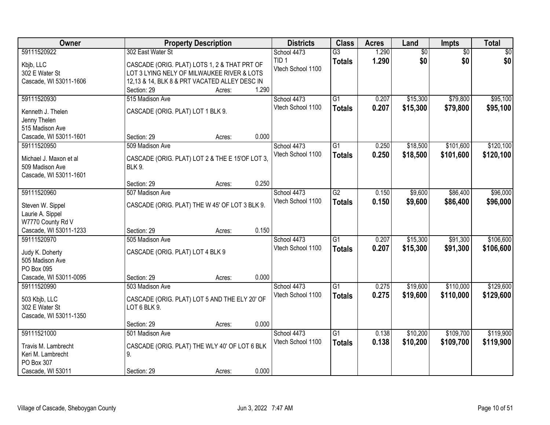| Owner                                    | <b>Property Description</b>                                      | <b>Districts</b>  | <b>Class</b>    | <b>Acres</b> | Land            | <b>Impts</b>    | <b>Total</b> |
|------------------------------------------|------------------------------------------------------------------|-------------------|-----------------|--------------|-----------------|-----------------|--------------|
| 59111520922                              | 302 East Water St                                                | School 4473       | $\overline{G3}$ | 1.290        | $\overline{60}$ | $\overline{50}$ | \$0          |
| Kbjb, LLC                                | CASCADE (ORIG. PLAT) LOTS 1, 2 & THAT PRT OF                     | TID <sub>1</sub>  | <b>Totals</b>   | 1.290        | \$0             | \$0             | \$0          |
| 302 E Water St                           | LOT 3 LYING NELY OF MILWAUKEE RIVER & LOTS                       | Vtech School 1100 |                 |              |                 |                 |              |
| Cascade, WI 53011-1606                   | 12,13 & 14, BLK 8 & PRT VACATED ALLEY DESC IN                    |                   |                 |              |                 |                 |              |
|                                          | 1.290<br>Section: 29<br>Acres:                                   |                   |                 |              |                 |                 |              |
| 59111520930                              | 515 Madison Ave                                                  | School 4473       | $\overline{G1}$ | 0.207        | \$15,300        | \$79,800        | \$95,100     |
| Kenneth J. Thelen                        | CASCADE (ORIG. PLAT) LOT 1 BLK 9.                                | Vtech School 1100 | <b>Totals</b>   | 0.207        | \$15,300        | \$79,800        | \$95,100     |
| Jenny Thelen                             |                                                                  |                   |                 |              |                 |                 |              |
| 515 Madison Ave                          |                                                                  |                   |                 |              |                 |                 |              |
| Cascade, WI 53011-1601                   | 0.000<br>Section: 29<br>Acres:                                   |                   |                 |              |                 |                 |              |
| 59111520950                              | 509 Madison Ave                                                  | School 4473       | $\overline{G1}$ | 0.250        | \$18,500        | \$101,600       | \$120,100    |
| Michael J. Maxon et al                   |                                                                  | Vtech School 1100 | <b>Totals</b>   | 0.250        | \$18,500        | \$101,600       | \$120,100    |
| 509 Madison Ave                          | CASCADE (ORIG. PLAT) LOT 2 & THE E 15'OF LOT 3,<br><b>BLK 9.</b> |                   |                 |              |                 |                 |              |
| Cascade, WI 53011-1601                   |                                                                  |                   |                 |              |                 |                 |              |
|                                          | 0.250<br>Section: 29<br>Acres:                                   |                   |                 |              |                 |                 |              |
| 59111520960                              | 507 Madison Ave                                                  | School 4473       | $\overline{G2}$ | 0.150        | \$9,600         | \$86,400        | \$96,000     |
|                                          |                                                                  | Vtech School 1100 | <b>Totals</b>   | 0.150        | \$9,600         | \$86,400        | \$96,000     |
| Steven W. Sippel                         | CASCADE (ORIG. PLAT) THE W 45' OF LOT 3 BLK 9.                   |                   |                 |              |                 |                 |              |
| Laurie A. Sippel                         |                                                                  |                   |                 |              |                 |                 |              |
| W7770 County Rd V                        |                                                                  |                   |                 |              |                 |                 |              |
| Cascade, WI 53011-1233                   | 0.150<br>Section: 29<br>Acres:                                   |                   |                 |              |                 |                 |              |
| 59111520970                              | 505 Madison Ave                                                  | School 4473       | $\overline{G1}$ | 0.207        | \$15,300        | \$91,300        | \$106,600    |
| Judy K. Doherty                          | CASCADE (ORIG. PLAT) LOT 4 BLK 9                                 | Vtech School 1100 | <b>Totals</b>   | 0.207        | \$15,300        | \$91,300        | \$106,600    |
| 505 Madison Ave                          |                                                                  |                   |                 |              |                 |                 |              |
| PO Box 095                               |                                                                  |                   |                 |              |                 |                 |              |
| Cascade, WI 53011-0095                   | 0.000<br>Section: 29<br>Acres:                                   |                   |                 |              |                 |                 |              |
| 59111520990                              | 503 Madison Ave                                                  | School 4473       | $\overline{G1}$ | 0.275        | \$19,600        | \$110,000       | \$129,600    |
| 503 Kbjb, LLC                            | CASCADE (ORIG. PLAT) LOT 5 AND THE ELY 20' OF                    | Vtech School 1100 | <b>Totals</b>   | 0.275        | \$19,600        | \$110,000       | \$129,600    |
| 302 E Water St                           | LOT 6 BLK 9.                                                     |                   |                 |              |                 |                 |              |
| Cascade, WI 53011-1350                   |                                                                  |                   |                 |              |                 |                 |              |
|                                          | 0.000<br>Section: 29<br>Acres:                                   |                   |                 |              |                 |                 |              |
| 59111521000                              | 501 Madison Ave                                                  | School 4473       | $\overline{G1}$ | 0.138        | \$10,200        | \$109,700       | \$119,900    |
|                                          |                                                                  | Vtech School 1100 | <b>Totals</b>   | 0.138        | \$10,200        | \$109,700       | \$119,900    |
| Travis M. Lambrecht<br>Keri M. Lambrecht | CASCADE (ORIG. PLAT) THE WLY 40' OF LOT 6 BLK<br>9.              |                   |                 |              |                 |                 |              |
| PO Box 307                               |                                                                  |                   |                 |              |                 |                 |              |
| Cascade, WI 53011                        | 0.000<br>Section: 29<br>Acres:                                   |                   |                 |              |                 |                 |              |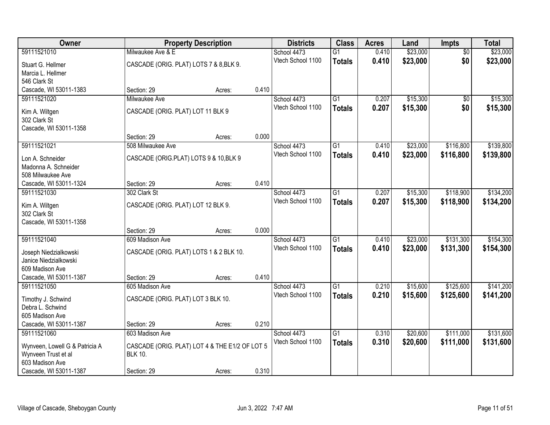| Owner                                  |                                                | <b>Property Description</b> |       | <b>Districts</b>                 | <b>Class</b>    | <b>Acres</b> | Land     | <b>Impts</b>    | <b>Total</b> |
|----------------------------------------|------------------------------------------------|-----------------------------|-------|----------------------------------|-----------------|--------------|----------|-----------------|--------------|
| 59111521010                            | Milwaukee Ave & E                              |                             |       | School 4473                      | $\overline{G1}$ | 0.410        | \$23,000 | $\overline{50}$ | \$23,000     |
| Stuart G. Hellmer                      | CASCADE (ORIG. PLAT) LOTS 7 & 8, BLK 9.        |                             |       | Vtech School 1100                | <b>Totals</b>   | 0.410        | \$23,000 | \$0             | \$23,000     |
| Marcia L. Hellmer                      |                                                |                             |       |                                  |                 |              |          |                 |              |
| 546 Clark St                           |                                                |                             |       |                                  |                 |              |          |                 |              |
| Cascade, WI 53011-1383                 | Section: 29                                    | Acres:                      | 0.410 |                                  |                 |              |          |                 |              |
| 59111521020                            | Milwaukee Ave                                  |                             |       | School 4473                      | $\overline{G1}$ | 0.207        | \$15,300 | $\overline{50}$ | \$15,300     |
| Kim A. Wiltgen                         | CASCADE (ORIG. PLAT) LOT 11 BLK 9              |                             |       | Vtech School 1100                | <b>Totals</b>   | 0.207        | \$15,300 | \$0             | \$15,300     |
| 302 Clark St                           |                                                |                             |       |                                  |                 |              |          |                 |              |
| Cascade, WI 53011-1358                 |                                                |                             |       |                                  |                 |              |          |                 |              |
|                                        | Section: 29                                    | Acres:                      | 0.000 |                                  |                 |              |          |                 |              |
| 59111521021                            | 508 Milwaukee Ave                              |                             |       | School 4473                      | G1              | 0.410        | \$23,000 | \$116,800       | \$139,800    |
| Lon A. Schneider                       |                                                |                             |       | Vtech School 1100                | <b>Totals</b>   | 0.410        | \$23,000 | \$116,800       | \$139,800    |
| Madonna A. Schneider                   | CASCADE (ORIG.PLAT) LOTS 9 & 10, BLK 9         |                             |       |                                  |                 |              |          |                 |              |
| 508 Milwaukee Ave                      |                                                |                             |       |                                  |                 |              |          |                 |              |
| Cascade, WI 53011-1324                 | Section: 29                                    | Acres:                      | 0.410 |                                  |                 |              |          |                 |              |
| 59111521030                            | 302 Clark St                                   |                             |       | School 4473                      | $\overline{G1}$ | 0.207        | \$15,300 | \$118,900       | \$134,200    |
|                                        |                                                |                             |       | Vtech School 1100                | <b>Totals</b>   | 0.207        | \$15,300 | \$118,900       | \$134,200    |
| Kim A. Wiltgen                         | CASCADE (ORIG. PLAT) LOT 12 BLK 9.             |                             |       |                                  |                 |              |          |                 |              |
| 302 Clark St<br>Cascade, WI 53011-1358 |                                                |                             |       |                                  |                 |              |          |                 |              |
|                                        | Section: 29                                    | Acres:                      | 0.000 |                                  |                 |              |          |                 |              |
| 59111521040                            | 609 Madison Ave                                |                             |       | School 4473                      | $\overline{G1}$ | 0.410        | \$23,000 | \$131,300       | \$154,300    |
|                                        |                                                |                             |       | Vtech School 1100                | <b>Totals</b>   | 0.410        | \$23,000 | \$131,300       | \$154,300    |
| Joseph Niedzialkowski                  | CASCADE (ORIG. PLAT) LOTS 1 & 2 BLK 10.        |                             |       |                                  |                 |              |          |                 |              |
| Janice Niedzialkowski                  |                                                |                             |       |                                  |                 |              |          |                 |              |
| 609 Madison Ave                        |                                                |                             |       |                                  |                 |              |          |                 |              |
| Cascade, WI 53011-1387                 | Section: 29                                    | Acres:                      | 0.410 |                                  |                 |              |          |                 |              |
| 59111521050                            | 605 Madison Ave                                |                             |       | School 4473<br>Vtech School 1100 | $\overline{G1}$ | 0.210        | \$15,600 | \$125,600       | \$141,200    |
| Timothy J. Schwind                     | CASCADE (ORIG. PLAT) LOT 3 BLK 10.             |                             |       |                                  | <b>Totals</b>   | 0.210        | \$15,600 | \$125,600       | \$141,200    |
| Debra L. Schwind                       |                                                |                             |       |                                  |                 |              |          |                 |              |
| 605 Madison Ave                        |                                                |                             |       |                                  |                 |              |          |                 |              |
| Cascade, WI 53011-1387                 | Section: 29                                    | Acres:                      | 0.210 |                                  |                 |              |          |                 |              |
| 59111521060                            | 603 Madison Ave                                |                             |       | School 4473                      | G1              | 0.310        | \$20,600 | \$111,000       | \$131,600    |
| Wynveen, Lowell G & Patricia A         | CASCADE (ORIG. PLAT) LOT 4 & THE E1/2 OF LOT 5 |                             |       | Vtech School 1100                | <b>Totals</b>   | 0.310        | \$20,600 | \$111,000       | \$131,600    |
| Wynveen Trust et al                    | <b>BLK 10.</b>                                 |                             |       |                                  |                 |              |          |                 |              |
| 603 Madison Ave                        |                                                |                             |       |                                  |                 |              |          |                 |              |
| Cascade, WI 53011-1387                 | Section: 29                                    | Acres:                      | 0.310 |                                  |                 |              |          |                 |              |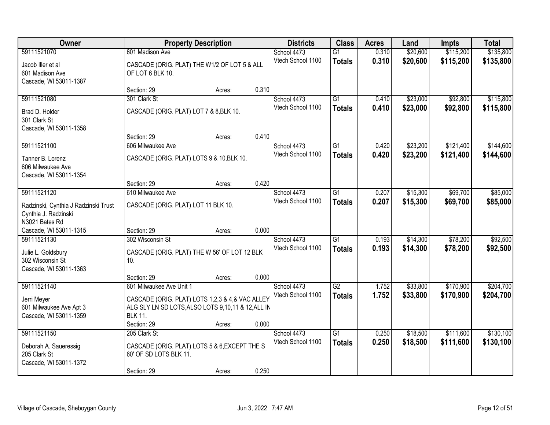| Owner                                                                           |                                                                                                                                        | <b>Property Description</b> |       |                                  | <b>Class</b>                     | <b>Acres</b>   | Land                 | <b>Impts</b>         | <b>Total</b>         |
|---------------------------------------------------------------------------------|----------------------------------------------------------------------------------------------------------------------------------------|-----------------------------|-------|----------------------------------|----------------------------------|----------------|----------------------|----------------------|----------------------|
| 59111521070                                                                     | 601 Madison Ave                                                                                                                        |                             |       | School 4473                      | $\overline{G1}$                  | 0.310          | \$20,600             | \$115,200            | \$135,800            |
| Jacob Iller et al<br>601 Madison Ave<br>Cascade, WI 53011-1387                  | CASCADE (ORIG. PLAT) THE W1/2 OF LOT 5 & ALL<br>OF LOT 6 BLK 10.                                                                       |                             |       | Vtech School 1100                | <b>Totals</b>                    | 0.310          | \$20,600             | \$115,200            | \$135,800            |
|                                                                                 | Section: 29                                                                                                                            | Acres:                      | 0.310 |                                  |                                  |                |                      |                      |                      |
| 59111521080                                                                     | 301 Clark St                                                                                                                           |                             |       | School 4473                      | $\overline{G1}$                  | 0.410          | \$23,000             | \$92,800             | \$115,800            |
| Brad D. Holder<br>301 Clark St<br>Cascade, WI 53011-1358                        | CASCADE (ORIG. PLAT) LOT 7 & 8, BLK 10.                                                                                                |                             |       | Vtech School 1100                | <b>Totals</b>                    | 0.410          | \$23,000             | \$92,800             | \$115,800            |
|                                                                                 | Section: 29                                                                                                                            | Acres:                      | 0.410 |                                  |                                  |                |                      |                      |                      |
| 59111521100                                                                     | 606 Milwaukee Ave                                                                                                                      |                             |       | School 4473                      | G1                               | 0.420          | \$23,200             | \$121,400            | \$144,600            |
| Tanner B. Lorenz<br>606 Milwaukee Ave<br>Cascade, WI 53011-1354                 | CASCADE (ORIG. PLAT) LOTS 9 & 10, BLK 10.                                                                                              |                             |       | Vtech School 1100                | <b>Totals</b>                    | 0.420          | \$23,200             | \$121,400            | \$144,600            |
|                                                                                 | Section: 29                                                                                                                            | Acres:                      | 0.420 |                                  |                                  |                |                      |                      |                      |
| 59111521120                                                                     | 610 Milwaukee Ave                                                                                                                      |                             |       | School 4473                      | G1                               | 0.207          | \$15,300             | \$69,700             | \$85,000             |
| Radzinski, Cynthia J Radzinski Trust<br>Cynthia J. Radzinski<br>N3021 Bates Rd  | CASCADE (ORIG. PLAT) LOT 11 BLK 10.                                                                                                    |                             |       | Vtech School 1100                | <b>Totals</b>                    | 0.207          | \$15,300             | \$69,700             | \$85,000             |
| Cascade, WI 53011-1315                                                          | Section: 29                                                                                                                            | Acres:                      | 0.000 |                                  |                                  |                |                      |                      |                      |
| 59111521130<br>Julie L. Goldsbury<br>302 Wisconsin St<br>Cascade, WI 53011-1363 | 302 Wisconsin St<br>CASCADE (ORIG. PLAT) THE W 56' OF LOT 12 BLK<br>10.                                                                |                             |       | School 4473<br>Vtech School 1100 | $\overline{G1}$<br><b>Totals</b> | 0.193<br>0.193 | \$14,300<br>\$14,300 | \$78,200<br>\$78,200 | \$92,500<br>\$92,500 |
|                                                                                 | Section: 29                                                                                                                            | Acres:                      | 0.000 |                                  |                                  |                |                      |                      |                      |
| 59111521140                                                                     | 601 Milwaukee Ave Unit 1                                                                                                               |                             |       | School 4473                      | $\overline{G2}$                  | 1.752          | \$33,800             | \$170,900            | \$204,700            |
| Jerri Meyer<br>601 Milwaukee Ave Apt 3<br>Cascade, WI 53011-1359                | CASCADE (ORIG. PLAT) LOTS 1,2,3 & 4,& VAC ALLEY<br>ALG SLY LN SD LOTS, ALSO LOTS 9,10,11 & 12, ALL IN<br><b>BLK 11.</b><br>Section: 29 | Acres:                      | 0.000 | Vtech School 1100                | <b>Totals</b>                    | 1.752          | \$33,800             | \$170,900            | \$204,700            |
| 59111521150                                                                     | 205 Clark St                                                                                                                           |                             |       | School 4473                      | $\overline{G1}$                  | 0.250          | \$18,500             | \$111,600            | \$130,100            |
| Deborah A. Saueressig<br>205 Clark St<br>Cascade, WI 53011-1372                 | CASCADE (ORIG. PLAT) LOTS 5 & 6, EXCEPT THE S<br>60' OF SD LOTS BLK 11.                                                                |                             |       | Vtech School 1100                | <b>Totals</b>                    | 0.250          | \$18,500             | \$111,600            | \$130,100            |
|                                                                                 | Section: 29                                                                                                                            | Acres:                      | 0.250 |                                  |                                  |                |                      |                      |                      |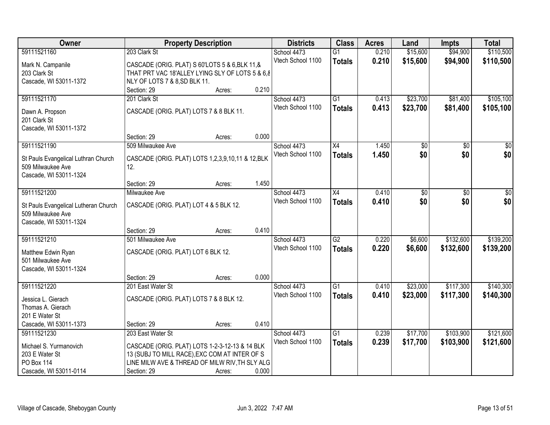| Owner                                   |                                                  | <b>Property Description</b> |       | <b>Districts</b>  | <b>Class</b>    | <b>Acres</b> | Land            | <b>Impts</b>    | <b>Total</b>    |
|-----------------------------------------|--------------------------------------------------|-----------------------------|-------|-------------------|-----------------|--------------|-----------------|-----------------|-----------------|
| 59111521160                             | 203 Clark St                                     |                             |       | School 4473       | $\overline{G1}$ | 0.210        | \$15,600        | \$94,900        | \$110,500       |
| Mark N. Campanile                       | CASCADE (ORIG. PLAT) S 60'LOTS 5 & 6, BLK 11, &  |                             |       | Vtech School 1100 | <b>Totals</b>   | 0.210        | \$15,600        | \$94,900        | \$110,500       |
| 203 Clark St                            | THAT PRT VAC 18'ALLEY LYING SLY OF LOTS 5 & 6,8  |                             |       |                   |                 |              |                 |                 |                 |
| Cascade, WI 53011-1372                  | NLY OF LOTS 7 & 8, SD BLK 11.                    |                             |       |                   |                 |              |                 |                 |                 |
|                                         | Section: 29                                      | Acres:                      | 0.210 |                   |                 |              |                 |                 |                 |
| 59111521170                             | 201 Clark St                                     |                             |       | School 4473       | $\overline{G1}$ | 0.413        | \$23,700        | \$81,400        | \$105,100       |
|                                         |                                                  |                             |       | Vtech School 1100 | <b>Totals</b>   | 0.413        | \$23,700        | \$81,400        | \$105,100       |
| Dawn A. Propson                         | CASCADE (ORIG. PLAT) LOTS 7 & 8 BLK 11.          |                             |       |                   |                 |              |                 |                 |                 |
| 201 Clark St                            |                                                  |                             |       |                   |                 |              |                 |                 |                 |
| Cascade, WI 53011-1372                  | Section: 29                                      |                             | 0.000 |                   |                 |              |                 |                 |                 |
| 59111521190                             | 509 Milwaukee Ave                                | Acres:                      |       | School 4473       | X4              | 1.450        | $\overline{50}$ | $\overline{50}$ | $\overline{30}$ |
|                                         |                                                  |                             |       | Vtech School 1100 |                 | 1.450        | \$0             | \$0             | \$0             |
| St Pauls Evangelical Luthran Church     | CASCADE (ORIG. PLAT) LOTS 1,2,3,9,10,11 & 12,BLK |                             |       |                   | <b>Totals</b>   |              |                 |                 |                 |
| 509 Milwaukee Ave                       | 12.                                              |                             |       |                   |                 |              |                 |                 |                 |
| Cascade, WI 53011-1324                  |                                                  |                             |       |                   |                 |              |                 |                 |                 |
|                                         | Section: 29                                      | Acres:                      | 1.450 |                   |                 |              |                 |                 |                 |
| 59111521200                             | Milwaukee Ave                                    |                             |       | School 4473       | X4              | 0.410        | \$0             | \$0             | \$0             |
| St Pauls Evangelical Lutheran Church    | CASCADE (ORIG. PLAT) LOT 4 & 5 BLK 12.           |                             |       | Vtech School 1100 | <b>Totals</b>   | 0.410        | \$0             | \$0             | \$0             |
| 509 Milwaukee Ave                       |                                                  |                             |       |                   |                 |              |                 |                 |                 |
| Cascade, WI 53011-1324                  |                                                  |                             |       |                   |                 |              |                 |                 |                 |
|                                         | Section: 29                                      | Acres:                      | 0.410 |                   |                 |              |                 |                 |                 |
| 59111521210                             | 501 Milwaukee Ave                                |                             |       | School 4473       | $\overline{G2}$ | 0.220        | \$6,600         | \$132,600       | \$139,200       |
|                                         |                                                  |                             |       | Vtech School 1100 | <b>Totals</b>   | 0.220        | \$6,600         | \$132,600       | \$139,200       |
| Matthew Edwin Ryan<br>501 Milwaukee Ave | CASCADE (ORIG. PLAT) LOT 6 BLK 12.               |                             |       |                   |                 |              |                 |                 |                 |
| Cascade, WI 53011-1324                  |                                                  |                             |       |                   |                 |              |                 |                 |                 |
|                                         | Section: 29                                      | Acres:                      | 0.000 |                   |                 |              |                 |                 |                 |
| 59111521220                             | 201 East Water St                                |                             |       | School 4473       | $\overline{G1}$ | 0.410        | \$23,000        | \$117,300       | \$140,300       |
|                                         |                                                  |                             |       | Vtech School 1100 | <b>Totals</b>   | 0.410        | \$23,000        | \$117,300       | \$140,300       |
| Jessica L. Gierach                      | CASCADE (ORIG. PLAT) LOTS 7 & 8 BLK 12.          |                             |       |                   |                 |              |                 |                 |                 |
| Thomas A. Gierach                       |                                                  |                             |       |                   |                 |              |                 |                 |                 |
| 201 E Water St                          |                                                  |                             |       |                   |                 |              |                 |                 |                 |
| Cascade, WI 53011-1373                  | Section: 29                                      | Acres:                      | 0.410 |                   |                 |              |                 |                 |                 |
| 59111521230                             | 203 East Water St                                |                             |       | School 4473       | $\overline{G1}$ | 0.239        | \$17,700        | \$103,900       | \$121,600       |
| Michael S. Yurmanovich                  | CASCADE (ORIG. PLAT) LOTS 1-2-3-12-13 & 14 BLK   |                             |       | Vtech School 1100 | <b>Totals</b>   | 0.239        | \$17,700        | \$103,900       | \$121,600       |
| 203 E Water St                          | 13 (SUBJ TO MILL RACE), EXC COM AT INTER OF S    |                             |       |                   |                 |              |                 |                 |                 |
| <b>PO Box 114</b>                       | LINE MILW AVE & THREAD OF MILW RIV, TH SLY ALG   |                             |       |                   |                 |              |                 |                 |                 |
| Cascade, WI 53011-0114                  | Section: 29                                      | Acres:                      | 0.000 |                   |                 |              |                 |                 |                 |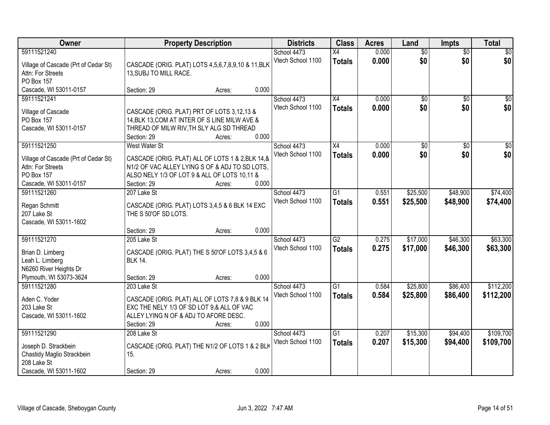| Owner                                 |                                                                                    | <b>Property Description</b> |       | <b>Districts</b>  | <b>Class</b>    | <b>Acres</b> | Land            | <b>Impts</b>    | <b>Total</b>    |
|---------------------------------------|------------------------------------------------------------------------------------|-----------------------------|-------|-------------------|-----------------|--------------|-----------------|-----------------|-----------------|
| 59111521240                           |                                                                                    |                             |       | School 4473       | X4              | 0.000        | $\overline{50}$ | $\overline{50}$ | \$0             |
| Village of Cascade (Prt of Cedar St)  | CASCADE (ORIG. PLAT) LOTS 4,5,6,7,8,9,10 & 11, BLK                                 |                             |       | Vtech School 1100 | <b>Totals</b>   | 0.000        | \$0             | \$0             | \$0             |
| Attn: For Streets                     | 13, SUBJ TO MILL RACE.                                                             |                             |       |                   |                 |              |                 |                 |                 |
| PO Box 157                            |                                                                                    |                             |       |                   |                 |              |                 |                 |                 |
| Cascade, WI 53011-0157                | Section: 29                                                                        | Acres:                      | 0.000 |                   |                 |              |                 |                 |                 |
| 59111521241                           |                                                                                    |                             |       | School 4473       | $\overline{X4}$ | 0.000        | $\overline{50}$ | $\overline{50}$ | \$0             |
|                                       | CASCADE (ORIG. PLAT) PRT OF LOTS 3,12,13 &                                         |                             |       | Vtech School 1100 | <b>Totals</b>   | 0.000        | \$0             | \$0             | \$0             |
| Village of Cascade<br>PO Box 157      | 14, BLK 13, COM AT INTER OF S LINE MILW AVE &                                      |                             |       |                   |                 |              |                 |                 |                 |
| Cascade, WI 53011-0157                | THREAD OF MILW RIV, TH SLY ALG SD THREAD                                           |                             |       |                   |                 |              |                 |                 |                 |
|                                       | Section: 29                                                                        | Acres:                      | 0.000 |                   |                 |              |                 |                 |                 |
| 59111521250                           | West Water St                                                                      |                             |       | School 4473       | X4              | 0.000        | \$0             | \$0             | $\overline{50}$ |
|                                       |                                                                                    |                             |       | Vtech School 1100 | <b>Totals</b>   | 0.000        | \$0             | \$0             | \$0             |
| Village of Cascade (Prt of Cedar St)  | CASCADE (ORIG. PLAT) ALL OF LOTS 1 & 2, BLK 14, &                                  |                             |       |                   |                 |              |                 |                 |                 |
| Attn: For Streets                     | N1/2 OF VAC ALLEY LYING S OF & ADJ TO SD LOTS,                                     |                             |       |                   |                 |              |                 |                 |                 |
| <b>PO Box 157</b>                     | ALSO NELY 1/3 OF LOT 9 & ALL OF LOTS 10,11 &                                       |                             |       |                   |                 |              |                 |                 |                 |
| Cascade, WI 53011-0157                | Section: 29                                                                        | Acres:                      | 0.000 |                   |                 |              |                 |                 |                 |
| 59111521260                           | 207 Lake St                                                                        |                             |       | School 4473       | G1              | 0.551        | \$25,500        | \$48,900        | \$74,400        |
| Regan Schmitt                         | CASCADE (ORIG. PLAT) LOTS 3,4,5 & 6 BLK 14 EXC                                     |                             |       | Vtech School 1100 | <b>Totals</b>   | 0.551        | \$25,500        | \$48,900        | \$74,400        |
| 207 Lake St                           | THE S 50'OF SD LOTS.                                                               |                             |       |                   |                 |              |                 |                 |                 |
| Cascade, WI 53011-1602                |                                                                                    |                             |       |                   |                 |              |                 |                 |                 |
|                                       | Section: 29                                                                        | Acres:                      | 0.000 |                   |                 |              |                 |                 |                 |
| 59111521270                           | 205 Lake St                                                                        |                             |       | School 4473       | $\overline{G2}$ | 0.275        | \$17,000        | \$46,300        | \$63,300        |
| Brian D. Limberg                      | CASCADE (ORIG. PLAT) THE S 50'OF LOTS 3,4,5 & 6                                    |                             |       | Vtech School 1100 | <b>Totals</b>   | 0.275        | \$17,000        | \$46,300        | \$63,300        |
| Leah L. Limberg                       | <b>BLK 14.</b>                                                                     |                             |       |                   |                 |              |                 |                 |                 |
| N6260 River Heights Dr                |                                                                                    |                             |       |                   |                 |              |                 |                 |                 |
| Plymouth, WI 53073-3624               | Section: 29                                                                        | Acres:                      | 0.000 |                   |                 |              |                 |                 |                 |
| 59111521280                           | 203 Lake St                                                                        |                             |       | School 4473       | $\overline{G1}$ | 0.584        | \$25,800        | \$86,400        | \$112,200       |
|                                       |                                                                                    |                             |       | Vtech School 1100 | <b>Totals</b>   | 0.584        | \$25,800        | \$86,400        | \$112,200       |
| Aden C. Yoder                         | CASCADE (ORIG. PLAT) ALL OF LOTS 7,8 & 9 BLK 14                                    |                             |       |                   |                 |              |                 |                 |                 |
| 203 Lake St<br>Cascade, WI 53011-1602 | EXC THE NELY 1/3 OF SD LOT 9,& ALL OF VAC<br>ALLEY LYING N OF & ADJ TO AFORE DESC. |                             |       |                   |                 |              |                 |                 |                 |
|                                       | Section: 29                                                                        | Acres:                      | 0.000 |                   |                 |              |                 |                 |                 |
| 59111521290                           | 208 Lake St                                                                        |                             |       | School 4473       | $\overline{G1}$ | 0.207        | \$15,300        | \$94,400        | \$109,700       |
|                                       |                                                                                    |                             |       | Vtech School 1100 | <b>Totals</b>   | 0.207        | \$15,300        | \$94,400        | \$109,700       |
| Joseph D. Strackbein                  | CASCADE (ORIG. PLAT) THE N1/2 OF LOTS 1 & 2 BLK                                    |                             |       |                   |                 |              |                 |                 |                 |
| Chastidy Maglio Strackbein            | 15.                                                                                |                             |       |                   |                 |              |                 |                 |                 |
| 208 Lake St                           |                                                                                    |                             |       |                   |                 |              |                 |                 |                 |
| Cascade, WI 53011-1602                | Section: 29                                                                        | Acres:                      | 0.000 |                   |                 |              |                 |                 |                 |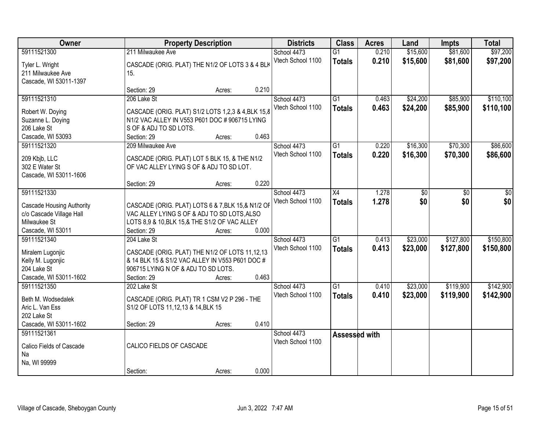| Owner                                                        |                                                                                                   | <b>Property Description</b> |       | <b>Districts</b>  | <b>Class</b>    | <b>Acres</b> | Land            | Impts           | <b>Total</b>    |
|--------------------------------------------------------------|---------------------------------------------------------------------------------------------------|-----------------------------|-------|-------------------|-----------------|--------------|-----------------|-----------------|-----------------|
| 59111521300                                                  | 211 Milwaukee Ave                                                                                 |                             |       | School 4473       | $\overline{G1}$ | 0.210        | \$15,600        | \$81,600        | \$97,200        |
| Tyler L. Wright                                              | CASCADE (ORIG. PLAT) THE N1/2 OF LOTS 3 & 4 BLK                                                   |                             |       | Vtech School 1100 | <b>Totals</b>   | 0.210        | \$15,600        | \$81,600        | \$97,200        |
| 211 Milwaukee Ave                                            | 15.                                                                                               |                             |       |                   |                 |              |                 |                 |                 |
| Cascade, WI 53011-1397                                       |                                                                                                   |                             |       |                   |                 |              |                 |                 |                 |
|                                                              | Section: 29                                                                                       | Acres:                      | 0.210 |                   |                 |              |                 |                 |                 |
| 59111521310                                                  | 206 Lake St                                                                                       |                             |       | School 4473       | $\overline{G1}$ | 0.463        | \$24,200        | \$85,900        | \$110,100       |
| Robert W. Doying                                             | CASCADE (ORIG. PLAT) S1/2 LOTS 1,2,3 & 4, BLK 15,8                                                |                             |       | Vtech School 1100 | <b>Totals</b>   | 0.463        | \$24,200        | \$85,900        | \$110,100       |
| Suzanne L. Doying                                            | N1/2 VAC ALLEY IN V553 P601 DOC # 906715 LYING                                                    |                             |       |                   |                 |              |                 |                 |                 |
| 206 Lake St                                                  | S OF & ADJ TO SD LOTS.                                                                            |                             |       |                   |                 |              |                 |                 |                 |
| Cascade, WI 53093                                            | Section: 29                                                                                       | Acres:                      | 0.463 |                   |                 |              |                 |                 |                 |
| 59111521320                                                  | 209 Milwaukee Ave                                                                                 |                             |       | School 4473       | $\overline{G1}$ | 0.220        | \$16,300        | \$70,300        | \$86,600        |
| 209 Kbjb, LLC                                                | CASCADE (ORIG. PLAT) LOT 5 BLK 15, & THE N1/2                                                     |                             |       | Vtech School 1100 | <b>Totals</b>   | 0.220        | \$16,300        | \$70,300        | \$86,600        |
| 302 E Water St                                               | OF VAC ALLEY LYING S OF & ADJ TO SD LOT.                                                          |                             |       |                   |                 |              |                 |                 |                 |
| Cascade, WI 53011-1606                                       |                                                                                                   |                             |       |                   |                 |              |                 |                 |                 |
|                                                              | Section: 29                                                                                       | Acres:                      | 0.220 |                   |                 |              |                 |                 |                 |
| 59111521330                                                  |                                                                                                   |                             |       | School 4473       | $\overline{X4}$ | 1.278        | $\overline{50}$ | $\overline{30}$ | $\overline{50}$ |
|                                                              |                                                                                                   |                             |       | Vtech School 1100 | <b>Totals</b>   | 1.278        | \$0             | \$0             | \$0             |
| <b>Cascade Housing Authority</b><br>c/o Cascade Village Hall | CASCADE (ORIG. PLAT) LOTS 6 & 7, BLK 15, & N1/2 OF<br>VAC ALLEY LYING S OF & ADJ TO SD LOTS, ALSO |                             |       |                   |                 |              |                 |                 |                 |
| Milwaukee St                                                 | LOTS 8,9 & 10, BLK 15, & THE S1/2 OF VAC ALLEY                                                    |                             |       |                   |                 |              |                 |                 |                 |
| Cascade, WI 53011                                            | Section: 29                                                                                       | Acres:                      | 0.000 |                   |                 |              |                 |                 |                 |
| 59111521340                                                  | 204 Lake St                                                                                       |                             |       | School 4473       | $\overline{G1}$ | 0.413        | \$23,000        | \$127,800       | \$150,800       |
|                                                              |                                                                                                   |                             |       | Vtech School 1100 | <b>Totals</b>   | 0.413        | \$23,000        | \$127,800       | \$150,800       |
| Miralem Lugonjic                                             | CASCADE (ORIG. PLAT) THE N1/2 OF LOTS 11,12,13                                                    |                             |       |                   |                 |              |                 |                 |                 |
| Kelly M. Lugonjic<br>204 Lake St                             | & 14 BLK 15 & S1/2 VAC ALLEY IN V553 P601 DOC #<br>906715 LYING N OF & ADJ TO SD LOTS.            |                             |       |                   |                 |              |                 |                 |                 |
| Cascade, WI 53011-1602                                       | Section: 29                                                                                       | Acres:                      | 0.463 |                   |                 |              |                 |                 |                 |
| 59111521350                                                  | 202 Lake St                                                                                       |                             |       | School 4473       | $\overline{G1}$ | 0.410        | \$23,000        | \$119,900       | \$142,900       |
|                                                              |                                                                                                   |                             |       | Vtech School 1100 | <b>Totals</b>   | 0.410        | \$23,000        | \$119,900       | \$142,900       |
| Beth M. Wodsedalek                                           | CASCADE (ORIG. PLAT) TR 1 CSM V2 P 296 - THE                                                      |                             |       |                   |                 |              |                 |                 |                 |
| Aric L. Van Ess                                              | S1/2 OF LOTS 11,12,13 & 14, BLK 15                                                                |                             |       |                   |                 |              |                 |                 |                 |
| 202 Lake St<br>Cascade, WI 53011-1602                        | Section: 29                                                                                       | Acres:                      | 0.410 |                   |                 |              |                 |                 |                 |
| 59111521361                                                  |                                                                                                   |                             |       | School 4473       |                 |              |                 |                 |                 |
|                                                              |                                                                                                   |                             |       | Vtech School 1100 | Assessed with   |              |                 |                 |                 |
| Calico Fields of Cascade                                     | CALICO FIELDS OF CASCADE                                                                          |                             |       |                   |                 |              |                 |                 |                 |
| Na                                                           |                                                                                                   |                             |       |                   |                 |              |                 |                 |                 |
| Na, WI 99999                                                 |                                                                                                   |                             |       |                   |                 |              |                 |                 |                 |
|                                                              | Section:                                                                                          | Acres:                      | 0.000 |                   |                 |              |                 |                 |                 |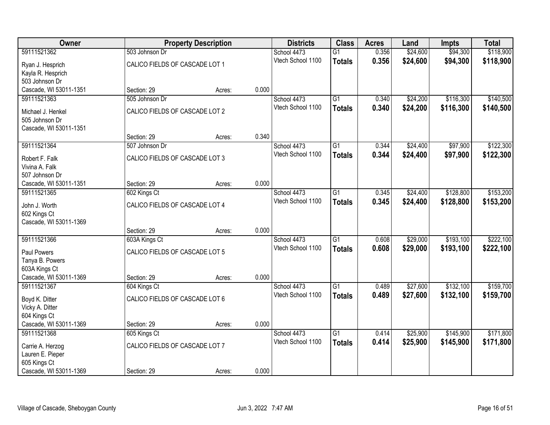| Owner                  |                                | <b>Property Description</b> |       | <b>Districts</b>  | <b>Class</b>    | <b>Acres</b> | Land     | <b>Impts</b> | <b>Total</b> |
|------------------------|--------------------------------|-----------------------------|-------|-------------------|-----------------|--------------|----------|--------------|--------------|
| 59111521362            | 503 Johnson Dr                 |                             |       | School 4473       | $\overline{G1}$ | 0.356        | \$24,600 | \$94,300     | \$118,900    |
| Ryan J. Hesprich       | CALICO FIELDS OF CASCADE LOT 1 |                             |       | Vtech School 1100 | <b>Totals</b>   | 0.356        | \$24,600 | \$94,300     | \$118,900    |
| Kayla R. Hesprich      |                                |                             |       |                   |                 |              |          |              |              |
| 503 Johnson Dr         |                                |                             |       |                   |                 |              |          |              |              |
| Cascade, WI 53011-1351 | Section: 29                    | Acres:                      | 0.000 |                   |                 |              |          |              |              |
| 59111521363            | 505 Johnson Dr                 |                             |       | School 4473       | $\overline{G1}$ | 0.340        | \$24,200 | \$116,300    | \$140,500    |
| Michael J. Henkel      | CALICO FIELDS OF CASCADE LOT 2 |                             |       | Vtech School 1100 | <b>Totals</b>   | 0.340        | \$24,200 | \$116,300    | \$140,500    |
| 505 Johnson Dr         |                                |                             |       |                   |                 |              |          |              |              |
| Cascade, WI 53011-1351 |                                |                             |       |                   |                 |              |          |              |              |
|                        | Section: 29                    | Acres:                      | 0.340 |                   |                 |              |          |              |              |
| 59111521364            | 507 Johnson Dr                 |                             |       | School 4473       | $\overline{G1}$ | 0.344        | \$24,400 | \$97,900     | \$122,300    |
| Robert F. Falk         | CALICO FIELDS OF CASCADE LOT 3 |                             |       | Vtech School 1100 | <b>Totals</b>   | 0.344        | \$24,400 | \$97,900     | \$122,300    |
| Vivina A. Falk         |                                |                             |       |                   |                 |              |          |              |              |
| 507 Johnson Dr         |                                |                             |       |                   |                 |              |          |              |              |
| Cascade, WI 53011-1351 | Section: 29                    | Acres:                      | 0.000 |                   |                 |              |          |              |              |
| 59111521365            | 602 Kings Ct                   |                             |       | School 4473       | $\overline{G1}$ | 0.345        | \$24,400 | \$128,800    | \$153,200    |
| John J. Worth          | CALICO FIELDS OF CASCADE LOT 4 |                             |       | Vtech School 1100 | <b>Totals</b>   | 0.345        | \$24,400 | \$128,800    | \$153,200    |
| 602 Kings Ct           |                                |                             |       |                   |                 |              |          |              |              |
| Cascade, WI 53011-1369 |                                |                             |       |                   |                 |              |          |              |              |
|                        | Section: 29                    | Acres:                      | 0.000 |                   |                 |              |          |              |              |
| 59111521366            | 603A Kings Ct                  |                             |       | School 4473       | $\overline{G1}$ | 0.608        | \$29,000 | \$193,100    | \$222,100    |
| Paul Powers            | CALICO FIELDS OF CASCADE LOT 5 |                             |       | Vtech School 1100 | <b>Totals</b>   | 0.608        | \$29,000 | \$193,100    | \$222,100    |
| Tanya B. Powers        |                                |                             |       |                   |                 |              |          |              |              |
| 603A Kings Ct          |                                |                             |       |                   |                 |              |          |              |              |
| Cascade, WI 53011-1369 | Section: 29                    | Acres:                      | 0.000 |                   |                 |              |          |              |              |
| 59111521367            | 604 Kings Ct                   |                             |       | School 4473       | $\overline{G1}$ | 0.489        | \$27,600 | \$132,100    | \$159,700    |
| Boyd K. Ditter         | CALICO FIELDS OF CASCADE LOT 6 |                             |       | Vtech School 1100 | <b>Totals</b>   | 0.489        | \$27,600 | \$132,100    | \$159,700    |
| Vicky A. Ditter        |                                |                             |       |                   |                 |              |          |              |              |
| 604 Kings Ct           |                                |                             |       |                   |                 |              |          |              |              |
| Cascade, WI 53011-1369 | Section: 29                    | Acres:                      | 0.000 |                   |                 |              |          |              |              |
| 59111521368            | 605 Kings Ct                   |                             |       | School 4473       | $\overline{G1}$ | 0.414        | \$25,900 | \$145,900    | \$171,800    |
| Carrie A. Herzog       | CALICO FIELDS OF CASCADE LOT 7 |                             |       | Vtech School 1100 | <b>Totals</b>   | 0.414        | \$25,900 | \$145,900    | \$171,800    |
| Lauren E. Pieper       |                                |                             |       |                   |                 |              |          |              |              |
| 605 Kings Ct           |                                |                             |       |                   |                 |              |          |              |              |
| Cascade, WI 53011-1369 | Section: 29                    | Acres:                      | 0.000 |                   |                 |              |          |              |              |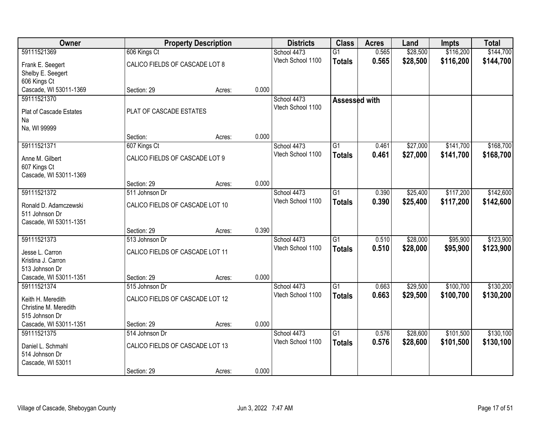| Owner                                 |                                 | <b>Property Description</b> |       | <b>Districts</b>                 | <b>Class</b>    | <b>Acres</b>   | Land                 | Impts                  | <b>Total</b> |
|---------------------------------------|---------------------------------|-----------------------------|-------|----------------------------------|-----------------|----------------|----------------------|------------------------|--------------|
| 59111521369                           | 606 Kings Ct                    |                             |       | School 4473                      | $\overline{G1}$ | 0.565          | \$28,500             | \$116,200              | \$144,700    |
| Frank E. Seegert                      | CALICO FIELDS OF CASCADE LOT 8  |                             |       | Vtech School 1100                | <b>Totals</b>   | 0.565          | \$28,500             | \$116,200              | \$144,700    |
| Shelby E. Seegert                     |                                 |                             |       |                                  |                 |                |                      |                        |              |
| 606 Kings Ct                          |                                 |                             |       |                                  |                 |                |                      |                        |              |
| Cascade, WI 53011-1369                | Section: 29                     | Acres:                      | 0.000 |                                  |                 |                |                      |                        |              |
| 59111521370                           |                                 |                             |       | School 4473                      | Assessed with   |                |                      |                        |              |
| Plat of Cascade Estates               | PLAT OF CASCADE ESTATES         |                             |       | Vtech School 1100                |                 |                |                      |                        |              |
| Na                                    |                                 |                             |       |                                  |                 |                |                      |                        |              |
| Na, WI 99999                          |                                 |                             |       |                                  |                 |                |                      |                        |              |
|                                       | Section:                        | Acres:                      | 0.000 |                                  |                 |                |                      |                        |              |
| 59111521371                           | 607 Kings Ct                    |                             |       | School 4473                      | $\overline{G1}$ | 0.461          | \$27,000             | \$141,700              | \$168,700    |
| Anne M. Gilbert                       | CALICO FIELDS OF CASCADE LOT 9  |                             |       | Vtech School 1100                | <b>Totals</b>   | 0.461          | \$27,000             | \$141,700              | \$168,700    |
| 607 Kings Ct                          |                                 |                             |       |                                  |                 |                |                      |                        |              |
| Cascade, WI 53011-1369                |                                 |                             |       |                                  |                 |                |                      |                        |              |
|                                       | Section: 29                     | Acres:                      | 0.000 |                                  |                 |                |                      |                        |              |
| 59111521372                           | 511 Johnson Dr                  |                             |       | School 4473                      | $\overline{G1}$ | 0.390          | \$25,400             | \$117,200              | \$142,600    |
| Ronald D. Adamczewski                 | CALICO FIELDS OF CASCADE LOT 10 |                             |       | Vtech School 1100                | <b>Totals</b>   | 0.390          | \$25,400             | \$117,200              | \$142,600    |
| 511 Johnson Dr                        |                                 |                             |       |                                  |                 |                |                      |                        |              |
| Cascade, WI 53011-1351                |                                 |                             |       |                                  |                 |                |                      |                        |              |
|                                       | Section: 29                     | Acres:                      | 0.390 |                                  |                 |                |                      |                        |              |
| 59111521373                           | 513 Johnson Dr                  |                             |       | School 4473<br>Vtech School 1100 | $\overline{G1}$ | 0.510          | \$28,000             | \$95,900               | \$123,900    |
| Jesse L. Carron                       | CALICO FIELDS OF CASCADE LOT 11 |                             |       |                                  | <b>Totals</b>   | 0.510          | \$28,000             | \$95,900               | \$123,900    |
| Kristina J. Carron                    |                                 |                             |       |                                  |                 |                |                      |                        |              |
| 513 Johnson Dr                        |                                 |                             |       |                                  |                 |                |                      |                        |              |
| Cascade, WI 53011-1351<br>59111521374 | Section: 29                     | Acres:                      | 0.000 |                                  |                 |                |                      |                        |              |
|                                       | 515 Johnson Dr                  |                             |       | School 4473<br>Vtech School 1100 | $\overline{G1}$ | 0.663<br>0.663 | \$29,500<br>\$29,500 | \$100,700<br>\$100,700 | \$130,200    |
| Keith H. Meredith                     | CALICO FIELDS OF CASCADE LOT 12 |                             |       |                                  | <b>Totals</b>   |                |                      |                        | \$130,200    |
| Christine M. Meredith                 |                                 |                             |       |                                  |                 |                |                      |                        |              |
| 515 Johnson Dr                        |                                 |                             | 0.000 |                                  |                 |                |                      |                        |              |
| Cascade, WI 53011-1351<br>59111521375 | Section: 29<br>514 Johnson Dr   | Acres:                      |       | School 4473                      | $\overline{G1}$ | 0.576          | \$28,600             | \$101,500              | \$130,100    |
|                                       |                                 |                             |       | Vtech School 1100                | <b>Totals</b>   | 0.576          | \$28,600             | \$101,500              | \$130,100    |
| Daniel L. Schmahl                     | CALICO FIELDS OF CASCADE LOT 13 |                             |       |                                  |                 |                |                      |                        |              |
| 514 Johnson Dr                        |                                 |                             |       |                                  |                 |                |                      |                        |              |
| Cascade, WI 53011                     |                                 |                             | 0.000 |                                  |                 |                |                      |                        |              |
|                                       | Section: 29                     | Acres:                      |       |                                  |                 |                |                      |                        |              |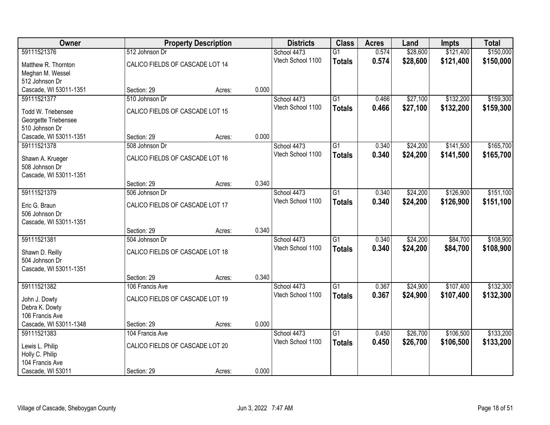| Owner                  |                                 | <b>Property Description</b> |       | <b>Districts</b>  | <b>Class</b>    | <b>Acres</b> | Land     | <b>Impts</b> | <b>Total</b> |
|------------------------|---------------------------------|-----------------------------|-------|-------------------|-----------------|--------------|----------|--------------|--------------|
| 59111521376            | 512 Johnson Dr                  |                             |       | School 4473       | $\overline{G1}$ | 0.574        | \$28,600 | \$121,400    | \$150,000    |
| Matthew R. Thornton    | CALICO FIELDS OF CASCADE LOT 14 |                             |       | Vtech School 1100 | <b>Totals</b>   | 0.574        | \$28,600 | \$121,400    | \$150,000    |
| Meghan M. Wessel       |                                 |                             |       |                   |                 |              |          |              |              |
| 512 Johnson Dr         |                                 |                             |       |                   |                 |              |          |              |              |
| Cascade, WI 53011-1351 | Section: 29                     | Acres:                      | 0.000 |                   |                 |              |          |              |              |
| 59111521377            | 510 Johnson Dr                  |                             |       | School 4473       | $\overline{G1}$ | 0.466        | \$27,100 | \$132,200    | \$159,300    |
| Todd W. Triebensee     | CALICO FIELDS OF CASCADE LOT 15 |                             |       | Vtech School 1100 | <b>Totals</b>   | 0.466        | \$27,100 | \$132,200    | \$159,300    |
| Georgette Triebensee   |                                 |                             |       |                   |                 |              |          |              |              |
| 510 Johnson Dr         |                                 |                             |       |                   |                 |              |          |              |              |
| Cascade, WI 53011-1351 | Section: 29                     | Acres:                      | 0.000 |                   |                 |              |          |              |              |
| 59111521378            | 508 Johnson Dr                  |                             |       | School 4473       | G1              | 0.340        | \$24,200 | \$141,500    | \$165,700    |
| Shawn A. Krueger       | CALICO FIELDS OF CASCADE LOT 16 |                             |       | Vtech School 1100 | <b>Totals</b>   | 0.340        | \$24,200 | \$141,500    | \$165,700    |
| 508 Johnson Dr         |                                 |                             |       |                   |                 |              |          |              |              |
| Cascade, WI 53011-1351 |                                 |                             |       |                   |                 |              |          |              |              |
|                        | Section: 29                     | Acres:                      | 0.340 |                   |                 |              |          |              |              |
| 59111521379            | 506 Johnson Dr                  |                             |       | School 4473       | $\overline{G1}$ | 0.340        | \$24,200 | \$126,900    | \$151,100    |
| Eric G. Braun          | CALICO FIELDS OF CASCADE LOT 17 |                             |       | Vtech School 1100 | <b>Totals</b>   | 0.340        | \$24,200 | \$126,900    | \$151,100    |
| 506 Johnson Dr         |                                 |                             |       |                   |                 |              |          |              |              |
| Cascade, WI 53011-1351 |                                 |                             |       |                   |                 |              |          |              |              |
|                        | Section: 29                     | Acres:                      | 0.340 |                   |                 |              |          |              |              |
| 59111521381            | 504 Johnson Dr                  |                             |       | School 4473       | $\overline{G1}$ | 0.340        | \$24,200 | \$84,700     | \$108,900    |
| Shawn D. Reilly        | CALICO FIELDS OF CASCADE LOT 18 |                             |       | Vtech School 1100 | <b>Totals</b>   | 0.340        | \$24,200 | \$84,700     | \$108,900    |
| 504 Johnson Dr         |                                 |                             |       |                   |                 |              |          |              |              |
| Cascade, WI 53011-1351 |                                 |                             |       |                   |                 |              |          |              |              |
|                        | Section: 29                     | Acres:                      | 0.340 |                   |                 |              |          |              |              |
| 59111521382            | 106 Francis Ave                 |                             |       | School 4473       | $\overline{G1}$ | 0.367        | \$24,900 | \$107,400    | \$132,300    |
| John J. Dowty          | CALICO FIELDS OF CASCADE LOT 19 |                             |       | Vtech School 1100 | <b>Totals</b>   | 0.367        | \$24,900 | \$107,400    | \$132,300    |
| Debra K. Dowty         |                                 |                             |       |                   |                 |              |          |              |              |
| 106 Francis Ave        |                                 |                             |       |                   |                 |              |          |              |              |
| Cascade, WI 53011-1348 | Section: 29                     | Acres:                      | 0.000 |                   |                 |              |          |              |              |
| 59111521383            | 104 Francis Ave                 |                             |       | School 4473       | $\overline{G1}$ | 0.450        | \$26,700 | \$106,500    | \$133,200    |
| Lewis L. Philip        | CALICO FIELDS OF CASCADE LOT 20 |                             |       | Vtech School 1100 | <b>Totals</b>   | 0.450        | \$26,700 | \$106,500    | \$133,200    |
| Holly C. Philip        |                                 |                             |       |                   |                 |              |          |              |              |
| 104 Francis Ave        |                                 |                             |       |                   |                 |              |          |              |              |
| Cascade, WI 53011      | Section: 29                     | Acres:                      | 0.000 |                   |                 |              |          |              |              |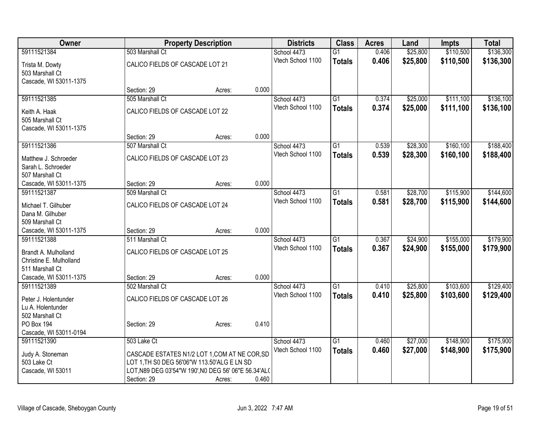| Owner                                                              |                                                                                                                                                                     | <b>Property Description</b> |       | <b>Districts</b>  | <b>Class</b>    | <b>Acres</b> | Land     | <b>Impts</b> | <b>Total</b> |
|--------------------------------------------------------------------|---------------------------------------------------------------------------------------------------------------------------------------------------------------------|-----------------------------|-------|-------------------|-----------------|--------------|----------|--------------|--------------|
| 59111521384                                                        | 503 Marshall Ct                                                                                                                                                     |                             |       | School 4473       | $\overline{G1}$ | 0.406        | \$25,800 | \$110,500    | \$136,300    |
| Trista M. Dowty<br>503 Marshall Ct<br>Cascade, WI 53011-1375       | CALICO FIELDS OF CASCADE LOT 21                                                                                                                                     |                             |       | Vtech School 1100 | <b>Totals</b>   | 0.406        | \$25,800 | \$110,500    | \$136,300    |
|                                                                    | Section: 29                                                                                                                                                         | Acres:                      | 0.000 |                   |                 |              |          |              |              |
| 59111521385                                                        | 505 Marshall Ct                                                                                                                                                     |                             |       | School 4473       | G1              | 0.374        | \$25,000 | \$111,100    | \$136,100    |
| Keith A. Haak<br>505 Marshall Ct<br>Cascade, WI 53011-1375         | CALICO FIELDS OF CASCADE LOT 22                                                                                                                                     |                             |       | Vtech School 1100 | <b>Totals</b>   | 0.374        | \$25,000 | \$111,100    | \$136,100    |
|                                                                    | Section: 29                                                                                                                                                         | Acres:                      | 0.000 |                   |                 |              |          |              |              |
| 59111521386                                                        | 507 Marshall Ct                                                                                                                                                     |                             |       | School 4473       | $\overline{G1}$ | 0.539        | \$28,300 | \$160,100    | \$188,400    |
| Matthew J. Schroeder<br>Sarah L. Schroeder<br>507 Marshall Ct      | CALICO FIELDS OF CASCADE LOT 23                                                                                                                                     |                             |       | Vtech School 1100 | <b>Totals</b>   | 0.539        | \$28,300 | \$160,100    | \$188,400    |
| Cascade, WI 53011-1375                                             | Section: 29                                                                                                                                                         | Acres:                      | 0.000 |                   |                 |              |          |              |              |
| 59111521387                                                        | 509 Marshall Ct                                                                                                                                                     |                             |       | School 4473       | $\overline{G1}$ | 0.581        | \$28,700 | \$115,900    | \$144,600    |
| Michael T. Gilhuber<br>Dana M. Gilhuber<br>509 Marshall Ct         | CALICO FIELDS OF CASCADE LOT 24                                                                                                                                     |                             |       | Vtech School 1100 | <b>Totals</b>   | 0.581        | \$28,700 | \$115,900    | \$144,600    |
| Cascade, WI 53011-1375                                             | Section: 29                                                                                                                                                         | Acres:                      | 0.000 |                   |                 |              |          |              |              |
| 59111521388                                                        | 511 Marshall Ct                                                                                                                                                     |                             |       | School 4473       | $\overline{G1}$ | 0.367        | \$24,900 | \$155,000    | \$179,900    |
| Brandt A. Mulholland<br>Christine E. Mulholland<br>511 Marshall Ct | CALICO FIELDS OF CASCADE LOT 25                                                                                                                                     |                             |       | Vtech School 1100 | <b>Totals</b>   | 0.367        | \$24,900 | \$155,000    | \$179,900    |
| Cascade, WI 53011-1375                                             | Section: 29                                                                                                                                                         | Acres:                      | 0.000 |                   |                 |              |          |              |              |
| 59111521389                                                        | 502 Marshall Ct                                                                                                                                                     |                             |       | School 4473       | $\overline{G1}$ | 0.410        | \$25,800 | \$103,600    | \$129,400    |
| Peter J. Holentunder<br>Lu A. Holentunder<br>502 Marshall Ct       | CALICO FIELDS OF CASCADE LOT 26                                                                                                                                     |                             |       | Vtech School 1100 | <b>Totals</b>   | 0.410        | \$25,800 | \$103,600    | \$129,400    |
| PO Box 194<br>Cascade, WI 53011-0194                               | Section: 29                                                                                                                                                         | Acres:                      | 0.410 |                   |                 |              |          |              |              |
| 59111521390                                                        | 503 Lake Ct                                                                                                                                                         |                             |       | School 4473       | $\overline{G1}$ | 0.460        | \$27,000 | \$148,900    | \$175,900    |
| Judy A. Stoneman<br>503 Lake Ct<br>Cascade, WI 53011               | CASCADE ESTATES N1/2 LOT 1, COM AT NE COR, SD<br>LOT 1, TH S0 DEG 56'06"W 113.50'ALG E LN SD<br>LOT, N89 DEG 03'54"W 190', N0 DEG 56' 06"E 56.34'AL(<br>Section: 29 | Acres:                      | 0.460 | Vtech School 1100 | <b>Totals</b>   | 0.460        | \$27,000 | \$148,900    | \$175,900    |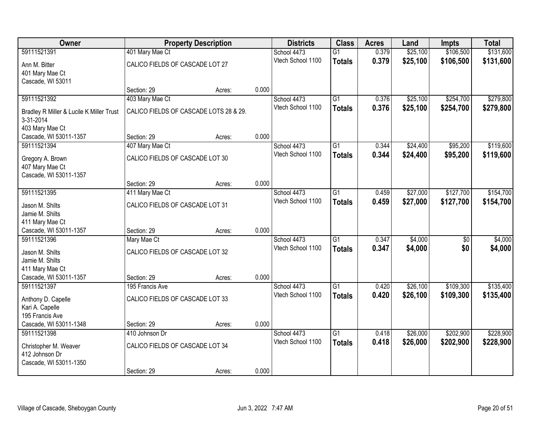| <b>Owner</b>                             |                                        | <b>Property Description</b> |       | <b>Districts</b>  | <b>Class</b>    | <b>Acres</b> | Land     | <b>Impts</b> | <b>Total</b> |
|------------------------------------------|----------------------------------------|-----------------------------|-------|-------------------|-----------------|--------------|----------|--------------|--------------|
| 59111521391                              | 401 Mary Mae Ct                        |                             |       | School 4473       | $\overline{G1}$ | 0.379        | \$25,100 | \$106,500    | \$131,600    |
| Ann M. Bitter                            | CALICO FIELDS OF CASCADE LOT 27        |                             |       | Vtech School 1100 | <b>Totals</b>   | 0.379        | \$25,100 | \$106,500    | \$131,600    |
| 401 Mary Mae Ct                          |                                        |                             |       |                   |                 |              |          |              |              |
| Cascade, WI 53011                        |                                        |                             |       |                   |                 |              |          |              |              |
|                                          | Section: 29                            | Acres:                      | 0.000 |                   |                 |              |          |              |              |
| 59111521392                              | 403 Mary Mae Ct                        |                             |       | School 4473       | $\overline{G1}$ | 0.376        | \$25,100 | \$254,700    | \$279,800    |
| Bradley R Miller & Lucile K Miller Trust | CALICO FIELDS OF CASCADE LOTS 28 & 29. |                             |       | Vtech School 1100 | <b>Totals</b>   | 0.376        | \$25,100 | \$254,700    | \$279,800    |
| 3-31-2014                                |                                        |                             |       |                   |                 |              |          |              |              |
| 403 Mary Mae Ct                          |                                        |                             |       |                   |                 |              |          |              |              |
| Cascade, WI 53011-1357                   | Section: 29                            | Acres:                      | 0.000 |                   |                 |              |          |              |              |
| 59111521394                              | 407 Mary Mae Ct                        |                             |       | School 4473       | $\overline{G1}$ | 0.344        | \$24,400 | \$95,200     | \$119,600    |
| Gregory A. Brown                         | CALICO FIELDS OF CASCADE LOT 30        |                             |       | Vtech School 1100 | <b>Totals</b>   | 0.344        | \$24,400 | \$95,200     | \$119,600    |
| 407 Mary Mae Ct                          |                                        |                             |       |                   |                 |              |          |              |              |
| Cascade, WI 53011-1357                   |                                        |                             |       |                   |                 |              |          |              |              |
|                                          | Section: 29                            | Acres:                      | 0.000 |                   |                 |              |          |              |              |
| 59111521395                              | 411 Mary Mae Ct                        |                             |       | School 4473       | $\overline{G1}$ | 0.459        | \$27,000 | \$127,700    | \$154,700    |
| Jason M. Shilts                          | CALICO FIELDS OF CASCADE LOT 31        |                             |       | Vtech School 1100 | <b>Totals</b>   | 0.459        | \$27,000 | \$127,700    | \$154,700    |
| Jamie M. Shilts                          |                                        |                             |       |                   |                 |              |          |              |              |
| 411 Mary Mae Ct                          |                                        |                             |       |                   |                 |              |          |              |              |
| Cascade, WI 53011-1357                   | Section: 29                            | Acres:                      | 0.000 |                   |                 |              |          |              |              |
| 59111521396                              | Mary Mae Ct                            |                             |       | School 4473       | $\overline{G1}$ | 0.347        | \$4,000  | \$0          | \$4,000      |
| Jason M. Shilts                          | CALICO FIELDS OF CASCADE LOT 32        |                             |       | Vtech School 1100 | <b>Totals</b>   | 0.347        | \$4,000  | \$0          | \$4,000      |
| Jamie M. Shilts                          |                                        |                             |       |                   |                 |              |          |              |              |
| 411 Mary Mae Ct                          |                                        |                             |       |                   |                 |              |          |              |              |
| Cascade, WI 53011-1357                   | Section: 29                            | Acres:                      | 0.000 |                   |                 |              |          |              |              |
| 59111521397                              | 195 Francis Ave                        |                             |       | School 4473       | $\overline{G1}$ | 0.420        | \$26,100 | \$109,300    | \$135,400    |
| Anthony D. Capelle                       | CALICO FIELDS OF CASCADE LOT 33        |                             |       | Vtech School 1100 | <b>Totals</b>   | 0.420        | \$26,100 | \$109,300    | \$135,400    |
| Kari A. Capelle                          |                                        |                             |       |                   |                 |              |          |              |              |
| 195 Francis Ave                          |                                        |                             |       |                   |                 |              |          |              |              |
| Cascade, WI 53011-1348                   | Section: 29                            | Acres:                      | 0.000 |                   |                 |              |          |              |              |
| 59111521398                              | 410 Johnson Dr                         |                             |       | School 4473       | $\overline{G1}$ | 0.418        | \$26,000 | \$202,900    | \$228,900    |
| Christopher M. Weaver                    | CALICO FIELDS OF CASCADE LOT 34        |                             |       | Vtech School 1100 | <b>Totals</b>   | 0.418        | \$26,000 | \$202,900    | \$228,900    |
| 412 Johnson Dr                           |                                        |                             |       |                   |                 |              |          |              |              |
| Cascade, WI 53011-1350                   |                                        |                             |       |                   |                 |              |          |              |              |
|                                          | Section: 29                            | Acres:                      | 0.000 |                   |                 |              |          |              |              |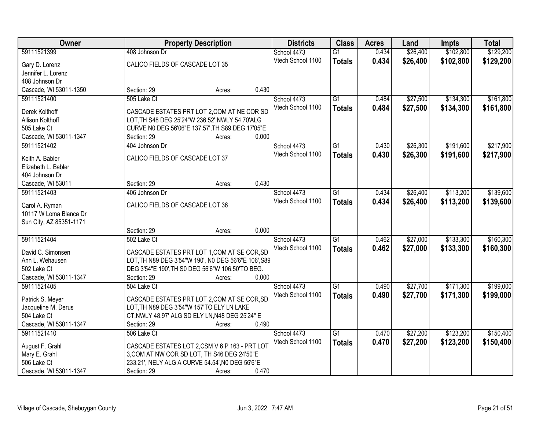| \$102,800<br>\$129,200<br>59111521399<br>408 Johnson Dr<br>$\overline{G1}$<br>0.434<br>\$26,400<br>School 4473<br>Vtech School 1100<br>0.434<br>\$26,400<br>\$102,800<br>\$129,200<br><b>Totals</b><br>CALICO FIELDS OF CASCADE LOT 35<br>Gary D. Lorenz<br>Jennifer L. Lorenz<br>408 Johnson Dr<br>0.430<br>Cascade, WI 53011-1350<br>Section: 29<br>Acres:<br>\$134,300<br>\$161,800<br>$\overline{G1}$<br>\$27,500<br>59111521400<br>505 Lake Ct<br>School 4473<br>0.484<br>Vtech School 1100<br>0.484<br>\$27,500<br>\$134,300<br>\$161,800<br><b>Totals</b><br>CASCADE ESTATES PRT LOT 2, COM AT NE COR SD<br>Derek Kolthoff<br>LOT, TH S48 DEG 25'24"W 236.52', NWLY 54.70'ALG<br>Allison Kolthoff<br>CURVE N0 DEG 56'06"E 137.57', TH S89 DEG 17'05"E<br>505 Lake Ct<br>0.000<br>Cascade, WI 53011-1347<br>Section: 29<br>Acres:<br>\$191,600<br>\$217,900<br>404 Johnson Dr<br>$\overline{G1}$<br>\$26,300<br>59111521402<br>School 4473<br>0.430<br>Vtech School 1100<br>0.430<br>\$26,300<br>\$191,600<br>\$217,900<br><b>Totals</b><br>CALICO FIELDS OF CASCADE LOT 37<br>Keith A. Babler<br>Elizabeth L. Babler<br>404 Johnson Dr<br>0.430<br>Cascade, WI 53011<br>Section: 29<br>Acres:<br>\$26,400<br>\$113,200<br>59111521403<br>School 4473<br>$\overline{G1}$<br>0.434<br>406 Johnson Dr<br>Vtech School 1100<br>0.434<br>\$26,400<br>\$113,200<br>\$139,600<br><b>Totals</b><br>CALICO FIELDS OF CASCADE LOT 36<br>Carol A. Ryman<br>10117 W Loma Blanca Dr<br>Sun City, AZ 85351-1171<br>0.000<br>Section: 29<br>Acres:<br>\$133,300<br>59111521404<br>502 Lake Ct<br>$\overline{G1}$<br>\$27,000<br>0.462<br>School 4473<br>0.462<br>\$27,000<br>\$133,300<br>Vtech School 1100<br>\$160,300<br><b>Totals</b><br>CASCADE ESTATES PRT LOT 1, COM AT SE COR, SD<br>David C. Simonsen<br>Ann L. Wehausen<br>LOT, TH N89 DEG 3'54"W 190', N0 DEG 56'6"E 106', S89<br>502 Lake Ct<br>DEG 3'54"E 190', TH S0 DEG 56'6"W 106.50'TO BEG.<br>Cascade, WI 53011-1347<br>0.000<br>Section: 29<br>Acres:<br>$\overline{G1}$<br>\$171,300<br>59111521405<br>School 4473<br>\$27,700<br>504 Lake Ct<br>0.490 | Owner | <b>Property Description</b> | <b>Districts</b> | <b>Class</b> | <b>Acres</b> | Land | <b>Impts</b> | <b>Total</b> |
|--------------------------------------------------------------------------------------------------------------------------------------------------------------------------------------------------------------------------------------------------------------------------------------------------------------------------------------------------------------------------------------------------------------------------------------------------------------------------------------------------------------------------------------------------------------------------------------------------------------------------------------------------------------------------------------------------------------------------------------------------------------------------------------------------------------------------------------------------------------------------------------------------------------------------------------------------------------------------------------------------------------------------------------------------------------------------------------------------------------------------------------------------------------------------------------------------------------------------------------------------------------------------------------------------------------------------------------------------------------------------------------------------------------------------------------------------------------------------------------------------------------------------------------------------------------------------------------------------------------------------------------------------------------------------------------------------------------------------------------------------------------------------------------------------------------------------------------------------------------------------------------------------------------------------------------------------------------------------------------------------------------------------------------------------------------------------------------------------------------------|-------|-----------------------------|------------------|--------------|--------------|------|--------------|--------------|
|                                                                                                                                                                                                                                                                                                                                                                                                                                                                                                                                                                                                                                                                                                                                                                                                                                                                                                                                                                                                                                                                                                                                                                                                                                                                                                                                                                                                                                                                                                                                                                                                                                                                                                                                                                                                                                                                                                                                                                                                                                                                                                                    |       |                             |                  |              |              |      |              |              |
|                                                                                                                                                                                                                                                                                                                                                                                                                                                                                                                                                                                                                                                                                                                                                                                                                                                                                                                                                                                                                                                                                                                                                                                                                                                                                                                                                                                                                                                                                                                                                                                                                                                                                                                                                                                                                                                                                                                                                                                                                                                                                                                    |       |                             |                  |              |              |      |              |              |
|                                                                                                                                                                                                                                                                                                                                                                                                                                                                                                                                                                                                                                                                                                                                                                                                                                                                                                                                                                                                                                                                                                                                                                                                                                                                                                                                                                                                                                                                                                                                                                                                                                                                                                                                                                                                                                                                                                                                                                                                                                                                                                                    |       |                             |                  |              |              |      |              |              |
|                                                                                                                                                                                                                                                                                                                                                                                                                                                                                                                                                                                                                                                                                                                                                                                                                                                                                                                                                                                                                                                                                                                                                                                                                                                                                                                                                                                                                                                                                                                                                                                                                                                                                                                                                                                                                                                                                                                                                                                                                                                                                                                    |       |                             |                  |              |              |      |              |              |
|                                                                                                                                                                                                                                                                                                                                                                                                                                                                                                                                                                                                                                                                                                                                                                                                                                                                                                                                                                                                                                                                                                                                                                                                                                                                                                                                                                                                                                                                                                                                                                                                                                                                                                                                                                                                                                                                                                                                                                                                                                                                                                                    |       |                             |                  |              |              |      |              |              |
|                                                                                                                                                                                                                                                                                                                                                                                                                                                                                                                                                                                                                                                                                                                                                                                                                                                                                                                                                                                                                                                                                                                                                                                                                                                                                                                                                                                                                                                                                                                                                                                                                                                                                                                                                                                                                                                                                                                                                                                                                                                                                                                    |       |                             |                  |              |              |      |              |              |
|                                                                                                                                                                                                                                                                                                                                                                                                                                                                                                                                                                                                                                                                                                                                                                                                                                                                                                                                                                                                                                                                                                                                                                                                                                                                                                                                                                                                                                                                                                                                                                                                                                                                                                                                                                                                                                                                                                                                                                                                                                                                                                                    |       |                             |                  |              |              |      |              |              |
|                                                                                                                                                                                                                                                                                                                                                                                                                                                                                                                                                                                                                                                                                                                                                                                                                                                                                                                                                                                                                                                                                                                                                                                                                                                                                                                                                                                                                                                                                                                                                                                                                                                                                                                                                                                                                                                                                                                                                                                                                                                                                                                    |       |                             |                  |              |              |      |              |              |
|                                                                                                                                                                                                                                                                                                                                                                                                                                                                                                                                                                                                                                                                                                                                                                                                                                                                                                                                                                                                                                                                                                                                                                                                                                                                                                                                                                                                                                                                                                                                                                                                                                                                                                                                                                                                                                                                                                                                                                                                                                                                                                                    |       |                             |                  |              |              |      |              |              |
|                                                                                                                                                                                                                                                                                                                                                                                                                                                                                                                                                                                                                                                                                                                                                                                                                                                                                                                                                                                                                                                                                                                                                                                                                                                                                                                                                                                                                                                                                                                                                                                                                                                                                                                                                                                                                                                                                                                                                                                                                                                                                                                    |       |                             |                  |              |              |      |              |              |
|                                                                                                                                                                                                                                                                                                                                                                                                                                                                                                                                                                                                                                                                                                                                                                                                                                                                                                                                                                                                                                                                                                                                                                                                                                                                                                                                                                                                                                                                                                                                                                                                                                                                                                                                                                                                                                                                                                                                                                                                                                                                                                                    |       |                             |                  |              |              |      |              |              |
|                                                                                                                                                                                                                                                                                                                                                                                                                                                                                                                                                                                                                                                                                                                                                                                                                                                                                                                                                                                                                                                                                                                                                                                                                                                                                                                                                                                                                                                                                                                                                                                                                                                                                                                                                                                                                                                                                                                                                                                                                                                                                                                    |       |                             |                  |              |              |      |              |              |
|                                                                                                                                                                                                                                                                                                                                                                                                                                                                                                                                                                                                                                                                                                                                                                                                                                                                                                                                                                                                                                                                                                                                                                                                                                                                                                                                                                                                                                                                                                                                                                                                                                                                                                                                                                                                                                                                                                                                                                                                                                                                                                                    |       |                             |                  |              |              |      |              |              |
|                                                                                                                                                                                                                                                                                                                                                                                                                                                                                                                                                                                                                                                                                                                                                                                                                                                                                                                                                                                                                                                                                                                                                                                                                                                                                                                                                                                                                                                                                                                                                                                                                                                                                                                                                                                                                                                                                                                                                                                                                                                                                                                    |       |                             |                  |              |              |      |              |              |
|                                                                                                                                                                                                                                                                                                                                                                                                                                                                                                                                                                                                                                                                                                                                                                                                                                                                                                                                                                                                                                                                                                                                                                                                                                                                                                                                                                                                                                                                                                                                                                                                                                                                                                                                                                                                                                                                                                                                                                                                                                                                                                                    |       |                             |                  |              |              |      |              |              |
| \$139,600<br>\$160,300<br>\$199,000                                                                                                                                                                                                                                                                                                                                                                                                                                                                                                                                                                                                                                                                                                                                                                                                                                                                                                                                                                                                                                                                                                                                                                                                                                                                                                                                                                                                                                                                                                                                                                                                                                                                                                                                                                                                                                                                                                                                                                                                                                                                                |       |                             |                  |              |              |      |              |              |
|                                                                                                                                                                                                                                                                                                                                                                                                                                                                                                                                                                                                                                                                                                                                                                                                                                                                                                                                                                                                                                                                                                                                                                                                                                                                                                                                                                                                                                                                                                                                                                                                                                                                                                                                                                                                                                                                                                                                                                                                                                                                                                                    |       |                             |                  |              |              |      |              |              |
|                                                                                                                                                                                                                                                                                                                                                                                                                                                                                                                                                                                                                                                                                                                                                                                                                                                                                                                                                                                                                                                                                                                                                                                                                                                                                                                                                                                                                                                                                                                                                                                                                                                                                                                                                                                                                                                                                                                                                                                                                                                                                                                    |       |                             |                  |              |              |      |              |              |
|                                                                                                                                                                                                                                                                                                                                                                                                                                                                                                                                                                                                                                                                                                                                                                                                                                                                                                                                                                                                                                                                                                                                                                                                                                                                                                                                                                                                                                                                                                                                                                                                                                                                                                                                                                                                                                                                                                                                                                                                                                                                                                                    |       |                             |                  |              |              |      |              |              |
|                                                                                                                                                                                                                                                                                                                                                                                                                                                                                                                                                                                                                                                                                                                                                                                                                                                                                                                                                                                                                                                                                                                                                                                                                                                                                                                                                                                                                                                                                                                                                                                                                                                                                                                                                                                                                                                                                                                                                                                                                                                                                                                    |       |                             |                  |              |              |      |              |              |
|                                                                                                                                                                                                                                                                                                                                                                                                                                                                                                                                                                                                                                                                                                                                                                                                                                                                                                                                                                                                                                                                                                                                                                                                                                                                                                                                                                                                                                                                                                                                                                                                                                                                                                                                                                                                                                                                                                                                                                                                                                                                                                                    |       |                             |                  |              |              |      |              |              |
|                                                                                                                                                                                                                                                                                                                                                                                                                                                                                                                                                                                                                                                                                                                                                                                                                                                                                                                                                                                                                                                                                                                                                                                                                                                                                                                                                                                                                                                                                                                                                                                                                                                                                                                                                                                                                                                                                                                                                                                                                                                                                                                    |       |                             |                  |              |              |      |              |              |
|                                                                                                                                                                                                                                                                                                                                                                                                                                                                                                                                                                                                                                                                                                                                                                                                                                                                                                                                                                                                                                                                                                                                                                                                                                                                                                                                                                                                                                                                                                                                                                                                                                                                                                                                                                                                                                                                                                                                                                                                                                                                                                                    |       |                             |                  |              |              |      |              |              |
|                                                                                                                                                                                                                                                                                                                                                                                                                                                                                                                                                                                                                                                                                                                                                                                                                                                                                                                                                                                                                                                                                                                                                                                                                                                                                                                                                                                                                                                                                                                                                                                                                                                                                                                                                                                                                                                                                                                                                                                                                                                                                                                    |       |                             |                  |              |              |      |              |              |
|                                                                                                                                                                                                                                                                                                                                                                                                                                                                                                                                                                                                                                                                                                                                                                                                                                                                                                                                                                                                                                                                                                                                                                                                                                                                                                                                                                                                                                                                                                                                                                                                                                                                                                                                                                                                                                                                                                                                                                                                                                                                                                                    |       |                             |                  |              |              |      |              |              |
|                                                                                                                                                                                                                                                                                                                                                                                                                                                                                                                                                                                                                                                                                                                                                                                                                                                                                                                                                                                                                                                                                                                                                                                                                                                                                                                                                                                                                                                                                                                                                                                                                                                                                                                                                                                                                                                                                                                                                                                                                                                                                                                    |       |                             |                  |              |              |      |              |              |
|                                                                                                                                                                                                                                                                                                                                                                                                                                                                                                                                                                                                                                                                                                                                                                                                                                                                                                                                                                                                                                                                                                                                                                                                                                                                                                                                                                                                                                                                                                                                                                                                                                                                                                                                                                                                                                                                                                                                                                                                                                                                                                                    |       |                             |                  |              |              |      |              |              |
|                                                                                                                                                                                                                                                                                                                                                                                                                                                                                                                                                                                                                                                                                                                                                                                                                                                                                                                                                                                                                                                                                                                                                                                                                                                                                                                                                                                                                                                                                                                                                                                                                                                                                                                                                                                                                                                                                                                                                                                                                                                                                                                    |       |                             |                  |              |              |      |              |              |
| Vtech School 1100<br>0.490<br>\$27,700<br>\$199,000<br>\$171,300<br><b>Totals</b>                                                                                                                                                                                                                                                                                                                                                                                                                                                                                                                                                                                                                                                                                                                                                                                                                                                                                                                                                                                                                                                                                                                                                                                                                                                                                                                                                                                                                                                                                                                                                                                                                                                                                                                                                                                                                                                                                                                                                                                                                                  |       |                             |                  |              |              |      |              |              |
| Patrick S. Meyer<br>CASCADE ESTATES PRT LOT 2, COM AT SE COR, SD                                                                                                                                                                                                                                                                                                                                                                                                                                                                                                                                                                                                                                                                                                                                                                                                                                                                                                                                                                                                                                                                                                                                                                                                                                                                                                                                                                                                                                                                                                                                                                                                                                                                                                                                                                                                                                                                                                                                                                                                                                                   |       |                             |                  |              |              |      |              |              |
| LOT, TH N89 DEG 3'54"W 157'TO ELY LN LAKE<br>Jacqueline M. Derus                                                                                                                                                                                                                                                                                                                                                                                                                                                                                                                                                                                                                                                                                                                                                                                                                                                                                                                                                                                                                                                                                                                                                                                                                                                                                                                                                                                                                                                                                                                                                                                                                                                                                                                                                                                                                                                                                                                                                                                                                                                   |       |                             |                  |              |              |      |              |              |
| 504 Lake Ct<br>CT, NWLY 48.97' ALG SD ELY LN, N48 DEG 25'24" E                                                                                                                                                                                                                                                                                                                                                                                                                                                                                                                                                                                                                                                                                                                                                                                                                                                                                                                                                                                                                                                                                                                                                                                                                                                                                                                                                                                                                                                                                                                                                                                                                                                                                                                                                                                                                                                                                                                                                                                                                                                     |       |                             |                  |              |              |      |              |              |
| Cascade, WI 53011-1347<br>0.490<br>Section: 29<br>Acres:                                                                                                                                                                                                                                                                                                                                                                                                                                                                                                                                                                                                                                                                                                                                                                                                                                                                                                                                                                                                                                                                                                                                                                                                                                                                                                                                                                                                                                                                                                                                                                                                                                                                                                                                                                                                                                                                                                                                                                                                                                                           |       |                             |                  |              |              |      |              |              |
| \$27,200<br>\$123,200<br>\$150,400<br>59111521410<br>506 Lake Ct<br>School 4473<br>$\overline{G1}$<br>0.470                                                                                                                                                                                                                                                                                                                                                                                                                                                                                                                                                                                                                                                                                                                                                                                                                                                                                                                                                                                                                                                                                                                                                                                                                                                                                                                                                                                                                                                                                                                                                                                                                                                                                                                                                                                                                                                                                                                                                                                                        |       |                             |                  |              |              |      |              |              |
| Vtech School 1100<br>0.470<br>\$27,200<br>\$123,200<br>\$150,400<br><b>Totals</b><br>CASCADE ESTATES LOT 2,CSM V 6 P 163 - PRT LOT<br>August F. Grahl                                                                                                                                                                                                                                                                                                                                                                                                                                                                                                                                                                                                                                                                                                                                                                                                                                                                                                                                                                                                                                                                                                                                                                                                                                                                                                                                                                                                                                                                                                                                                                                                                                                                                                                                                                                                                                                                                                                                                              |       |                             |                  |              |              |      |              |              |
| Mary E. Grahl<br>3, COM AT NW COR SD LOT, TH S46 DEG 24'50"E                                                                                                                                                                                                                                                                                                                                                                                                                                                                                                                                                                                                                                                                                                                                                                                                                                                                                                                                                                                                                                                                                                                                                                                                                                                                                                                                                                                                                                                                                                                                                                                                                                                                                                                                                                                                                                                                                                                                                                                                                                                       |       |                             |                  |              |              |      |              |              |
| 506 Lake Ct<br>233.21', NELY ALG A CURVE 54.54', N0 DEG 56'6"E                                                                                                                                                                                                                                                                                                                                                                                                                                                                                                                                                                                                                                                                                                                                                                                                                                                                                                                                                                                                                                                                                                                                                                                                                                                                                                                                                                                                                                                                                                                                                                                                                                                                                                                                                                                                                                                                                                                                                                                                                                                     |       |                             |                  |              |              |      |              |              |
| 0.470<br>Cascade, WI 53011-1347<br>Section: 29<br>Acres:                                                                                                                                                                                                                                                                                                                                                                                                                                                                                                                                                                                                                                                                                                                                                                                                                                                                                                                                                                                                                                                                                                                                                                                                                                                                                                                                                                                                                                                                                                                                                                                                                                                                                                                                                                                                                                                                                                                                                                                                                                                           |       |                             |                  |              |              |      |              |              |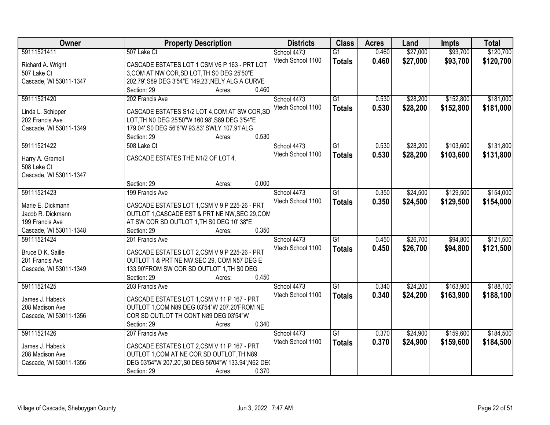| Owner                                  | <b>Property Description</b>                                                                    | <b>Districts</b>  | <b>Class</b>    | <b>Acres</b> | Land     | <b>Impts</b> | <b>Total</b> |
|----------------------------------------|------------------------------------------------------------------------------------------------|-------------------|-----------------|--------------|----------|--------------|--------------|
| 59111521411                            | 507 Lake Ct                                                                                    | School 4473       | $\overline{G1}$ | 0.460        | \$27,000 | \$93,700     | \$120,700    |
| Richard A. Wright                      | CASCADE ESTATES LOT 1 CSM V6 P 163 - PRT LOT                                                   | Vtech School 1100 | <b>Totals</b>   | 0.460        | \$27,000 | \$93,700     | \$120,700    |
| 507 Lake Ct                            | 3, COM AT NW COR, SD LOT, TH S0 DEG 25'50"E                                                    |                   |                 |              |          |              |              |
| Cascade, WI 53011-1347                 | 202.79', S89 DEG 3'54"E 149.23', NELY ALG A CURVE                                              |                   |                 |              |          |              |              |
|                                        | 0.460<br>Section: 29<br>Acres:                                                                 |                   |                 |              |          |              |              |
| 59111521420                            | 202 Francis Ave                                                                                | School 4473       | $\overline{G1}$ | 0.530        | \$28,200 | \$152,800    | \$181,000    |
|                                        |                                                                                                | Vtech School 1100 | <b>Totals</b>   | 0.530        | \$28,200 | \$152,800    | \$181,000    |
| Linda L. Schipper                      | CASCADE ESTATES S1/2 LOT 4, COM AT SW COR, SD                                                  |                   |                 |              |          |              |              |
| 202 Francis Ave                        | LOT, TH N0 DEG 25'50"W 160.98', S89 DEG 3'54"E                                                 |                   |                 |              |          |              |              |
| Cascade, WI 53011-1349                 | 179.04', S0 DEG 56'6"W 93.83' SWLY 107.91'ALG<br>0.530                                         |                   |                 |              |          |              |              |
|                                        | Section: 29<br>Acres:                                                                          |                   |                 |              |          |              |              |
| 59111521422                            | 508 Lake Ct                                                                                    | School 4473       | G1              | 0.530        | \$28,200 | \$103,600    | \$131,800    |
| Harry A. Gramoll                       | CASCADE ESTATES THE N1/2 OF LOT 4.                                                             | Vtech School 1100 | <b>Totals</b>   | 0.530        | \$28,200 | \$103,600    | \$131,800    |
| 508 Lake Ct                            |                                                                                                |                   |                 |              |          |              |              |
| Cascade, WI 53011-1347                 |                                                                                                |                   |                 |              |          |              |              |
|                                        | 0.000<br>Section: 29<br>Acres:                                                                 |                   |                 |              |          |              |              |
| 59111521423                            | 199 Francis Ave                                                                                | School 4473       | G1              | 0.350        | \$24,500 | \$129,500    | \$154,000    |
|                                        |                                                                                                | Vtech School 1100 | <b>Totals</b>   | 0.350        | \$24,500 | \$129,500    | \$154,000    |
| Marie E. Dickmann<br>Jacob R. Dickmann | CASCADE ESTATES LOT 1,CSM V 9 P 225-26 - PRT<br>OUTLOT 1, CASCADE EST & PRT NE NW, SEC 29, CON |                   |                 |              |          |              |              |
| 199 Francis Ave                        | AT SW COR SD OUTLOT 1, TH S0 DEG 10' 38"E                                                      |                   |                 |              |          |              |              |
| Cascade, WI 53011-1348                 | 0.350<br>Section: 29<br>Acres:                                                                 |                   |                 |              |          |              |              |
| 59111521424                            | 201 Francis Ave                                                                                | School 4473       | $\overline{G1}$ | 0.450        | \$26,700 | \$94,800     | \$121,500    |
|                                        |                                                                                                |                   |                 |              |          |              |              |
| Bruce D K. Saille                      | CASCADE ESTATES LOT 2,CSM V 9 P 225-26 - PRT                                                   | Vtech School 1100 | <b>Totals</b>   | 0.450        | \$26,700 | \$94,800     | \$121,500    |
| 201 Francis Ave                        | OUTLOT 1 & PRT NE NW, SEC 29, COM N57 DEG E                                                    |                   |                 |              |          |              |              |
| Cascade, WI 53011-1349                 | 133.90'FROM SW COR SD OUTLOT 1, TH S0 DEG                                                      |                   |                 |              |          |              |              |
|                                        | Section: 29<br>0.450<br>Acres:                                                                 |                   |                 |              |          |              |              |
| 59111521425                            | 203 Francis Ave                                                                                | School 4473       | $\overline{G1}$ | 0.340        | \$24,200 | \$163,900    | \$188,100    |
| James J. Habeck                        | CASCADE ESTATES LOT 1,CSM V 11 P 167 - PRT                                                     | Vtech School 1100 | <b>Totals</b>   | 0.340        | \$24,200 | \$163,900    | \$188,100    |
| 208 Madison Ave                        | OUTLOT 1, COM N89 DEG 03'54"W 207.20'FROM NE                                                   |                   |                 |              |          |              |              |
| Cascade, WI 53011-1356                 | COR SD OUTLOT TH CONT N89 DEG 03'54"W                                                          |                   |                 |              |          |              |              |
|                                        | 0.340<br>Section: 29<br>Acres:                                                                 |                   |                 |              |          |              |              |
| 59111521426                            | 207 Francis Ave                                                                                | School 4473       | $\overline{G1}$ | 0.370        | \$24,900 | \$159,600    | \$184,500    |
|                                        |                                                                                                | Vtech School 1100 | <b>Totals</b>   | 0.370        | \$24,900 | \$159,600    | \$184,500    |
| James J. Habeck                        | CASCADE ESTATES LOT 2,CSM V 11 P 167 - PRT                                                     |                   |                 |              |          |              |              |
| 208 Madison Ave                        | OUTLOT 1, COM AT NE COR SD OUTLOT, TH N89                                                      |                   |                 |              |          |              |              |
| Cascade, WI 53011-1356                 | DEG 03'54"W 207.20', S0 DEG 56'04"W 133.94', N62 DE(                                           |                   |                 |              |          |              |              |
|                                        | 0.370<br>Section: 29<br>Acres:                                                                 |                   |                 |              |          |              |              |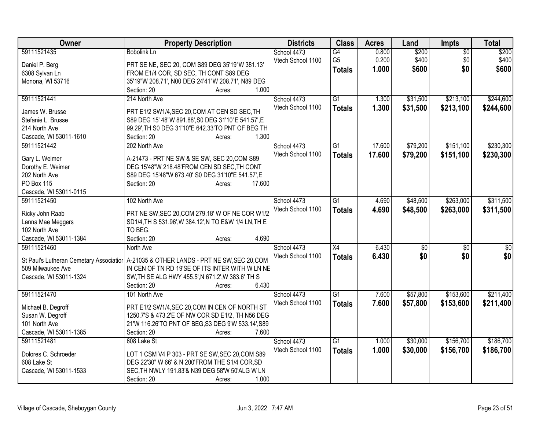| Owner                  | <b>Property Description</b>                                                              | <b>Districts</b>  | <b>Class</b>    | <b>Acres</b> | Land     | <b>Impts</b> | <b>Total</b> |
|------------------------|------------------------------------------------------------------------------------------|-------------------|-----------------|--------------|----------|--------------|--------------|
| 59111521435            | <b>Bobolink Ln</b>                                                                       | School 4473       | G4              | 0.800        | \$200    | \$0          | \$200        |
| Daniel P. Berg         | PRT SE NE, SEC 20, COM S89 DEG 35'19"W 381.13'                                           | Vtech School 1100 | G <sub>5</sub>  | 0.200        | \$400    | \$0          | \$400        |
| 6308 Sylvan Ln         | FROM E1/4 COR, SD SEC, TH CONT S89 DEG                                                   |                   | <b>Totals</b>   | 1.000        | \$600    | \$0          | \$600        |
| Monona, WI 53716       | 35'19"W 208.71', N00 DEG 24'41"W 208.71', N89 DEG                                        |                   |                 |              |          |              |              |
|                        | 1.000<br>Section: 20<br>Acres:                                                           |                   |                 |              |          |              |              |
| 59111521441            | 214 North Ave                                                                            | School 4473       | $\overline{G1}$ | 1.300        | \$31,500 | \$213,100    | \$244,600    |
|                        |                                                                                          | Vtech School 1100 | <b>Totals</b>   | 1.300        | \$31,500 | \$213,100    | \$244,600    |
| James W. Brusse        | PRT E1/2 SW1/4, SEC 20, COM AT CEN SD SEC, TH                                            |                   |                 |              |          |              |              |
| Stefanie L. Brusse     | S89 DEG 15' 48"W 891.88', S0 DEG 31'10"E 541.57', E                                      |                   |                 |              |          |              |              |
| 214 North Ave          | 99.29', TH S0 DEG 31'10"E 642.33'TO PNT OF BEG TH                                        |                   |                 |              |          |              |              |
| Cascade, WI 53011-1610 | 1.300<br>Section: 20<br>Acres:                                                           |                   |                 |              |          |              |              |
| 59111521442            | 202 North Ave                                                                            | School 4473       | $\overline{G1}$ | 17.600       | \$79,200 | \$151,100    | \$230,300    |
| Gary L. Weimer         | A-21473 - PRT NE SW & SE SW, SEC 20, COM S89                                             | Vtech School 1100 | <b>Totals</b>   | 17.600       | \$79,200 | \$151,100    | \$230,300    |
| Dorothy E. Weimer      | DEG 15'48"W 218.48'FROM CEN SD SEC, TH CONT                                              |                   |                 |              |          |              |              |
| 202 North Ave          | S89 DEG 15'48"W 673.40' S0 DEG 31'10"E 541.57',E                                         |                   |                 |              |          |              |              |
| <b>PO Box 115</b>      | 17.600<br>Section: 20<br>Acres:                                                          |                   |                 |              |          |              |              |
| Cascade, WI 53011-0115 |                                                                                          |                   |                 |              |          |              |              |
| 59111521450            | 102 North Ave                                                                            | School 4473       | G1              | 4.690        | \$48,500 | \$263,000    | \$311,500    |
|                        |                                                                                          | Vtech School 1100 | <b>Totals</b>   | 4.690        | \$48,500 | \$263,000    | \$311,500    |
| Ricky John Raab        | PRT NE SW, SEC 20, COM 279.18' W OF NE COR W1/2                                          |                   |                 |              |          |              |              |
| Lanna Mae Meggers      | SD1/4, TH S 531.96', W 384.12', N TO E&W 1/4 LN, TH E                                    |                   |                 |              |          |              |              |
| 102 North Ave          | TO BEG.                                                                                  |                   |                 |              |          |              |              |
| Cascade, WI 53011-1384 | 4.690<br>Section: 20<br>Acres:                                                           |                   |                 |              |          |              |              |
| 59111521460            | North Ave                                                                                | School 4473       | X4              | 6.430        | \$0      | \$0          | \$0          |
|                        | St Paul's Lutheran Cemetary Associatior   A-21035 & OTHER LANDS - PRT NE SW, SEC 20, COM | Vtech School 1100 | <b>Totals</b>   | 6.430        | \$0      | \$0          | \$0          |
| 509 Milwaukee Ave      | IN CEN OF TN RD 19'SE OF ITS INTER WITH W LN NE                                          |                   |                 |              |          |              |              |
| Cascade, WI 53011-1324 | SW, TH SE ALG HWY 455.5', N 671.2', W 383.6' TH S                                        |                   |                 |              |          |              |              |
|                        | 6.430<br>Section: 20<br>Acres:                                                           |                   |                 |              |          |              |              |
| 59111521470            | 101 North Ave                                                                            | School 4473       | $\overline{G1}$ | 7.600        | \$57,800 | \$153,600    | \$211,400    |
|                        |                                                                                          |                   |                 |              |          |              |              |
| Michael B. Degroff     | PRT E1/2 SW1/4, SEC 20, COM IN CEN OF NORTH ST                                           | Vtech School 1100 | <b>Totals</b>   | 7.600        | \$57,800 | \$153,600    | \$211,400    |
| Susan W. Degroff       | 1250.7'S & 473.2'E OF NW COR SD E1/2, TH N56 DEG                                         |                   |                 |              |          |              |              |
| 101 North Ave          | 21'W 116.26'TO PNT OF BEG, S3 DEG 9'W 533.14', S89                                       |                   |                 |              |          |              |              |
| Cascade, WI 53011-1385 | Section: 20<br>7.600<br>Acres:                                                           |                   |                 |              |          |              |              |
| 59111521481            | 608 Lake St                                                                              | School 4473       | $\overline{G1}$ | 1.000        | \$30,000 | \$156,700    | \$186,700    |
|                        |                                                                                          | Vtech School 1100 | <b>Totals</b>   | 1.000        | \$30,000 | \$156,700    | \$186,700    |
| Dolores C. Schroeder   | LOT 1 CSM V4 P 303 - PRT SE SW, SEC 20, COM S89                                          |                   |                 |              |          |              |              |
| 608 Lake St            | DEG 22'30" W 66' & N 200'FROM THE S1/4 COR, SD                                           |                   |                 |              |          |              |              |
| Cascade, WI 53011-1533 | SEC, TH NWLY 191.83'& N39 DEG 58'W 50'ALG W LN                                           |                   |                 |              |          |              |              |
|                        | 1.000<br>Section: 20<br>Acres:                                                           |                   |                 |              |          |              |              |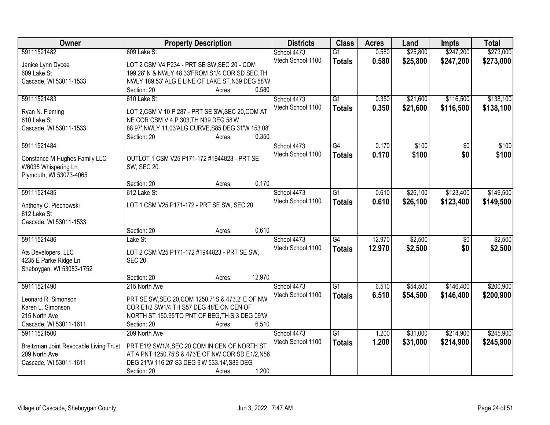| <b>Owner</b>                           | <b>Property Description</b>                                                          | <b>Districts</b>  | <b>Class</b>    | <b>Acres</b> | Land     | <b>Impts</b>    | <b>Total</b> |
|----------------------------------------|--------------------------------------------------------------------------------------|-------------------|-----------------|--------------|----------|-----------------|--------------|
| 59111521482                            | 609 Lake St                                                                          | School 4473       | $\overline{G1}$ | 0.580        | \$25,800 | \$247,200       | \$273,000    |
| Janice Lynn Dycee                      | LOT 2 CSM V4 P234 - PRT SE SW, SEC 20 - COM                                          | Vtech School 1100 | <b>Totals</b>   | 0.580        | \$25,800 | \$247,200       | \$273,000    |
| 609 Lake St                            | 199.28' N & NWLY 48.33'FROM S1/4 COR, SD SEC, TH                                     |                   |                 |              |          |                 |              |
| Cascade, WI 53011-1533                 | NWLY 189.53' ALG E LINE OF LAKE ST, N39 DEG 58'W                                     |                   |                 |              |          |                 |              |
|                                        | 0.580<br>Section: 20<br>Acres:                                                       |                   |                 |              |          |                 |              |
| 59111521483                            | 610 Lake St                                                                          | School 4473       | $\overline{G1}$ | 0.350        | \$21,600 | \$116,500       | \$138,100    |
|                                        |                                                                                      | Vtech School 1100 | <b>Totals</b>   | 0.350        | \$21,600 | \$116,500       | \$138,100    |
| Ryan N. Fleming                        | LOT 2,CSM V 10 P 287 - PRT SE SW, SEC 20, COM AT                                     |                   |                 |              |          |                 |              |
| 610 Lake St                            | NE COR CSM V 4 P 303, TH N39 DEG 58'W                                                |                   |                 |              |          |                 |              |
| Cascade, WI 53011-1533                 | 88.97', NWLY 11.03'ALG CURVE, S85 DEG 31'W 153.08'<br>0.350<br>Section: 20<br>Acres: |                   |                 |              |          |                 |              |
| 59111521484                            |                                                                                      | School 4473       | $\overline{G4}$ | 0.170        | \$100    | $\overline{50}$ | \$100        |
|                                        |                                                                                      | Vtech School 1100 | <b>Totals</b>   | 0.170        | \$100    | \$0             | \$100        |
| Constance M Hughes Family LLC          | OUTLOT 1 CSM V25 P171-172 #1944823 - PRT SE                                          |                   |                 |              |          |                 |              |
| W6035 Whispering Ln                    | SW, SEC 20.                                                                          |                   |                 |              |          |                 |              |
| Plymouth, WI 53073-4065                |                                                                                      |                   |                 |              |          |                 |              |
|                                        | 0.170<br>Section: 20<br>Acres:                                                       |                   |                 |              |          |                 |              |
| 59111521485                            | 612 Lake St                                                                          | School 4473       | G1              | 0.610        | \$26,100 | \$123,400       | \$149,500    |
| Anthony C. Piechowski                  | LOT 1 CSM V25 P171-172 - PRT SE SW, SEC 20.                                          | Vtech School 1100 | <b>Totals</b>   | 0.610        | \$26,100 | \$123,400       | \$149,500    |
| 612 Lake St                            |                                                                                      |                   |                 |              |          |                 |              |
| Cascade, WI 53011-1533                 |                                                                                      |                   |                 |              |          |                 |              |
|                                        | 0.610<br>Section: 20<br>Acres:                                                       |                   |                 |              |          |                 |              |
| 59111521486                            | Lake St                                                                              | School 4473       | G4              | 12.970       | \$2,500  | $\overline{50}$ | \$2,500      |
| Ats Developers, LLC                    | LOT 2 CSM V25 P171-172 #1944823 - PRT SE SW,                                         | Vtech School 1100 | <b>Totals</b>   | 12.970       | \$2,500  | \$0             | \$2,500      |
| 4235 E Parke Ridge Ln                  | <b>SEC 20.</b>                                                                       |                   |                 |              |          |                 |              |
| Sheboygan, WI 53083-1752               |                                                                                      |                   |                 |              |          |                 |              |
|                                        | 12.970<br>Section: 20<br>Acres:                                                      |                   |                 |              |          |                 |              |
| 59111521490                            | 215 North Ave                                                                        | School 4473       | G1              | 6.510        | \$54,500 | \$146,400       | \$200,900    |
|                                        |                                                                                      | Vtech School 1100 | <b>Totals</b>   | 6.510        | \$54,500 | \$146,400       | \$200,900    |
| Leonard R. Simonson                    | PRT SE SW, SEC 20, COM 1250.7' S & 473.2' E OF NW                                    |                   |                 |              |          |                 |              |
| Karen L. Simonson                      | COR E1/2 SW1/4, TH S57 DEG 48'E ON CEN OF                                            |                   |                 |              |          |                 |              |
| 215 North Ave                          | NORTH ST 150.95'TO PNT OF BEG, TH S 3 DEG 09'W                                       |                   |                 |              |          |                 |              |
| Cascade, WI 53011-1611                 | 6.510<br>Section: 20<br>Acres:                                                       |                   |                 |              |          |                 |              |
| 59111521500                            | 209 North Ave                                                                        | School 4473       | $\overline{G1}$ | 1.200        | \$31,000 | \$214,900       | \$245,900    |
| Breitzman Joint Revocable Living Trust | PRT E1/2 SW1/4, SEC 20, COM IN CEN OF NORTH ST                                       | Vtech School 1100 | <b>Totals</b>   | 1.200        | \$31,000 | \$214,900       | \$245,900    |
| 209 North Ave                          | AT A PNT 1250.75'S & 473'E OF NW COR SD E1/2,N56                                     |                   |                 |              |          |                 |              |
| Cascade, WI 53011-1611                 | DEG 21'W 116.26' S3 DEG 9'W 533.14', S89 DEG                                         |                   |                 |              |          |                 |              |
|                                        | 1.200<br>Section: 20<br>Acres:                                                       |                   |                 |              |          |                 |              |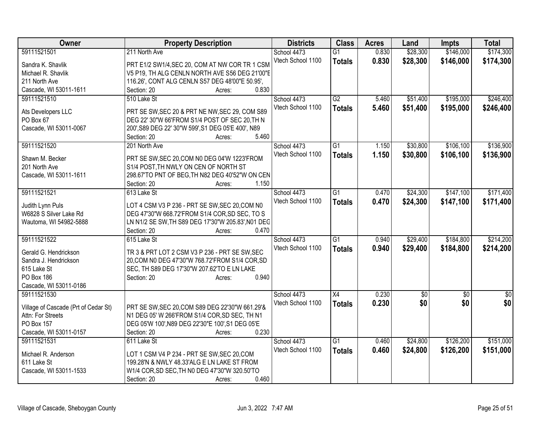| Owner                                | <b>Property Description</b>                                                                          | <b>Districts</b>  | <b>Class</b>    | <b>Acres</b> | Land            | <b>Impts</b>    | <b>Total</b>    |
|--------------------------------------|------------------------------------------------------------------------------------------------------|-------------------|-----------------|--------------|-----------------|-----------------|-----------------|
| 59111521501                          | 211 North Ave                                                                                        | School 4473       | $\overline{G1}$ | 0.830        | \$28,300        | \$146,000       | \$174,300       |
| Sandra K. Shavlik                    | PRT E1/2 SW1/4, SEC 20, COM AT NW COR TR 1 CSM                                                       | Vtech School 1100 | <b>Totals</b>   | 0.830        | \$28,300        | \$146,000       | \$174,300       |
| Michael R. Shavlik                   | V5 P19, TH ALG CENLN NORTH AVE S56 DEG 21'00"E                                                       |                   |                 |              |                 |                 |                 |
| 211 North Ave                        | 116.26', CONT ALG CENLN S57 DEG 48'00"E 50.95',                                                      |                   |                 |              |                 |                 |                 |
| Cascade, WI 53011-1611               | 0.830<br>Section: 20<br>Acres:                                                                       |                   |                 |              |                 |                 |                 |
| 59111521510                          | 510 Lake St                                                                                          | School 4473       | G2              | 5.460        | \$51,400        | \$195,000       | \$246,400       |
|                                      |                                                                                                      | Vtech School 1100 | <b>Totals</b>   | 5.460        | \$51,400        | \$195,000       | \$246,400       |
| Ats Developers LLC                   | PRT SE SW, SEC 20 & PRT NE NW, SEC 29, COM S89                                                       |                   |                 |              |                 |                 |                 |
| PO Box 67<br>Cascade, WI 53011-0067  | DEG 22' 30"W 66'FROM S1/4 POST OF SEC 20, TH N<br>200', S89 DEG 22' 30"W 599', S1 DEG 05'E 400', N89 |                   |                 |              |                 |                 |                 |
|                                      | 5.460<br>Section: 20<br>Acres:                                                                       |                   |                 |              |                 |                 |                 |
| 59111521520                          | 201 North Ave                                                                                        | School 4473       | G1              | 1.150        | \$30,800        | \$106,100       | \$136,900       |
|                                      |                                                                                                      | Vtech School 1100 |                 | 1.150        | \$30,800        | \$106,100       | \$136,900       |
| Shawn M. Becker                      | PRT SE SW, SEC 20, COM N0 DEG 04'W 1223'FROM                                                         |                   | <b>Totals</b>   |              |                 |                 |                 |
| 201 North Ave                        | S1/4 POST, TH NWLY ON CEN OF NORTH ST                                                                |                   |                 |              |                 |                 |                 |
| Cascade, WI 53011-1611               | 298.67'TO PNT OF BEG, TH N82 DEG 40'52"W ON CEN                                                      |                   |                 |              |                 |                 |                 |
|                                      | 1.150<br>Section: 20<br>Acres:                                                                       |                   |                 |              |                 |                 |                 |
| 59111521521                          | 613 Lake St                                                                                          | School 4473       | $\overline{G1}$ | 0.470        | \$24,300        | \$147,100       | \$171,400       |
| Judith Lynn Puls                     | LOT 4 CSM V3 P 236 - PRT SE SW, SEC 20, COM N0                                                       | Vtech School 1100 | <b>Totals</b>   | 0.470        | \$24,300        | \$147,100       | \$171,400       |
| W6828 S Silver Lake Rd               | DEG 47'30"W 668.72'FROM S1/4 COR, SD SEC, TO S                                                       |                   |                 |              |                 |                 |                 |
| Wautoma, WI 54982-5888               | LN N1/2 SE SW, TH S89 DEG 17'30"W 205.83', N01 DEG                                                   |                   |                 |              |                 |                 |                 |
|                                      | 0.470<br>Section: 20<br>Acres:                                                                       |                   |                 |              |                 |                 |                 |
| 59111521522                          | 615 Lake St                                                                                          | School 4473       | $\overline{G1}$ | 0.940        | \$29,400        | \$184,800       | \$214,200       |
|                                      |                                                                                                      | Vtech School 1100 | <b>Totals</b>   | 0.940        | \$29,400        | \$184,800       | \$214,200       |
| Gerald G. Hendrickson                | TR 3 & PRT LOT 2 CSM V3 P 236 - PRT SE SW, SEC                                                       |                   |                 |              |                 |                 |                 |
| Sandra J. Hendrickson                | 20, COM N0 DEG 47'30"W 768.72' FROM S1/4 COR, SD                                                     |                   |                 |              |                 |                 |                 |
| 615 Lake St<br>PO Box 186            | SEC, TH S89 DEG 17'30"W 207.62'TO E LN LAKE<br>0.940                                                 |                   |                 |              |                 |                 |                 |
| Cascade, WI 53011-0186               | Section: 20<br>Acres:                                                                                |                   |                 |              |                 |                 |                 |
| 59111521530                          |                                                                                                      | School 4473       | $\overline{X4}$ | 0.230        | $\overline{60}$ | $\overline{30}$ | $\overline{30}$ |
|                                      |                                                                                                      | Vtech School 1100 | <b>Totals</b>   | 0.230        | \$0             | \$0             | \$0             |
| Village of Cascade (Prt of Cedar St) | PRT SE SW, SEC 20, COM S89 DEG 22'30"W 661.29'&                                                      |                   |                 |              |                 |                 |                 |
| Attn: For Streets                    | N1 DEG 05' W 266'FROM S1/4 COR, SD SEC, TH N1                                                        |                   |                 |              |                 |                 |                 |
| PO Box 157                           | DEG 05'W 100', N89 DEG 22'30"E 100', S1 DEG 05'E                                                     |                   |                 |              |                 |                 |                 |
| Cascade, WI 53011-0157               | 0.230<br>Section: 20<br>Acres:                                                                       |                   |                 |              |                 |                 |                 |
| 59111521531                          | 611 Lake St                                                                                          | School 4473       | $\overline{G1}$ | 0.460        | \$24,800        | \$126,200       | \$151,000       |
| Michael R. Anderson                  | LOT 1 CSM V4 P 234 - PRT SE SW, SEC 20, COM                                                          | Vtech School 1100 | <b>Totals</b>   | 0.460        | \$24,800        | \$126,200       | \$151,000       |
| 611 Lake St                          | 199.28'N & NWLY 48.33'ALG E LN LAKE ST FROM                                                          |                   |                 |              |                 |                 |                 |
| Cascade, WI 53011-1533               | W1/4 COR, SD SEC, TH N0 DEG 47'30"W 320.50'TO                                                        |                   |                 |              |                 |                 |                 |
|                                      | 0.460<br>Section: 20<br>Acres:                                                                       |                   |                 |              |                 |                 |                 |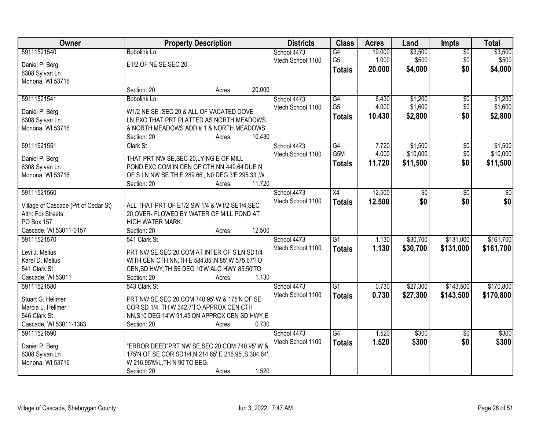| Owner                                | <b>Property Description</b>                             |        |        | <b>Districts</b>  | <b>Class</b>    | <b>Acres</b> | Land     | <b>Impts</b>    | <b>Total</b> |
|--------------------------------------|---------------------------------------------------------|--------|--------|-------------------|-----------------|--------------|----------|-----------------|--------------|
| 59111521540                          | <b>Bobolink Ln</b>                                      |        |        | School 4473       | G4              | 19.000       | \$3,500  | $\overline{50}$ | \$3,500      |
| Daniel P. Berg                       | E1/2 OF NE SE, SEC 20.                                  |        |        | Vtech School 1100 | G <sub>5</sub>  | 1.000        | \$500    | \$0             | \$500        |
| 6308 Sylvan Ln                       |                                                         |        |        |                   | <b>Totals</b>   | 20.000       | \$4,000  | \$0             | \$4,000      |
| Monona, WI 53716                     |                                                         |        |        |                   |                 |              |          |                 |              |
|                                      | Section: 20                                             | Acres: | 20.000 |                   |                 |              |          |                 |              |
| 59111521541                          | <b>Bobolink Ln</b>                                      |        |        | School 4473       | $\overline{G4}$ | 6.430        | \$1,200  | \$0             | \$1,200      |
| Daniel P. Berg                       | W1/2 NE SE, SEC 20 & ALL OF VACATED DOVE                |        |        | Vtech School 1100 | G <sub>5</sub>  | 4.000        | \$1,600  | \$0             | \$1,600      |
| 6308 Sylvan Ln                       | LN, EXC THAT PRT PLATTED AS NORTH MEADOWS,              |        |        |                   | <b>Totals</b>   | 10.430       | \$2,800  | \$0             | \$2,800      |
| Monona, WI 53716                     | & NORTH MEADOWS ADD #1& NORTH MEADOWS                   |        |        |                   |                 |              |          |                 |              |
|                                      | Section: 20                                             | Acres: | 10.430 |                   |                 |              |          |                 |              |
| 59111521551                          | Clark St                                                |        |        | School 4473       | G4              | 7.720        | \$1,500  | \$0             | \$1,500      |
|                                      |                                                         |        |        | Vtech School 1100 | G5M             | 4.000        | \$10,000 | \$0             | \$10,000     |
| Daniel P. Berg                       | THAT PRT NW SE, SEC 20, LYING E OF MILL                 |        |        |                   | <b>Totals</b>   | 11.720       | \$11,500 | \$0             | \$11,500     |
| 6308 Sylvan Ln                       | POND, EXC COM IN CEN OF CTH NN 449.64'DUE N             |        |        |                   |                 |              |          |                 |              |
| Monona, WI 53716                     | OF S LN NW SE, TH E 289.66', NO DEG 3'E 295.33', W      |        |        |                   |                 |              |          |                 |              |
|                                      | Section: 20                                             | Acres: | 11.720 |                   |                 |              |          |                 |              |
| 59111521560                          |                                                         |        |        | School 4473       | X4              | 12.500       | \$0      | \$0             | \$0          |
| Village of Cascade (Prt of Cedar St) | ALL THAT PRT OF E1/2 SW 1/4 & W1/2 SE1/4, SEC           |        |        | Vtech School 1100 | <b>Totals</b>   | 12.500       | \$0      | \$0             | \$0          |
| Attn: For Streets                    | 20, OVER- FLOWED BY WATER OF MILL POND AT               |        |        |                   |                 |              |          |                 |              |
| <b>PO Box 157</b>                    | HIGH WATER MARK.                                        |        |        |                   |                 |              |          |                 |              |
| Cascade, WI 53011-0157               | Section: 20                                             | Acres: | 12.500 |                   |                 |              |          |                 |              |
| 59111521570                          | 541 Clark St                                            |        |        | School 4473       | $\overline{G1}$ | 1.130        | \$30,700 | \$131,000       | \$161,700    |
| Levi J. Melius                       | PRT NW SE, SEC 20, COM AT INTER OF S LN SD1/4           |        |        | Vtech School 1100 | <b>Totals</b>   | 1.130        | \$30,700 | \$131,000       | \$161,700    |
| Karel D. Melius                      | WITH CEN CTH NN, TH E 584.85', N 85', W 575.67'TO       |        |        |                   |                 |              |          |                 |              |
| 541 Clark St                         | CEN, SD HWY, TH S6 DEG 10'W ALG HWY 85.50'TO            |        |        |                   |                 |              |          |                 |              |
| Cascade, WI 53011                    | Section: 20                                             | Acres: | 1.130  |                   |                 |              |          |                 |              |
| 59111521580                          | 543 Clark St                                            |        |        | School 4473       | G1              | 0.730        | \$27,300 | \$143,500       | \$170,800    |
|                                      |                                                         |        |        | Vtech School 1100 | <b>Totals</b>   | 0.730        | \$27,300 | \$143,500       | \$170,800    |
| Stuart G. Hellmer                    | PRT NW SE, SEC 20, COM 740.95' W & 175'N OF SE          |        |        |                   |                 |              |          |                 |              |
| Marcia L. Hellmer                    | COR SD 1/4, TH W 342.7'TO APPROX CEN CTH                |        |        |                   |                 |              |          |                 |              |
| 546 Clark St                         | NN, S10 DEG 14'W 91.45'ON APPROX CEN SD HWY, E          |        |        |                   |                 |              |          |                 |              |
| Cascade, WI 53011-1383               | Section: 20                                             | Acres: | 0.730  |                   |                 |              |          |                 |              |
| 59111521590                          |                                                         |        |        | School 4473       | G4              | 1.520        | \$300    | $\overline{30}$ | \$300        |
| Daniel P. Berg                       | "ERROR DEED"PRT NW SE, SEC 20, COM 740.95' W &          |        |        | Vtech School 1100 | <b>Totals</b>   | 1.520        | \$300    | \$0             | \$300        |
| 6308 Sylvan Ln                       | 175'N OF SE COR SD1/4, N 214.65', E 216.95', S 304.64', |        |        |                   |                 |              |          |                 |              |
| Monona, WI 53716                     | W 216.95'M/L, TH N 90'TO BEG.                           |        |        |                   |                 |              |          |                 |              |
|                                      | Section: 20                                             | Acres: | 1.520  |                   |                 |              |          |                 |              |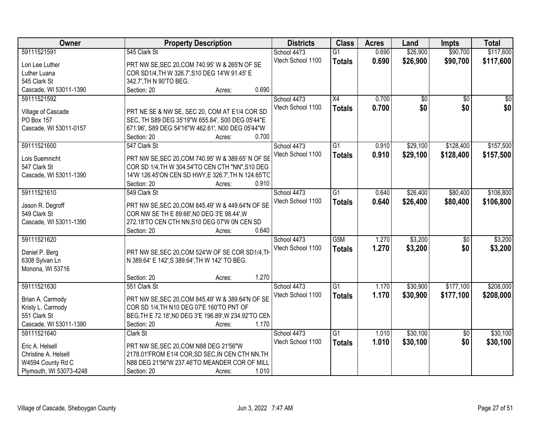| Owner                   | <b>Property Description</b>                           | <b>Districts</b>  | <b>Class</b>    | <b>Acres</b> | Land            | <b>Impts</b>    | <b>Total</b>    |
|-------------------------|-------------------------------------------------------|-------------------|-----------------|--------------|-----------------|-----------------|-----------------|
| 59111521591             | 545 Clark St                                          | School 4473       | $\overline{G1}$ | 0.690        | \$26,900        | \$90,700        | \$117,600       |
| Lori Lee Luther         | PRT NW SE, SEC 20, COM 740.95' W & 265'N OF SE        | Vtech School 1100 | <b>Totals</b>   | 0.690        | \$26,900        | \$90,700        | \$117,600       |
| Luther Luana            | COR SD1/4, TH W 326.7', S10 DEG 14'W 91.45' E         |                   |                 |              |                 |                 |                 |
| 545 Clark St            | 342.7', TH N 90'TO BEG.                               |                   |                 |              |                 |                 |                 |
| Cascade, WI 53011-1390  | 0.690<br>Section: 20<br>Acres:                        |                   |                 |              |                 |                 |                 |
| 59111521592             |                                                       | School 4473       | X4              | 0.700        | $\overline{50}$ | $\overline{50}$ | $\overline{50}$ |
|                         |                                                       | Vtech School 1100 | <b>Totals</b>   | 0.700        | \$0             | \$0             | \$0             |
| Village of Cascade      | PRT NE SE & NW SE, SEC 20, COM AT E1/4 COR SD         |                   |                 |              |                 |                 |                 |
| PO Box 157              | SEC, TH S89 DEG 35'19"W 655.84', S00 DEG 05'44"E      |                   |                 |              |                 |                 |                 |
| Cascade, WI 53011-0157  | 671.96', S89 DEG 54'16"W 462.61', N00 DEG 05'44"W     |                   |                 |              |                 |                 |                 |
|                         | Section: 20<br>0.700<br>Acres:                        |                   |                 |              |                 |                 |                 |
| 59111521600             | 547 Clark St                                          | School 4473       | G1              | 0.910        | \$29,100        | \$128,400       | \$157,500       |
|                         |                                                       | Vtech School 1100 | <b>Totals</b>   | 0.910        | \$29,100        | \$128,400       | \$157,500       |
| Lois Suemnicht          | PRT NW SE, SEC 20, COM 740.95' W & 389.65' N OF SE    |                   |                 |              |                 |                 |                 |
| 547 Clark St            | COR SD 1/4, TH W 304.54'TO CEN CTH "NN", S10 DEG      |                   |                 |              |                 |                 |                 |
| Cascade, WI 53011-1390  | 14'W 126.45'ON CEN SD HWY, E 326.7', TH N 124.65'TC   |                   |                 |              |                 |                 |                 |
|                         | Section: 20<br>0.910<br>Acres:                        |                   |                 |              |                 |                 |                 |
| 59111521610             | 549 Clark St                                          | School 4473       | $\overline{G1}$ | 0.640        | \$26,400        | \$80,400        | \$106,800       |
| Jason R. Degroff        | PRT NW SE, SEC 20, COM 845.49' W & 449.64'N OF SE     | Vtech School 1100 | <b>Totals</b>   | 0.640        | \$26,400        | \$80,400        | \$106,800       |
| 549 Clark St            | COR NW SE TH E 89.66', NO DEG 3'E 98.44', W           |                   |                 |              |                 |                 |                 |
| Cascade, WI 53011-1390  | 272.18'TO CEN CTH NN, S10 DEG 07'W 0N CEN SD          |                   |                 |              |                 |                 |                 |
|                         | 0.640<br>Section: 20<br>Acres:                        |                   |                 |              |                 |                 |                 |
| 59111521620             |                                                       | School 4473       | G5M             | 1.270        | \$3,200         | $\overline{50}$ | \$3,200         |
|                         |                                                       | Vtech School 1100 | <b>Totals</b>   | 1.270        | \$3,200         | \$0             | \$3,200         |
| Daniel P. Berg          | PRT NW SE, SEC 20, COM 524'W OF SE COR SD1/4, TH      |                   |                 |              |                 |                 |                 |
| 6308 Sylvan Ln          | N 389.64' E 142', S 389.64', TH W 142' TO BEG.        |                   |                 |              |                 |                 |                 |
| Monona, WI 53716        |                                                       |                   |                 |              |                 |                 |                 |
|                         | 1.270<br>Section: 20<br>Acres:                        |                   |                 |              |                 |                 |                 |
| 59111521630             | 551 Clark St                                          | School 4473       | $\overline{G1}$ | 1.170        | \$30,900        | \$177,100       | \$208,000       |
| Brian A. Carmody        | PRT NW SE, SEC 20, COM 845.49' W & 389.64'N OF SE     | Vtech School 1100 | <b>Totals</b>   | 1.170        | \$30,900        | \$177,100       | \$208,000       |
| Kristy L. Carmody       | COR SD 1/4, TH N10 DEG 07'E 160'TO PNT OF             |                   |                 |              |                 |                 |                 |
| 551 Clark St            | BEG, TH E 72.18', NO DEG 3'E 196.89', W 234.92'TO CEN |                   |                 |              |                 |                 |                 |
| Cascade, WI 53011-1390  | 1.170<br>Section: 20<br>Acres:                        |                   |                 |              |                 |                 |                 |
| 59111521640             | Clark St                                              | School 4473       | $\overline{G1}$ | 1.010        | \$30,100        | $\overline{50}$ | \$30,100        |
|                         |                                                       |                   |                 |              |                 |                 |                 |
| Eric A. Helsell         | PRT NW SE, SEC 20, COM N88 DEG 21'56"W                | Vtech School 1100 | <b>Totals</b>   | 1.010        | \$30,100        | \$0             | \$30,100        |
| Christine A. Helsell    | 2178.01'FROM E1/4 COR, SD SEC, IN CEN CTH NN, TH      |                   |                 |              |                 |                 |                 |
| W4594 County Rd C       | N88 DEG 21'56"W 237.46'TO MEANDER COR OF MILL         |                   |                 |              |                 |                 |                 |
| Plymouth, WI 53073-4248 | 1.010<br>Section: 20<br>Acres:                        |                   |                 |              |                 |                 |                 |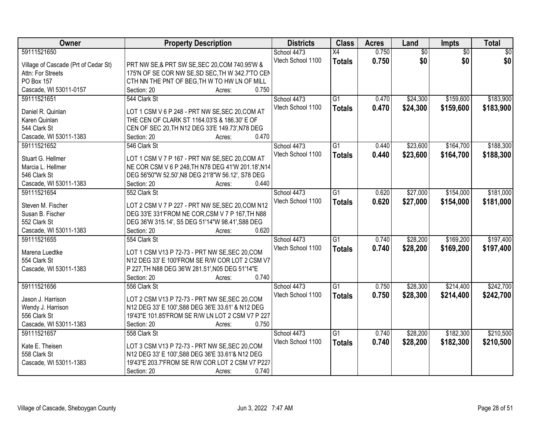| Owner                                | <b>Property Description</b>                        | <b>Districts</b>  | <b>Class</b>    | <b>Acres</b> | Land            | Impts           | <b>Total</b> |
|--------------------------------------|----------------------------------------------------|-------------------|-----------------|--------------|-----------------|-----------------|--------------|
| 59111521650                          |                                                    | School 4473       | $\overline{X4}$ | 0.750        | $\overline{60}$ | $\overline{50}$ | \$0          |
| Village of Cascade (Prt of Cedar St) | PRT NW SE,& PRT SW SE, SEC 20, COM 740.95'W &      | Vtech School 1100 | <b>Totals</b>   | 0.750        | \$0             | \$0             | \$0          |
| Attn: For Streets                    | 175'N OF SE COR NW SE, SD SEC, TH W 342.7'TO CEN   |                   |                 |              |                 |                 |              |
| PO Box 157                           | CTH NN THE PNT OF BEG, TH W TO HW LN OF MILL       |                   |                 |              |                 |                 |              |
| Cascade, WI 53011-0157               | 0.750<br>Section: 20<br>Acres:                     |                   |                 |              |                 |                 |              |
| 59111521651                          | 544 Clark St                                       | School 4473       | $\overline{G1}$ | 0.470        | \$24,300        | \$159,600       | \$183,900    |
|                                      |                                                    | Vtech School 1100 | <b>Totals</b>   | 0.470        | \$24,300        | \$159,600       | \$183,900    |
| Daniel R. Quinlan                    | LOT 1 CSM V 6 P 248 - PRT NW SE, SEC 20, COM AT    |                   |                 |              |                 |                 |              |
| Karen Quinlan                        | THE CEN OF CLARK ST 1164.03'S & 186.30' E OF       |                   |                 |              |                 |                 |              |
| 544 Clark St                         | CEN OF SEC 20, TH N12 DEG 33'E 149.73', N78 DEG    |                   |                 |              |                 |                 |              |
| Cascade, WI 53011-1383               | 0.470<br>Section: 20<br>Acres:                     |                   |                 |              |                 |                 |              |
| 59111521652                          | 546 Clark St                                       | School 4473       | $\overline{G1}$ | 0.440        | \$23,600        | \$164,700       | \$188,300    |
| Stuart G. Hellmer                    | LOT 1 CSM V 7 P 167 - PRT NW SE, SEC 20, COM AT    | Vtech School 1100 | <b>Totals</b>   | 0.440        | \$23,600        | \$164,700       | \$188,300    |
| Marcia L. Hellmer                    | NE COR CSM V 6 P 248, TH N78 DEG 41'W 201.18', N14 |                   |                 |              |                 |                 |              |
| 546 Clark St                         | DEG 56'50"W 52.50', N8 DEG 21'8"W 56.12', S78 DEG  |                   |                 |              |                 |                 |              |
| Cascade, WI 53011-1383               | Section: 20<br>0.440<br>Acres:                     |                   |                 |              |                 |                 |              |
| 59111521654                          | 552 Clark St                                       | School 4473       | G1              | 0.620        | \$27,000        | \$154,000       | \$181,000    |
|                                      |                                                    | Vtech School 1100 |                 | 0.620        | \$27,000        | \$154,000       | \$181,000    |
| Steven M. Fischer                    | LOT 2 CSM V 7 P 227 - PRT NW SE, SEC 20, COM N12   |                   | <b>Totals</b>   |              |                 |                 |              |
| Susan B. Fischer                     | DEG 33'E 331'FROM NE COR, CSM V 7 P 167, TH N88    |                   |                 |              |                 |                 |              |
| 552 Clark St                         | DEG 36'W 315.14', S5 DEG 51'14"W 98.41', S88 DEG   |                   |                 |              |                 |                 |              |
| Cascade, WI 53011-1383               | 0.620<br>Section: 20<br>Acres:                     |                   |                 |              |                 |                 |              |
| 59111521655                          | 554 Clark St                                       | School 4473       | $\overline{G1}$ | 0.740        | \$28,200        | \$169,200       | \$197,400    |
| Marena Luedtke                       | LOT 1 CSM V13 P 72-73 - PRT NW SE, SEC 20, COM     | Vtech School 1100 | <b>Totals</b>   | 0.740        | \$28,200        | \$169,200       | \$197,400    |
| 554 Clark St                         | N12 DEG 33' E 100'FROM SE R/W COR LOT 2 CSM V7     |                   |                 |              |                 |                 |              |
| Cascade, WI 53011-1383               | P 227, TH N88 DEG 36'W 281.51', N05 DEG 51'14"E    |                   |                 |              |                 |                 |              |
|                                      | 0.740                                              |                   |                 |              |                 |                 |              |
|                                      | Section: 20<br>Acres:                              |                   |                 |              |                 |                 |              |
| 59111521656                          | 556 Clark St                                       | School 4473       | $\overline{G1}$ | 0.750        | \$28,300        | \$214,400       | \$242,700    |
| Jason J. Harrison                    | LOT 2 CSM V13 P 72-73 - PRT NW SE, SEC 20, COM     | Vtech School 1100 | <b>Totals</b>   | 0.750        | \$28,300        | \$214,400       | \$242,700    |
| Wendy J. Harrison                    | N12 DEG 33' E 100', S88 DEG 36'E 33.61' & N12 DEG  |                   |                 |              |                 |                 |              |
| 556 Clark St                         | 19'43"E 101.85'FROM SE R/W LN LOT 2 CSM V7 P 227   |                   |                 |              |                 |                 |              |
| Cascade, WI 53011-1383               | 0.750<br>Section: 20<br>Acres:                     |                   |                 |              |                 |                 |              |
| 59111521657                          | 558 Clark St                                       | School 4473       | $\overline{G1}$ | 0.740        | \$28,200        | \$182,300       | \$210,500    |
|                                      |                                                    | Vtech School 1100 | <b>Totals</b>   | 0.740        | \$28,200        | \$182,300       | \$210,500    |
| Kate E. Theisen                      | LOT 3 CSM V13 P 72-73 - PRT NW SE, SEC 20, COM     |                   |                 |              |                 |                 |              |
| 558 Clark St                         | N12 DEG 33' E 100', S88 DEG 36'E 33.61'& N12 DEG   |                   |                 |              |                 |                 |              |
| Cascade, WI 53011-1383               | 19'43"E 203.7'FROM SE R/W COR LOT 2 CSM V7 P227    |                   |                 |              |                 |                 |              |
|                                      | 0.740<br>Section: 20<br>Acres:                     |                   |                 |              |                 |                 |              |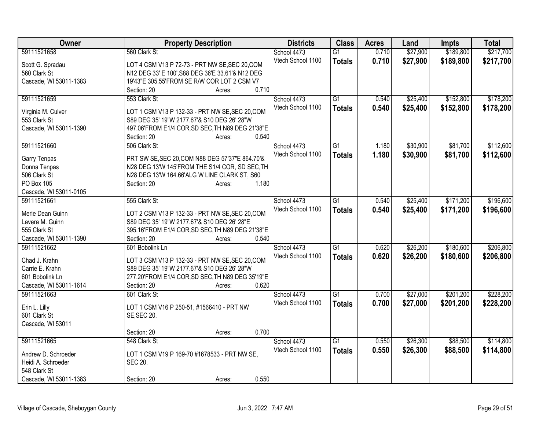| Owner                         | <b>Property Description</b>                                     | <b>Districts</b>  | <b>Class</b>    | <b>Acres</b> | Land     | <b>Impts</b> | <b>Total</b> |
|-------------------------------|-----------------------------------------------------------------|-------------------|-----------------|--------------|----------|--------------|--------------|
| 59111521658                   | 560 Clark St                                                    | School 4473       | $\overline{G1}$ | 0.710        | \$27,900 | \$189,800    | \$217,700    |
| Scott G. Spradau              | LOT 4 CSM V13 P 72-73 - PRT NW SE, SEC 20, COM                  | Vtech School 1100 | <b>Totals</b>   | 0.710        | \$27,900 | \$189,800    | \$217,700    |
| 560 Clark St                  | N12 DEG 33' E 100', S88 DEG 36'E 33.61'& N12 DEG                |                   |                 |              |          |              |              |
| Cascade, WI 53011-1383        | 19'43"E 305.55'FROM SE R/W COR LOT 2 CSM V7                     |                   |                 |              |          |              |              |
|                               | 0.710<br>Section: 20<br>Acres:                                  |                   |                 |              |          |              |              |
| 59111521659                   | 553 Clark St                                                    | School 4473       | $\overline{G1}$ | 0.540        | \$25,400 | \$152,800    | \$178,200    |
|                               |                                                                 | Vtech School 1100 | <b>Totals</b>   | 0.540        | \$25,400 | \$152,800    | \$178,200    |
| Virginia M. Culver            | LOT 1 CSM V13 P 132-33 - PRT NW SE, SEC 20, COM                 |                   |                 |              |          |              |              |
| 553 Clark St                  | S89 DEG 35' 19"W 2177.67'& S10 DEG 26' 28"W                     |                   |                 |              |          |              |              |
| Cascade, WI 53011-1390        | 497.06'FROM E1/4 COR, SD SEC, TH N89 DEG 21'38"E                |                   |                 |              |          |              |              |
|                               | 0.540<br>Section: 20<br>Acres:                                  |                   |                 |              |          |              |              |
| 59111521660                   | 506 Clark St                                                    | School 4473       | $\overline{G1}$ | 1.180        | \$30,900 | \$81,700     | \$112,600    |
| Garry Tenpas                  | PRT SW SE, SEC 20, COM N88 DEG 57'37"E 864.70'&                 | Vtech School 1100 | <b>Totals</b>   | 1.180        | \$30,900 | \$81,700     | \$112,600    |
| Donna Tenpas                  | N28 DEG 13'W 145'FROM THE S1/4 COR, SD SEC, TH                  |                   |                 |              |          |              |              |
| 506 Clark St                  | N28 DEG 13'W 164.66'ALG W LINE CLARK ST, S60                    |                   |                 |              |          |              |              |
| PO Box 105                    | 1.180<br>Section: 20<br>Acres:                                  |                   |                 |              |          |              |              |
| Cascade, WI 53011-0105        |                                                                 |                   |                 |              |          |              |              |
| 59111521661                   | 555 Clark St                                                    | School 4473       | G1              | 0.540        | \$25,400 | \$171,200    | \$196,600    |
|                               |                                                                 | Vtech School 1100 | <b>Totals</b>   | 0.540        | \$25,400 | \$171,200    | \$196,600    |
| Merle Dean Guinn              | LOT 2 CSM V13 P 132-33 - PRT NW SE, SEC 20, COM                 |                   |                 |              |          |              |              |
| Lavera M. Guinn               | S89 DEG 35' 19"W 2177.67'& S10 DEG 26' 28"E                     |                   |                 |              |          |              |              |
| 555 Clark St                  | 395.16'FROM E1/4 COR, SD SEC, TH N89 DEG 21'38"E<br>0.540       |                   |                 |              |          |              |              |
| Cascade, WI 53011-1390        | Section: 20<br>Acres:                                           |                   |                 |              |          |              |              |
| 59111521662                   | 601 Bobolink Ln                                                 | School 4473       | $\overline{G1}$ | 0.620        | \$26,200 | \$180,600    | \$206,800    |
| Chad J. Krahn                 | LOT 3 CSM V13 P 132-33 - PRT NW SE, SEC 20, COM                 | Vtech School 1100 | <b>Totals</b>   | 0.620        | \$26,200 | \$180,600    | \$206,800    |
| Carrie E. Krahn               | S89 DEG 35' 19"W 2177.67'& S10 DEG 26' 28"W                     |                   |                 |              |          |              |              |
| 601 Bobolink Ln               | 277.20'FROM E1/4 COR, SD SEC, TH N89 DEG 35'19"E                |                   |                 |              |          |              |              |
| Cascade, WI 53011-1614        | 0.620<br>Section: 20<br>Acres:                                  |                   |                 |              |          |              |              |
| 59111521663                   | 601 Clark St                                                    | School 4473       | $\overline{G1}$ | 0.700        | \$27,000 | \$201,200    | \$228,200    |
|                               |                                                                 | Vtech School 1100 | <b>Totals</b>   | 0.700        | \$27,000 | \$201,200    | \$228,200    |
| Erin L. Lilly<br>601 Clark St | LOT 1 CSM V16 P 250-51, #1566410 - PRT NW<br><b>SE, SEC 20.</b> |                   |                 |              |          |              |              |
| Cascade, WI 53011             |                                                                 |                   |                 |              |          |              |              |
|                               | 0.700<br>Section: 20<br>Acres:                                  |                   |                 |              |          |              |              |
| 59111521665                   | 548 Clark St                                                    | School 4473       | $\overline{G1}$ | 0.550        | \$26,300 | \$88,500     | \$114,800    |
|                               |                                                                 | Vtech School 1100 |                 | 0.550        |          |              |              |
| Andrew D. Schroeder           | LOT 1 CSM V19 P 169-70 #1678533 - PRT NW SE,                    |                   | <b>Totals</b>   |              | \$26,300 | \$88,500     | \$114,800    |
| Heidi A. Schroeder            | <b>SEC 20.</b>                                                  |                   |                 |              |          |              |              |
| 548 Clark St                  |                                                                 |                   |                 |              |          |              |              |
| Cascade, WI 53011-1383        | 0.550<br>Section: 20<br>Acres:                                  |                   |                 |              |          |              |              |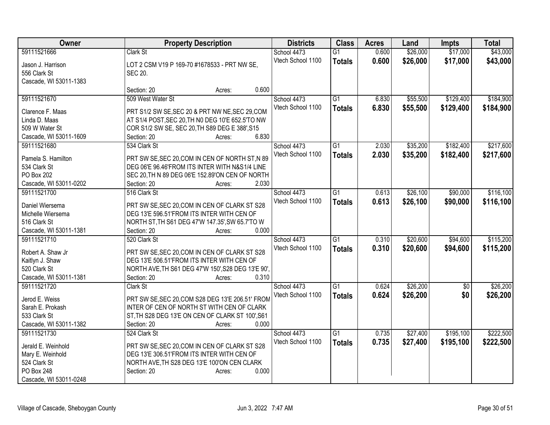| Owner                  | <b>Property Description</b>                        | <b>Districts</b>  | <b>Class</b>    | <b>Acres</b> | Land     | <b>Impts</b>    | <b>Total</b> |
|------------------------|----------------------------------------------------|-------------------|-----------------|--------------|----------|-----------------|--------------|
| 59111521666            | Clark St                                           | School 4473       | $\overline{G1}$ | 0.600        | \$26,000 | \$17,000        | \$43,000     |
| Jason J. Harrison      | LOT 2 CSM V19 P 169-70 #1678533 - PRT NW SE,       | Vtech School 1100 | <b>Totals</b>   | 0.600        | \$26,000 | \$17,000        | \$43,000     |
| 556 Clark St           | <b>SEC 20.</b>                                     |                   |                 |              |          |                 |              |
| Cascade, WI 53011-1383 |                                                    |                   |                 |              |          |                 |              |
|                        | 0.600<br>Section: 20<br>Acres:                     |                   |                 |              |          |                 |              |
| 59111521670            | 509 West Water St                                  | School 4473       | $\overline{G1}$ | 6.830        | \$55,500 | \$129,400       | \$184,900    |
|                        |                                                    | Vtech School 1100 | <b>Totals</b>   | 6.830        | \$55,500 | \$129,400       | \$184,900    |
| Clarence F. Maas       | PRT S1/2 SW SE, SEC 20 & PRT NW NE, SEC 29, COM    |                   |                 |              |          |                 |              |
| Linda D. Maas          | AT S1/4 POST, SEC 20, TH N0 DEG 10'E 652.5'TO NW   |                   |                 |              |          |                 |              |
| 509 W Water St         | COR S1/2 SW SE, SEC 20, TH S89 DEG E 388', S15     |                   |                 |              |          |                 |              |
| Cascade, WI 53011-1609 | 6.830<br>Section: 20<br>Acres:                     |                   |                 |              |          |                 |              |
| 59111521680            | 534 Clark St                                       | School 4473       | $\overline{G1}$ | 2.030        | \$35,200 | \$182,400       | \$217,600    |
| Pamela S. Hamilton     | PRT SW SE, SEC 20, COM IN CEN OF NORTH ST, N 89    | Vtech School 1100 | <b>Totals</b>   | 2.030        | \$35,200 | \$182,400       | \$217,600    |
| 534 Clark St           | DEG 06'E 96.46'FROM ITS INTER WITH N&S1/4 LINE     |                   |                 |              |          |                 |              |
| PO Box 202             | SEC 20, TH N 89 DEG 06'E 152.89'ON CEN OF NORTH    |                   |                 |              |          |                 |              |
| Cascade, WI 53011-0202 | 2.030<br>Section: 20<br>Acres:                     |                   |                 |              |          |                 |              |
| 59111521700            | 516 Clark St                                       | School 4473       | $\overline{G1}$ | 0.613        | \$26,100 | \$90,000        | \$116,100    |
|                        |                                                    | Vtech School 1100 | <b>Totals</b>   | 0.613        | \$26,100 | \$90,000        | \$116,100    |
| Daniel Wiersema        | PRT SW SE, SEC 20, COM IN CEN OF CLARK ST S28      |                   |                 |              |          |                 |              |
| Michelle Wiersema      | DEG 13'E 596.51'FROM ITS INTER WITH CEN OF         |                   |                 |              |          |                 |              |
| 516 Clark St           | NORTH ST, TH S61 DEG 47'W 147.35', SW 65.7'TO W    |                   |                 |              |          |                 |              |
| Cascade, WI 53011-1381 | 0.000<br>Section: 20<br>Acres:                     |                   |                 |              |          |                 |              |
| 59111521710            | 520 Clark St                                       | School 4473       | $\overline{G1}$ | 0.310        | \$20,600 | \$94,600        | \$115,200    |
| Robert A. Shaw Jr      | PRT SW SE, SEC 20, COM IN CEN OF CLARK ST S28      | Vtech School 1100 | <b>Totals</b>   | 0.310        | \$20,600 | \$94,600        | \$115,200    |
| Kaitlyn J. Shaw        | DEG 13'E 506.51'FROM ITS INTER WITH CEN OF         |                   |                 |              |          |                 |              |
| 520 Clark St           | NORTH AVE, TH S61 DEG 47'W 150', S28 DEG 13'E 90', |                   |                 |              |          |                 |              |
| Cascade, WI 53011-1381 | Section: 20<br>0.310<br>Acres:                     |                   |                 |              |          |                 |              |
| 59111521720            | Clark St                                           | School 4473       | $\overline{G1}$ | 0.624        | \$26,200 | $\overline{50}$ | \$26,200     |
|                        |                                                    | Vtech School 1100 | <b>Totals</b>   | 0.624        | \$26,200 | \$0             | \$26,200     |
| Jerod E. Weiss         | PRT SW SE, SEC 20, COM S28 DEG 13'E 206.51' FROM   |                   |                 |              |          |                 |              |
| Sarah E. Prokash       | INTER OF CEN OF NORTH ST WITH CEN OF CLARK         |                   |                 |              |          |                 |              |
| 533 Clark St           | ST, TH S28 DEG 13'E ON CEN OF CLARK ST 100', S61   |                   |                 |              |          |                 |              |
| Cascade, WI 53011-1382 | 0.000<br>Section: 20<br>Acres:                     |                   |                 |              |          |                 |              |
| 59111521730            | 524 Clark St                                       | School 4473       | G1              | 0.735        | \$27,400 | \$195,100       | \$222,500    |
| Jerald E. Weinhold     | PRT SW SE, SEC 20, COM IN CEN OF CLARK ST S28      | Vtech School 1100 | <b>Totals</b>   | 0.735        | \$27,400 | \$195,100       | \$222,500    |
| Mary E. Weinhold       | DEG 13'E 306.51'FROM ITS INTER WITH CEN OF         |                   |                 |              |          |                 |              |
| 524 Clark St           | NORTH AVE, TH S28 DEG 13'E 100'ON CEN CLARK        |                   |                 |              |          |                 |              |
| PO Box 248             | 0.000<br>Section: 20<br>Acres:                     |                   |                 |              |          |                 |              |
| Cascade, WI 53011-0248 |                                                    |                   |                 |              |          |                 |              |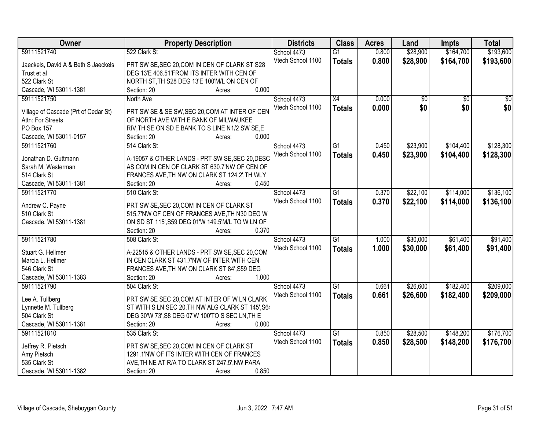| Owner                                | <b>Property Description</b>                            | <b>Districts</b>  | <b>Class</b>    | <b>Acres</b> | Land     | <b>Impts</b>    | <b>Total</b>    |
|--------------------------------------|--------------------------------------------------------|-------------------|-----------------|--------------|----------|-----------------|-----------------|
| 59111521740                          | 522 Clark St                                           | School 4473       | $\overline{G1}$ | 0.800        | \$28,900 | \$164,700       | \$193,600       |
| Jaeckels, David A & Beth S Jaeckels  | PRT SW SE, SEC 20, COM IN CEN OF CLARK ST S28          | Vtech School 1100 | <b>Totals</b>   | 0.800        | \$28,900 | \$164,700       | \$193,600       |
| Trust et al                          | DEG 13'E 406.51'FROM ITS INTER WITH CEN OF             |                   |                 |              |          |                 |                 |
| 522 Clark St                         | NORTH ST, TH S28 DEG 13'E 100'M/L ON CEN OF            |                   |                 |              |          |                 |                 |
| Cascade, WI 53011-1381               | 0.000<br>Section: 20<br>Acres:                         |                   |                 |              |          |                 |                 |
| 59111521750                          | North Ave                                              | School 4473       | $\overline{X4}$ | 0.000        | \$0      | $\overline{50}$ | $\overline{50}$ |
|                                      |                                                        | Vtech School 1100 |                 | 0.000        | \$0      | \$0             | \$0             |
| Village of Cascade (Prt of Cedar St) | PRT SW SE & SE SW, SEC 20, COM AT INTER OF CEN         |                   | <b>Totals</b>   |              |          |                 |                 |
| Attn: For Streets                    | OF NORTH AVE WITH E BANK OF MILWAUKEE                  |                   |                 |              |          |                 |                 |
| PO Box 157                           | RIV, TH SE ON SD E BANK TO S LINE N1/2 SW SE, E        |                   |                 |              |          |                 |                 |
| Cascade, WI 53011-0157               | 0.000<br>Section: 20<br>Acres:                         |                   |                 |              |          |                 |                 |
| 59111521760                          | 514 Clark St                                           | School 4473       | $\overline{G1}$ | 0.450        | \$23,900 | \$104,400       | \$128,300       |
| Jonathan D. Guttmann                 | A-19057 & OTHER LANDS - PRT SW SE, SEC 20, DESC        | Vtech School 1100 | <b>Totals</b>   | 0.450        | \$23,900 | \$104,400       | \$128,300       |
|                                      |                                                        |                   |                 |              |          |                 |                 |
| Sarah M. Westerman                   | AS COM IN CEN OF CLARK ST 630.7'NW OF CEN OF           |                   |                 |              |          |                 |                 |
| 514 Clark St                         | FRANCES AVE, TH NW ON CLARK ST 124.2', TH WLY<br>0.450 |                   |                 |              |          |                 |                 |
| Cascade, WI 53011-1381               | Section: 20<br>Acres:                                  |                   |                 |              |          |                 |                 |
| 59111521770                          | 510 Clark St                                           | School 4473       | G1              | 0.370        | \$22,100 | \$114,000       | \$136,100       |
| Andrew C. Payne                      | PRT SW SE, SEC 20, COM IN CEN OF CLARK ST              | Vtech School 1100 | <b>Totals</b>   | 0.370        | \$22,100 | \$114,000       | \$136,100       |
| 510 Clark St                         | 515.7'NW OF CEN OF FRANCES AVE, TH N30 DEG W           |                   |                 |              |          |                 |                 |
| Cascade, WI 53011-1381               | ON SD ST 115', S59 DEG 01'W 149.5'M/L TO W LN OF       |                   |                 |              |          |                 |                 |
|                                      | Section: 20<br>0.370<br>Acres:                         |                   |                 |              |          |                 |                 |
| 59111521780                          | 508 Clark St                                           | School 4473       | $\overline{G1}$ | 1.000        | \$30,000 | \$61,400        | \$91,400        |
|                                      |                                                        | Vtech School 1100 | <b>Totals</b>   | 1.000        | \$30,000 | \$61,400        | \$91,400        |
| Stuart G. Hellmer                    | A-22515 & OTHER LANDS - PRT SW SE, SEC 20, COM         |                   |                 |              |          |                 |                 |
| Marcia L. Hellmer                    | IN CEN CLARK ST 431.7'NW OF INTER WITH CEN             |                   |                 |              |          |                 |                 |
| 546 Clark St                         | FRANCES AVE, TH NW ON CLARK ST 84', S59 DEG            |                   |                 |              |          |                 |                 |
| Cascade, WI 53011-1383               | 1.000<br>Section: 20<br>Acres:                         |                   |                 |              |          |                 |                 |
| 59111521790                          | 504 Clark St                                           | School 4473       | $\overline{G1}$ | 0.661        | \$26,600 | \$182,400       | \$209,000       |
| Lee A. Tullberg                      | PRT SW SE SEC 20, COM AT INTER OF W LN CLARK           | Vtech School 1100 | <b>Totals</b>   | 0.661        | \$26,600 | \$182,400       | \$209,000       |
| Lynnette M. Tullberg                 | ST WITH S LN SEC 20, TH NW ALG CLARK ST 145', S64      |                   |                 |              |          |                 |                 |
| 504 Clark St                         | DEG 30'W 73', S8 DEG 07'W 100'TO S SEC LN, TH E        |                   |                 |              |          |                 |                 |
| Cascade, WI 53011-1381               | 0.000<br>Section: 20<br>Acres:                         |                   |                 |              |          |                 |                 |
| 59111521810                          | 535 Clark St                                           | School 4473       | G1              | 0.850        | \$28,500 | \$148,200       | \$176,700       |
|                                      |                                                        | Vtech School 1100 |                 | 0.850        | \$28,500 | \$148,200       | \$176,700       |
| Jeffrey R. Pietsch                   | PRT SW SE, SEC 20, COM IN CEN OF CLARK ST              |                   | <b>Totals</b>   |              |          |                 |                 |
| Amy Pietsch                          | 1291.1'NW OF ITS INTER WITH CEN OF FRANCES             |                   |                 |              |          |                 |                 |
| 535 Clark St                         | AVE, TH NE AT R/A TO CLARK ST 247.5', NW PARA          |                   |                 |              |          |                 |                 |
| Cascade, WI 53011-1382               | 0.850<br>Section: 20<br>Acres:                         |                   |                 |              |          |                 |                 |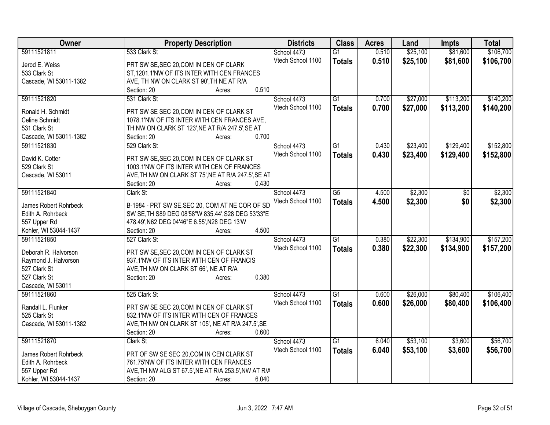| Owner                              | <b>Property Description</b>                                                           | <b>Districts</b>  | <b>Class</b>    | <b>Acres</b> | Land     | <b>Impts</b> | <b>Total</b> |
|------------------------------------|---------------------------------------------------------------------------------------|-------------------|-----------------|--------------|----------|--------------|--------------|
| 59111521811                        | 533 Clark St                                                                          | School 4473       | $\overline{G1}$ | 0.510        | \$25,100 | \$81,600     | \$106,700    |
| Jerod E. Weiss                     | PRT SW SE, SEC 20, COM IN CEN OF CLARK                                                | Vtech School 1100 | <b>Totals</b>   | 0.510        | \$25,100 | \$81,600     | \$106,700    |
| 533 Clark St                       | ST,1201.1'NW OF ITS INTER WITH CEN FRANCES                                            |                   |                 |              |          |              |              |
| Cascade, WI 53011-1382             | AVE, TH NW ON CLARK ST 90', TH NE AT R/A                                              |                   |                 |              |          |              |              |
|                                    | 0.510<br>Section: 20<br>Acres:                                                        |                   |                 |              |          |              |              |
| 59111521820                        | 531 Clark St                                                                          | School 4473       | $\overline{G1}$ | 0.700        | \$27,000 | \$113,200    | \$140,200    |
|                                    |                                                                                       | Vtech School 1100 | <b>Totals</b>   | 0.700        | \$27,000 | \$113,200    | \$140,200    |
| Ronald H. Schmidt                  | PRT SW SE SEC 20, COM IN CEN OF CLARK ST                                              |                   |                 |              |          |              |              |
| Celine Schmidt                     | 1078.1'NW OF ITS INTER WITH CEN FRANCES AVE,                                          |                   |                 |              |          |              |              |
| 531 Clark St                       | TH NW ON CLARK ST 123', NE AT R/A 247.5', SE AT                                       |                   |                 |              |          |              |              |
| Cascade, WI 53011-1382             | 0.700<br>Section: 20<br>Acres:                                                        |                   |                 |              |          |              |              |
| 59111521830                        | 529 Clark St                                                                          | School 4473       | $\overline{G1}$ | 0.430        | \$23,400 | \$129,400    | \$152,800    |
| David K. Cotter                    | PRT SW SE, SEC 20, COM IN CEN OF CLARK ST                                             | Vtech School 1100 | <b>Totals</b>   | 0.430        | \$23,400 | \$129,400    | \$152,800    |
| 529 Clark St                       | 1003.1'NW OF ITS INTER WITH CEN OF FRANCES                                            |                   |                 |              |          |              |              |
| Cascade, WI 53011                  | AVE, TH NW ON CLARK ST 75', NE AT R/A 247.5', SE AT                                   |                   |                 |              |          |              |              |
|                                    | 0.430<br>Section: 20<br>Acres:                                                        |                   |                 |              |          |              |              |
| 59111521840                        | Clark St                                                                              | School 4473       | $\overline{G5}$ | 4.500        | \$2,300  | \$0          | \$2,300      |
|                                    |                                                                                       | Vtech School 1100 | <b>Totals</b>   | 4.500        | \$2,300  | \$0          | \$2,300      |
| James Robert Rohrbeck              | B-1984 - PRT SW SE, SEC 20, COM AT NE COR OF SD                                       |                   |                 |              |          |              |              |
| Edith A. Rohrbeck                  | SW SE, TH S89 DEG 08'58"W 835.44', S28 DEG 53'33"E                                    |                   |                 |              |          |              |              |
| 557 Upper Rd                       | 478.49', N62 DEG 04'46"E 6.55', N28 DEG 13'W                                          |                   |                 |              |          |              |              |
| Kohler, WI 53044-1437              | 4.500<br>Section: 20<br>Acres:                                                        |                   |                 |              |          |              |              |
| 59111521850                        | 527 Clark St                                                                          | School 4473       | $\overline{G1}$ | 0.380        | \$22,300 | \$134,900    | \$157,200    |
| Deborah R. Halvorson               | PRT SW SE, SEC 20, COM IN CEN OF CLARK ST                                             | Vtech School 1100 | <b>Totals</b>   | 0.380        | \$22,300 | \$134,900    | \$157,200    |
| Raymond J. Halvorson               | 937.1'NW OF ITS INTER WITH CEN OF FRANCIS                                             |                   |                 |              |          |              |              |
| 527 Clark St                       | AVE, TH NW ON CLARK ST 66', NE AT R/A                                                 |                   |                 |              |          |              |              |
| 527 Clark St                       | 0.380<br>Section: 20<br>Acres:                                                        |                   |                 |              |          |              |              |
| Cascade, WI 53011                  |                                                                                       |                   |                 |              |          |              |              |
| 59111521860                        | 525 Clark St                                                                          | School 4473       | $\overline{G1}$ | 0.600        | \$26,000 | \$80,400     | \$106,400    |
|                                    |                                                                                       | Vtech School 1100 | <b>Totals</b>   | 0.600        | \$26,000 | \$80,400     | \$106,400    |
| Randall L. Flunker<br>525 Clark St | PRT SW SE SEC 20, COM IN CEN OF CLARK ST<br>832.1'NW OF ITS INTER WITH CEN OF FRANCES |                   |                 |              |          |              |              |
| Cascade, WI 53011-1382             | AVE, TH NW ON CLARK ST 105', NE AT R/A 247.5', SE                                     |                   |                 |              |          |              |              |
|                                    | 0.600<br>Section: 20<br>Acres:                                                        |                   |                 |              |          |              |              |
| 59111521870                        | Clark St                                                                              | School 4473       | $\overline{G1}$ | 6.040        | \$53,100 | \$3,600      | \$56,700     |
|                                    |                                                                                       |                   |                 |              |          |              |              |
| James Robert Rohrbeck              | PRT OF SW SE SEC 20, COM IN CEN CLARK ST                                              | Vtech School 1100 | <b>Totals</b>   | 6.040        | \$53,100 | \$3,600      | \$56,700     |
| Edith A. Rohrbeck                  | 761.75'NW OF ITS INTER WITH CEN FRANCES                                               |                   |                 |              |          |              |              |
| 557 Upper Rd                       | AVE, TH NW ALG ST 67.5', NE AT R/A 253.5', NW AT R/A                                  |                   |                 |              |          |              |              |
| Kohler, WI 53044-1437              | 6.040<br>Section: 20<br>Acres:                                                        |                   |                 |              |          |              |              |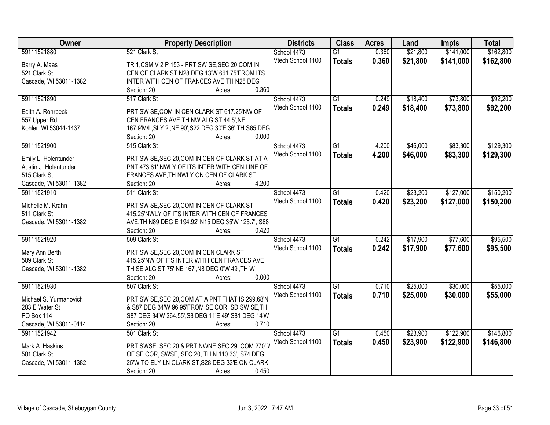| Owner                  | <b>Property Description</b>                             | <b>Districts</b>  | <b>Class</b>    | <b>Acres</b> | Land     | <b>Impts</b> | <b>Total</b> |
|------------------------|---------------------------------------------------------|-------------------|-----------------|--------------|----------|--------------|--------------|
| 59111521880            | 521 Clark St                                            | School 4473       | $\overline{G1}$ | 0.360        | \$21,800 | \$141,000    | \$162,800    |
| Barry A. Maas          | TR 1, CSM V 2 P 153 - PRT SW SE, SEC 20, COM IN         | Vtech School 1100 | <b>Totals</b>   | 0.360        | \$21,800 | \$141,000    | \$162,800    |
| 521 Clark St           | CEN OF CLARK ST N28 DEG 13'W 661.75'FROM ITS            |                   |                 |              |          |              |              |
| Cascade, WI 53011-1382 | INTER WITH CEN OF FRANCES AVE, TH N28 DEG               |                   |                 |              |          |              |              |
|                        | 0.360<br>Section: 20<br>Acres:                          |                   |                 |              |          |              |              |
| 59111521890            | 517 Clark St                                            | School 4473       | $\overline{G1}$ | 0.249        | \$18,400 | \$73,800     | \$92,200     |
|                        |                                                         | Vtech School 1100 | <b>Totals</b>   | 0.249        | \$18,400 | \$73,800     | \$92,200     |
| Edith A. Rohrbeck      | PRT SW SE, COM IN CEN CLARK ST 617.25'NW OF             |                   |                 |              |          |              |              |
| 557 Upper Rd           | CEN FRANCES AVE, TH NW ALG ST 44.5', NE                 |                   |                 |              |          |              |              |
| Kohler, WI 53044-1437  | 167.9'M/L, SLY 2', NE 90', S22 DEG 30'E 36', TH S65 DEG |                   |                 |              |          |              |              |
|                        | 0.000<br>Section: 20<br>Acres:                          |                   |                 |              |          |              |              |
| 59111521900            | 515 Clark St                                            | School 4473       | $\overline{G1}$ | 4.200        | \$46,000 | \$83,300     | \$129,300    |
| Emily L. Holentunder   | PRT SW SE, SEC 20, COM IN CEN OF CLARK ST AT A          | Vtech School 1100 | <b>Totals</b>   | 4.200        | \$46,000 | \$83,300     | \$129,300    |
| Austin J. Holentunder  | PNT 473.81' NWLY OF ITS INTER WITH CEN LINE OF          |                   |                 |              |          |              |              |
| 515 Clark St           | FRANCES AVE, TH NWLY ON CEN OF CLARK ST                 |                   |                 |              |          |              |              |
| Cascade, WI 53011-1382 | 4.200<br>Section: 20<br>Acres:                          |                   |                 |              |          |              |              |
| 59111521910            | 511 Clark St                                            | School 4473       | G1              | 0.420        | \$23,200 | \$127,000    | \$150,200    |
|                        |                                                         | Vtech School 1100 |                 | 0.420        | \$23,200 | \$127,000    | \$150,200    |
| Michelle M. Krahn      | PRT SW SE, SEC 20, COM IN CEN OF CLARK ST               |                   | <b>Totals</b>   |              |          |              |              |
| 511 Clark St           | 415.25'NWLY OF ITS INTER WITH CEN OF FRANCES            |                   |                 |              |          |              |              |
| Cascade, WI 53011-1382 | AVE, TH N89 DEG E 194.92', N15 DEG 35'W 125.7', S68     |                   |                 |              |          |              |              |
|                        | Section: 20<br>0.420<br>Acres:                          |                   |                 |              |          |              |              |
| 59111521920            | 509 Clark St                                            | School 4473       | $\overline{G1}$ | 0.242        | \$17,900 | \$77,600     | \$95,500     |
| Mary Ann Berth         | PRT SW SE, SEC 20, COM IN CEN CLARK ST                  | Vtech School 1100 | <b>Totals</b>   | 0.242        | \$17,900 | \$77,600     | \$95,500     |
| 509 Clark St           | 415.25'NW OF ITS INTER WITH CEN FRANCES AVE,            |                   |                 |              |          |              |              |
| Cascade, WI 53011-1382 | TH SE ALG ST 75', NE 167', N8 DEG 0'W 49', TH W         |                   |                 |              |          |              |              |
|                        | Section: 20<br>0.000<br>Acres:                          |                   |                 |              |          |              |              |
| 59111521930            | 507 Clark St                                            | School 4473       | $\overline{G1}$ | 0.710        | \$25,000 | \$30,000     | \$55,000     |
|                        |                                                         | Vtech School 1100 |                 |              |          |              |              |
| Michael S. Yurmanovich | PRT SW SE, SEC 20, COM AT A PNT THAT IS 299.68'N        |                   | <b>Totals</b>   | 0.710        | \$25,000 | \$30,000     | \$55,000     |
| 203 E Water St         | & S87 DEG 34'W 96.95'FROM SE COR, SD SW SE, TH          |                   |                 |              |          |              |              |
| <b>PO Box 114</b>      | S87 DEG 34'W 264.55', S8 DEG 11'E 49', S81 DEG 14'W     |                   |                 |              |          |              |              |
| Cascade, WI 53011-0114 | 0.710<br>Section: 20<br>Acres:                          |                   |                 |              |          |              |              |
| 59111521942            | 501 Clark St                                            | School 4473       | G1              | 0.450        | \$23,900 | \$122,900    | \$146,800    |
|                        |                                                         | Vtech School 1100 | <b>Totals</b>   | 0.450        | \$23,900 | \$122,900    | \$146,800    |
| Mark A. Haskins        | PRT SWSE, SEC 20 & PRT NWNE SEC 29, COM 270'V           |                   |                 |              |          |              |              |
| 501 Clark St           | OF SE COR, SWSE, SEC 20, TH N 110.33', S74 DEG          |                   |                 |              |          |              |              |
| Cascade, WI 53011-1382 | 25'W TO ELY LN CLARK ST, S28 DEG 33'E ON CLARK          |                   |                 |              |          |              |              |
|                        | 0.450<br>Section: 20<br>Acres:                          |                   |                 |              |          |              |              |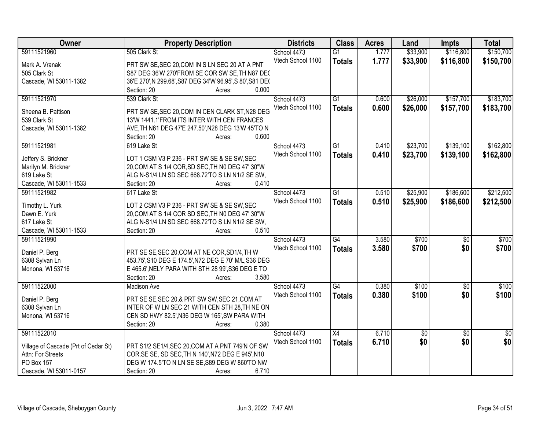| Owner                                                     | <b>Property Description</b>                                                                            | <b>Districts</b>  | <b>Class</b>    | <b>Acres</b> | Land       | <b>Impts</b>    | <b>Total</b> |
|-----------------------------------------------------------|--------------------------------------------------------------------------------------------------------|-------------------|-----------------|--------------|------------|-----------------|--------------|
| 59111521960                                               | 505 Clark St                                                                                           | School 4473       | $\overline{G1}$ | 1.777        | \$33,900   | \$116,800       | \$150,700    |
| Mark A. Vranak                                            | PRT SW SE, SEC 20, COM IN S LN SEC 20 AT A PNT                                                         | Vtech School 1100 | <b>Totals</b>   | 1.777        | \$33,900   | \$116,800       | \$150,700    |
| 505 Clark St                                              | S87 DEG 36'W 270'FROM SE COR SW SE, TH N87 DEC                                                         |                   |                 |              |            |                 |              |
| Cascade, WI 53011-1382                                    | 36'E 270', N 299.68', S87 DEG 34'W 96.95', S 80', S81 DE(                                              |                   |                 |              |            |                 |              |
|                                                           | 0.000<br>Section: 20<br>Acres:                                                                         |                   |                 |              |            |                 |              |
| 59111521970                                               | 539 Clark St                                                                                           | School 4473       | $\overline{G1}$ | 0.600        | \$26,000   | \$157,700       | \$183,700    |
|                                                           |                                                                                                        | Vtech School 1100 | <b>Totals</b>   | 0.600        | \$26,000   | \$157,700       | \$183,700    |
| Sheena B. Pattison                                        | PRT SW SE, SEC 20, COM IN CEN CLARK ST, N28 DEG                                                        |                   |                 |              |            |                 |              |
| 539 Clark St                                              | 13'W 1441.1'FROM ITS INTER WITH CEN FRANCES                                                            |                   |                 |              |            |                 |              |
| Cascade, WI 53011-1382                                    | AVE, TH N61 DEG 47'E 247.50', N28 DEG 13'W 45'TO N<br>0.600<br>Section: 20                             |                   |                 |              |            |                 |              |
| 59111521981                                               | Acres:<br>619 Lake St                                                                                  | School 4473       | $\overline{G1}$ | 0.410        | \$23,700   | \$139,100       | \$162,800    |
|                                                           |                                                                                                        | Vtech School 1100 |                 |              |            |                 |              |
| Jeffery S. Brickner                                       | LOT 1 CSM V3 P 236 - PRT SW SE & SE SW, SEC                                                            |                   | <b>Totals</b>   | 0.410        | \$23,700   | \$139,100       | \$162,800    |
| Marilyn M. Brickner                                       | 20, COM AT S 1/4 COR, SD SEC, TH N0 DEG 47' 30"W                                                       |                   |                 |              |            |                 |              |
| 619 Lake St                                               | ALG N-S1/4 LN SD SEC 668.72'TO S LN N1/2 SE SW,                                                        |                   |                 |              |            |                 |              |
| Cascade, WI 53011-1533                                    | Section: 20<br>0.410<br>Acres:                                                                         |                   |                 |              |            |                 |              |
| 59111521982                                               | 617 Lake St                                                                                            | School 4473       | $\overline{G1}$ | 0.510        | \$25,900   | \$186,600       | \$212,500    |
| Timothy L. Yurk                                           | LOT 2 CSM V3 P 236 - PRT SW SE & SE SW, SEC                                                            | Vtech School 1100 | <b>Totals</b>   | 0.510        | \$25,900   | \$186,600       | \$212,500    |
| Dawn E. Yurk                                              | 20, COM AT S 1/4 COR SD SEC, TH N0 DEG 47' 30"W                                                        |                   |                 |              |            |                 |              |
| 617 Lake St                                               | ALG N-S1/4 LN SD SEC 668.72'TO S LN N1/2 SE SW,                                                        |                   |                 |              |            |                 |              |
| Cascade, WI 53011-1533                                    | Section: 20<br>0.510<br>Acres:                                                                         |                   |                 |              |            |                 |              |
| 59111521990                                               |                                                                                                        | School 4473       | $\overline{G4}$ | 3.580        | \$700      | $\overline{50}$ | \$700        |
|                                                           |                                                                                                        | Vtech School 1100 | <b>Totals</b>   | 3.580        | \$700      | \$0             | \$700        |
| Daniel P. Berg                                            | PRT SE SE, SEC 20, COM AT NE COR, SD1/4, TH W                                                          |                   |                 |              |            |                 |              |
| 6308 Sylvan Ln                                            | 453.75', S10 DEG E 174.5', N72 DEG E 70' M/L, S36 DEG                                                  |                   |                 |              |            |                 |              |
| Monona, WI 53716                                          | E 465.6', NELY PARA WITH STH 28 99', S36 DEG E TO                                                      |                   |                 |              |            |                 |              |
|                                                           | 3.580<br>Section: 20<br>Acres:                                                                         |                   |                 |              |            |                 |              |
| 59111522000                                               | <b>Madison Ave</b>                                                                                     | School 4473       | $\overline{G4}$ | 0.380        | \$100      | $\overline{50}$ | \$100        |
| Daniel P. Berg                                            | PRT SE SE, SEC 20, & PRT SW SW, SEC 21, COM AT                                                         | Vtech School 1100 | <b>Totals</b>   | 0.380        | \$100      | \$0             | \$100        |
| 6308 Sylvan Ln                                            | INTER OF W LN SEC 21 WITH CEN STH 28, TH NE ON                                                         |                   |                 |              |            |                 |              |
| Monona, WI 53716                                          | CEN SD HWY 82.5', N36 DEG W 165', SW PARA WITH                                                         |                   |                 |              |            |                 |              |
|                                                           | Section: 20<br>0.380<br>Acres:                                                                         |                   |                 |              |            |                 |              |
| 59111522010                                               |                                                                                                        | School 4473       | X4              | 6.710        | $\sqrt{6}$ | $\overline{50}$ | $\sqrt{50}$  |
|                                                           |                                                                                                        | Vtech School 1100 | <b>Totals</b>   | 6.710        | \$0        | \$0             | \$0          |
| Village of Cascade (Prt of Cedar St)<br>Attn: For Streets | PRT S1/2 SE1/4, SEC 20, COM AT A PNT 749'N OF SW<br>COR, SE SE, SD SEC, TH N 140', N72 DEG E 945', N10 |                   |                 |              |            |                 |              |
| PO Box 157                                                | DEG W 174.5'TO N LN SE SE, S89 DEG W 860'TO NW                                                         |                   |                 |              |            |                 |              |
|                                                           |                                                                                                        |                   |                 |              |            |                 |              |
| Cascade, WI 53011-0157                                    | 6.710<br>Section: 20<br>Acres:                                                                         |                   |                 |              |            |                 |              |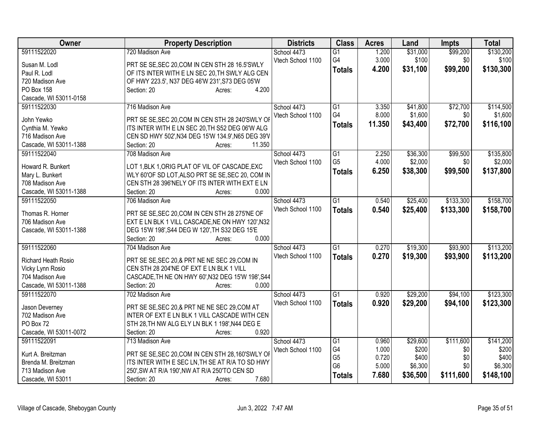| Owner                  | <b>Property Description</b>                                                               | <b>Districts</b>  | <b>Class</b>                     | <b>Acres</b>   | Land             | <b>Impts</b> | <b>Total</b>     |
|------------------------|-------------------------------------------------------------------------------------------|-------------------|----------------------------------|----------------|------------------|--------------|------------------|
| 59111522020            | 720 Madison Ave                                                                           | School 4473       | G1                               | 1.200          | \$31,000         | \$99,200     | \$130,200        |
| Susan M. Lodl          | PRT SE SE, SEC 20, COM IN CEN STH 28 16.5'SWLY                                            | Vtech School 1100 | G4                               | 3.000          | \$100            | \$0          | \$100            |
| Paul R. Lodl           | OF ITS INTER WITH E LN SEC 20, TH SWLY ALG CEN                                            |                   | <b>Totals</b>                    | 4.200          | \$31,100         | \$99,200     | \$130,300        |
| 720 Madison Ave        | OF HWY 223.5', N37 DEG 46'W 231', S73 DEG 05'W                                            |                   |                                  |                |                  |              |                  |
| PO Box 158             | Section: 20<br>4.200<br>Acres:                                                            |                   |                                  |                |                  |              |                  |
| Cascade, WI 53011-0158 |                                                                                           |                   |                                  |                |                  |              |                  |
| 59111522030            | 716 Madison Ave                                                                           | School 4473       | G1                               | 3.350          | \$41,800         | \$72,700     | \$114,500        |
| John Yewko             | PRT SE SE, SEC 20, COM IN CEN STH 28 240'SWLY OF                                          | Vtech School 1100 | G4                               | 8.000          | \$1,600          | \$0          | \$1,600          |
| Cynthia M. Yewko       | ITS INTER WITH E LN SEC 20, TH S52 DEG 06'W ALG                                           |                   | <b>Totals</b>                    | 11.350         | \$43,400         | \$72,700     | \$116,100        |
| 716 Madison Ave        | CEN SD HWY 502', N34 DEG 15'W 134.9', N65 DEG 39'V                                        |                   |                                  |                |                  |              |                  |
| Cascade, WI 53011-1388 | 11.350<br>Section: 20<br>Acres:                                                           |                   |                                  |                |                  |              |                  |
| 59111522040            | 708 Madison Ave                                                                           | School 4473       | G1                               | 2.250          | \$36,300         | \$99,500     | \$135,800        |
|                        |                                                                                           | Vtech School 1100 | G <sub>5</sub>                   | 4.000          | \$2,000          | \$0          | \$2,000          |
| Howard R. Bunkert      | LOT 1, BLK 1, ORIG PLAT OF VIL OF CASCADE, EXC                                            |                   | <b>Totals</b>                    | 6.250          | \$38,300         | \$99,500     | \$137,800        |
| Mary L. Bunkert        | WLY 60'OF SD LOT, ALSO PRT SE SE, SEC 20, COM IN                                          |                   |                                  |                |                  |              |                  |
| 708 Madison Ave        | CEN STH 28 396'NELY OF ITS INTER WITH EXT E LN                                            |                   |                                  |                |                  |              |                  |
| Cascade, WI 53011-1388 | 0.000<br>Section: 20<br>Acres:                                                            |                   |                                  |                |                  |              |                  |
| 59111522050            | 706 Madison Ave                                                                           | School 4473       | G1                               | 0.540          | \$25,400         | \$133,300    | \$158,700        |
| Thomas R. Horner       | PRT SE SE, SEC 20, COM IN CEN STH 28 275'NE OF                                            | Vtech School 1100 | <b>Totals</b>                    | 0.540          | \$25,400         | \$133,300    | \$158,700        |
| 706 Madison Ave        | EXT E LN BLK 1 VILL CASCADE, NE ON HWY 120', N32                                          |                   |                                  |                |                  |              |                  |
| Cascade, WI 53011-1388 | DEG 15'W 198', S44 DEG W 120', TH S32 DEG 15'E                                            |                   |                                  |                |                  |              |                  |
|                        | 0.000<br>Section: 20<br>Acres:                                                            |                   |                                  |                |                  |              |                  |
| 59111522060            | 704 Madison Ave                                                                           | School 4473       | $\overline{G1}$                  | 0.270          | \$19,300         | \$93,900     | \$113,200        |
| Richard Heath Rosio    |                                                                                           | Vtech School 1100 | <b>Totals</b>                    | 0.270          | \$19,300         | \$93,900     | \$113,200        |
| Vicky Lynn Rosio       | PRT SE SE, SEC 20, & PRT NE NE SEC 29, COM IN<br>CEN STH 28 204'NE OF EXT E LN BLK 1 VILL |                   |                                  |                |                  |              |                  |
| 704 Madison Ave        | CASCADE, TH NE ON HWY 60', N32 DEG 15'W 198', S44                                         |                   |                                  |                |                  |              |                  |
| Cascade, WI 53011-1388 | 0.000<br>Section: 20<br>Acres:                                                            |                   |                                  |                |                  |              |                  |
| 59111522070            | 702 Madison Ave                                                                           | School 4473       | $\overline{G1}$                  | 0.920          | \$29,200         | \$94,100     | \$123,300        |
|                        |                                                                                           | Vtech School 1100 | <b>Totals</b>                    | 0.920          | \$29,200         | \$94,100     | \$123,300        |
| Jason Deverney         | PRT SE SE, SEC 20, & PRT NE NE SEC 29, COM AT                                             |                   |                                  |                |                  |              |                  |
| 702 Madison Ave        | INTER OF EXT E LN BLK 1 VILL CASCADE WITH CEN                                             |                   |                                  |                |                  |              |                  |
| PO Box 72              | STH 28, TH NW ALG ELY LN BLK 1 198', N44 DEG E                                            |                   |                                  |                |                  |              |                  |
| Cascade, WI 53011-0072 | Section: 20<br>0.920<br>Acres:                                                            |                   |                                  |                |                  |              |                  |
| 59111522091            | 713 Madison Ave                                                                           | School 4473       | G1                               | 0.960          | \$29,600         | \$111,600    | \$141,200        |
| Kurt A. Breitzman      | PRT SE SE, SEC 20, COM IN CEN STH 28, 160'SWLY OF                                         | Vtech School 1100 | G4                               | 1.000          | \$200            | \$0          | \$200            |
| Brenda M. Breitzman    | ITS INTER WITH E SEC LN, TH SE AT R/A TO SD HWY                                           |                   | G <sub>5</sub><br>G <sub>6</sub> | 0.720<br>5.000 | \$400<br>\$6,300 | \$0<br>\$0   | \$400<br>\$6,300 |
| 713 Madison Ave        | 250', SW AT R/A 190', NW AT R/A 250'TO CEN SD                                             |                   |                                  | 7.680          |                  |              |                  |
| Cascade, WI 53011      | 7.680<br>Section: 20<br>Acres:                                                            |                   | <b>Totals</b>                    |                | \$36,500         | \$111,600    | \$148,100        |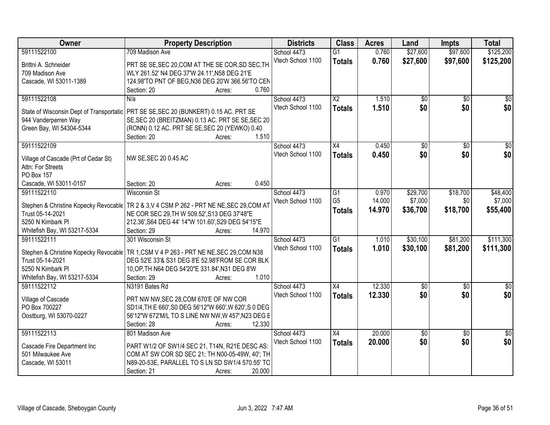| Owner                                                     | <b>Property Description</b>                                                                         | <b>Districts</b>  | <b>Class</b>             | <b>Acres</b> | Land            | <b>Impts</b>    | <b>Total</b>    |
|-----------------------------------------------------------|-----------------------------------------------------------------------------------------------------|-------------------|--------------------------|--------------|-----------------|-----------------|-----------------|
| 59111522100                                               | 709 Madison Ave                                                                                     | School 4473       | $\overline{G1}$          | 0.760        | \$27,600        | \$97,600        | \$125,200       |
| Brittni A. Schneider                                      | PRT SE SE, SEC 20, COM AT THE SE COR, SD SEC, TH                                                    | Vtech School 1100 | <b>Totals</b>            | 0.760        | \$27,600        | \$97,600        | \$125,200       |
| 709 Madison Ave                                           | WLY 261.52' N4 DEG 37'W 24.11', N58 DEG 21'E                                                        |                   |                          |              |                 |                 |                 |
| Cascade, WI 53011-1389                                    | 124.98'TO PNT OF BEG, N36 DEG 20'W 366.56'TO CEN                                                    |                   |                          |              |                 |                 |                 |
|                                                           | 0.760<br>Section: 20<br>Acres:                                                                      |                   |                          |              |                 |                 |                 |
| 59111522108                                               | N/a                                                                                                 | School 4473       | $\overline{\mathsf{x2}}$ | 1.510        | $\overline{50}$ | $\overline{50}$ | $\overline{50}$ |
|                                                           |                                                                                                     | Vtech School 1100 | <b>Totals</b>            | 1.510        | \$0             | \$0             | \$0             |
| State of Wisconsin Dept of Transportatic                  | PRT SE SE, SEC 20 (BUNKERT) 0.15 AC. PRT SE                                                         |                   |                          |              |                 |                 |                 |
| 944 Vanderperren Way                                      | SE, SEC 20 (BREITZMAN) 0.13 AC. PRT SE SE, SEC 20                                                   |                   |                          |              |                 |                 |                 |
| Green Bay, WI 54304-5344                                  | (RONN) 0.12 AC. PRT SE SE, SEC 20 (YEWKO) 0.40<br>1.510                                             |                   |                          |              |                 |                 |                 |
|                                                           | Section: 20<br>Acres:                                                                               |                   |                          |              |                 |                 |                 |
| 59111522109                                               |                                                                                                     | School 4473       | $\overline{X4}$          | 0.450        | $\overline{50}$ | $\overline{50}$ | $\overline{50}$ |
| Village of Cascade (Prt of Cedar St)                      | NW SE, SEC 20 0.45 AC                                                                               | Vtech School 1100 | <b>Totals</b>            | 0.450        | \$0             | \$0             | \$0             |
| Attn: For Streets                                         |                                                                                                     |                   |                          |              |                 |                 |                 |
| <b>PO Box 157</b>                                         |                                                                                                     |                   |                          |              |                 |                 |                 |
| Cascade, WI 53011-0157                                    | 0.450<br>Section: 20<br>Acres:                                                                      |                   |                          |              |                 |                 |                 |
| 59111522110                                               | <b>Wisconsin St</b>                                                                                 | School 4473       | G1                       | 0.970        | \$29,700        | \$18,700        | \$48,400        |
|                                                           |                                                                                                     | Vtech School 1100 | G <sub>5</sub>           | 14.000       | \$7,000         | \$0             | \$7,000         |
| Stephen & Christine Kopecky Revocable<br>Trust 05-14-2021 | TR 2 & 3, V 4 CSM P 262 - PRT NE NE, SEC 29, COM AT<br>NE COR SEC 29, TH W 509.52', S13 DEG 37'48"E |                   | <b>Totals</b>            | 14.970       | \$36,700        | \$18,700        | \$55,400        |
| 5250 N Kimbark PI                                         | 212.36', S64 DEG 44' 14"W 101.60', S29 DEG 54'15"E                                                  |                   |                          |              |                 |                 |                 |
| Whitefish Bay, WI 53217-5334                              | 14.970<br>Section: 29<br>Acres:                                                                     |                   |                          |              |                 |                 |                 |
| 59111522111                                               | 301 Wisconsin St                                                                                    | School 4473       | $\overline{G1}$          | 1.010        | \$30,100        | \$81,200        | \$111,300       |
|                                                           |                                                                                                     | Vtech School 1100 |                          | 1.010        | \$30,100        |                 | \$111,300       |
| Stephen & Christine Kopecky Revocable                     | TR 1, CSM V 4 P 263 - PRT NE NE, SEC 29, COM N38                                                    |                   | <b>Totals</b>            |              |                 | \$81,200        |                 |
| Trust 05-14-2021                                          | DEG 52'E 33'& S31 DEG 8'E 52.98'FROM SE COR BLK                                                     |                   |                          |              |                 |                 |                 |
| 5250 N Kimbark PI                                         | 10, OP, TH N64 DEG 54' 20" E 331.84', N31 DEG 8'W                                                   |                   |                          |              |                 |                 |                 |
| Whitefish Bay, WI 53217-5334                              | Section: 29<br>1.010<br>Acres:                                                                      |                   |                          |              |                 |                 |                 |
| 59111522112                                               | N3191 Bates Rd                                                                                      | School 4473       | $\overline{X4}$          | 12.330       | $\sqrt{50}$     | $\overline{50}$ | $\overline{30}$ |
| Village of Cascade                                        | PRT NW NW, SEC 28, COM 670'E OF NW COR                                                              | Vtech School 1100 | <b>Totals</b>            | 12.330       | \$0             | \$0             | \$0             |
| PO Box 700227                                             | SD1/4, TH E 660', S0 DEG 56'12"W 660', W 620', S 0 DEG                                              |                   |                          |              |                 |                 |                 |
| Oostburg, WI 53070-0227                                   | 56'12"W 672'M/L TO S LINE NW NW, W 457', N23 DEG E                                                  |                   |                          |              |                 |                 |                 |
|                                                           | Section: 28<br>12.330<br>Acres:                                                                     |                   |                          |              |                 |                 |                 |
| 59111522113                                               | 801 Madison Ave                                                                                     | School 4473       | X4                       | 20.000       | \$0             | $\overline{30}$ | $\overline{50}$ |
|                                                           |                                                                                                     | Vtech School 1100 | <b>Totals</b>            | 20.000       | \$0             | \$0             | \$0             |
| Cascade Fire Department Inc                               | PART W1/2 OF SW1/4 SEC 21, T14N, R21E DESC AS:                                                      |                   |                          |              |                 |                 |                 |
| 501 Milwaukee Ave                                         | COM AT SW COR SD SEC 21; TH N00-05-49W, 40'; TH                                                     |                   |                          |              |                 |                 |                 |
| Cascade, WI 53011                                         | N89-20-53E, PARALLEL TO S LN SD SW1/4 570.55' TO                                                    |                   |                          |              |                 |                 |                 |
|                                                           | 20.000<br>Section: 21<br>Acres:                                                                     |                   |                          |              |                 |                 |                 |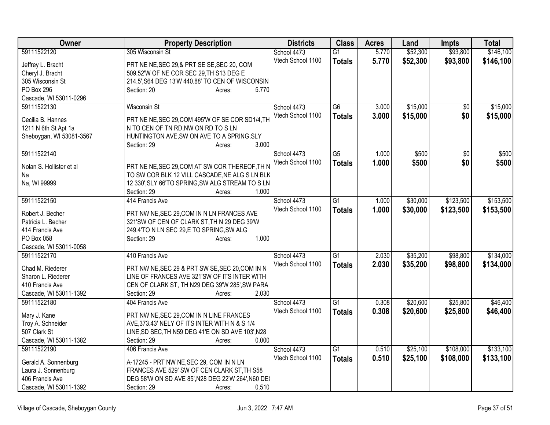| Owner                                            | <b>Property Description</b>                                                                     | <b>Districts</b>  | <b>Class</b>    | <b>Acres</b> | Land     | <b>Impts</b>    | <b>Total</b> |
|--------------------------------------------------|-------------------------------------------------------------------------------------------------|-------------------|-----------------|--------------|----------|-----------------|--------------|
| 59111522120                                      | 305 Wisconsin St                                                                                | School 4473       | $\overline{G1}$ | 5.770        | \$52,300 | \$93,800        | \$146,100    |
| Jeffrey L. Bracht                                | PRT NE NE, SEC 29, & PRT SE SE, SEC 20, COM                                                     | Vtech School 1100 | <b>Totals</b>   | 5.770        | \$52,300 | \$93,800        | \$146,100    |
| Cheryl J. Bracht                                 | 509.52'W OF NE COR SEC 29, TH S13 DEG E                                                         |                   |                 |              |          |                 |              |
| 305 Wisconsin St                                 | 214.5', S64 DEG 13'W 440.88' TO CEN OF WISCONSIN                                                |                   |                 |              |          |                 |              |
| PO Box 296                                       | 5.770<br>Section: 20<br>Acres:                                                                  |                   |                 |              |          |                 |              |
| Cascade, WI 53011-0296                           |                                                                                                 |                   |                 |              |          |                 |              |
| 59111522130                                      | <b>Wisconsin St</b>                                                                             | School 4473       | $\overline{G6}$ | 3.000        | \$15,000 | $\overline{50}$ | \$15,000     |
|                                                  |                                                                                                 | Vtech School 1100 | <b>Totals</b>   | 3.000        | \$15,000 | \$0             | \$15,000     |
| Cecilia B. Hannes                                | PRT NE NE, SEC 29, COM 495'W OF SE COR SD1/4, TH<br>N TO CEN OF TN RD, NW ON RD TO SLN          |                   |                 |              |          |                 |              |
| 1211 N 6th St Apt 1a<br>Sheboygan, WI 53081-3567 | HUNTINGTON AVE, SW ON AVE TO A SPRING, SLY                                                      |                   |                 |              |          |                 |              |
|                                                  | 3.000<br>Section: 29<br>Acres:                                                                  |                   |                 |              |          |                 |              |
| 59111522140                                      |                                                                                                 | School 4473       | $\overline{G5}$ | 1.000        | \$500    | $\overline{50}$ | \$500        |
|                                                  |                                                                                                 | Vtech School 1100 |                 | 1.000        | \$500    | \$0             | \$500        |
| Nolan S. Hollister et al                         | PRT NE NE, SEC 29, COM AT SW COR THEREOF, TH N                                                  |                   | <b>Totals</b>   |              |          |                 |              |
| Na                                               | TO SW COR BLK 12 VILL CASCADE, NE ALG S LN BLK                                                  |                   |                 |              |          |                 |              |
| Na, WI 99999                                     | 12 330', SLY 66'TO SPRING, SW ALG STREAM TO SLN                                                 |                   |                 |              |          |                 |              |
|                                                  | 1.000<br>Section: 29<br>Acres:                                                                  |                   |                 |              |          |                 |              |
| 59111522150                                      | 414 Francis Ave                                                                                 | School 4473       | $\overline{G1}$ | 1.000        | \$30,000 | \$123,500       | \$153,500    |
| Robert J. Becher                                 | PRT NW NE, SEC 29, COM IN N LN FRANCES AVE                                                      | Vtech School 1100 | <b>Totals</b>   | 1.000        | \$30,000 | \$123,500       | \$153,500    |
| Patricia L. Becher                               | 321'SW OF CEN OF CLARK ST, TH N 29 DEG 39'W                                                     |                   |                 |              |          |                 |              |
| 414 Francis Ave                                  | 249.4'TO N LN SEC 29,E TO SPRING, SW ALG                                                        |                   |                 |              |          |                 |              |
| PO Box 058                                       | 1.000<br>Section: 29<br>Acres:                                                                  |                   |                 |              |          |                 |              |
| Cascade, WI 53011-0058                           |                                                                                                 |                   |                 |              |          |                 |              |
| 59111522170                                      | 410 Francis Ave                                                                                 | School 4473       | $\overline{G1}$ | 2.030        | \$35,200 | \$98,800        | \$134,000    |
|                                                  |                                                                                                 | Vtech School 1100 | <b>Totals</b>   | 2.030        | \$35,200 | \$98,800        | \$134,000    |
| Chad M. Riederer                                 | PRT NW NE, SEC 29 & PRT SW SE, SEC 20, COM IN N<br>LINE OF FRANCES AVE 321'SW OF ITS INTER WITH |                   |                 |              |          |                 |              |
| Sharon L. Riederer<br>410 Francis Ave            | CEN OF CLARK ST, TH N29 DEG 39'W 285', SW PARA                                                  |                   |                 |              |          |                 |              |
| Cascade, WI 53011-1392                           | 2.030<br>Section: 29                                                                            |                   |                 |              |          |                 |              |
| 59111522180                                      | Acres:<br>404 Francis Ave                                                                       | School 4473       | $\overline{G1}$ | 0.308        | \$20,600 | \$25,800        | \$46,400     |
|                                                  |                                                                                                 | Vtech School 1100 |                 |              |          |                 |              |
| Mary J. Kane                                     | PRT NW NE, SEC 29, COM IN N LINE FRANCES                                                        |                   | <b>Totals</b>   | 0.308        | \$20,600 | \$25,800        | \$46,400     |
| Troy A. Schneider                                | AVE, 373.43' NELY OF ITS INTER WITH N & S 1/4                                                   |                   |                 |              |          |                 |              |
| 507 Clark St                                     | LINE, SD SEC, TH N59 DEG 41'E ON SD AVE 103', N28                                               |                   |                 |              |          |                 |              |
| Cascade, WI 53011-1382                           | 0.000<br>Section: 29<br>Acres:                                                                  |                   |                 |              |          |                 |              |
| 59111522190                                      | 406 Francis Ave                                                                                 | School 4473       | $\overline{G1}$ | 0.510        | \$25,100 | \$108,000       | \$133,100    |
| Gerald A. Sonnenburg                             | A-17245 - PRT NW NE, SEC 29, COM IN N LN                                                        | Vtech School 1100 | <b>Totals</b>   | 0.510        | \$25,100 | \$108,000       | \$133,100    |
| Laura J. Sonnenburg                              | FRANCES AVE 529' SW OF CEN CLARK ST, TH S58                                                     |                   |                 |              |          |                 |              |
| 406 Francis Ave                                  | DEG 58'W ON SD AVE 85', N28 DEG 22'W 264', N60 DE(                                              |                   |                 |              |          |                 |              |
| Cascade, WI 53011-1392                           | 0.510<br>Section: 29<br>Acres:                                                                  |                   |                 |              |          |                 |              |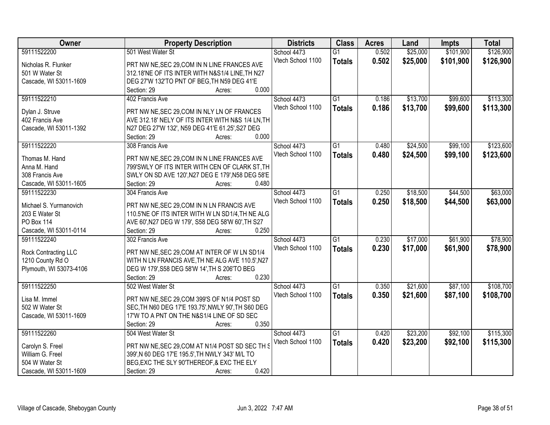| Owner                   | <b>Property Description</b>                        | <b>Districts</b>  | <b>Class</b>    | <b>Acres</b> | Land     | <b>Impts</b> | <b>Total</b> |
|-------------------------|----------------------------------------------------|-------------------|-----------------|--------------|----------|--------------|--------------|
| 59111522200             | 501 West Water St                                  | School 4473       | $\overline{G1}$ | 0.502        | \$25,000 | \$101,900    | \$126,900    |
| Nicholas R. Flunker     | PRT NW NE, SEC 29, COM IN N LINE FRANCES AVE       | Vtech School 1100 | <b>Totals</b>   | 0.502        | \$25,000 | \$101,900    | \$126,900    |
| 501 W Water St          | 312.18'NE OF ITS INTER WITH N&S1/4 LINE, TH N27    |                   |                 |              |          |              |              |
| Cascade, WI 53011-1609  | DEG 27'W 132'TO PNT OF BEG, TH N59 DEG 41'E        |                   |                 |              |          |              |              |
|                         | 0.000<br>Section: 29<br>Acres:                     |                   |                 |              |          |              |              |
| 59111522210             | 402 Francis Ave                                    | School 4473       | $\overline{G1}$ | 0.186        | \$13,700 | \$99,600     | \$113,300    |
| Dylan J. Struve         | PRT NW NE, SEC 29, COM IN NLY LN OF FRANCES        | Vtech School 1100 | <b>Totals</b>   | 0.186        | \$13,700 | \$99,600     | \$113,300    |
| 402 Francis Ave         | AVE 312.18' NELY OF ITS INTER WITH N&S 1/4 LN, TH  |                   |                 |              |          |              |              |
| Cascade, WI 53011-1392  | N27 DEG 27'W 132', N59 DEG 41'E 61.25', S27 DEG    |                   |                 |              |          |              |              |
|                         | 0.000<br>Section: 29<br>Acres:                     |                   |                 |              |          |              |              |
| 59111522220             | 308 Francis Ave                                    | School 4473       | G1              | 0.480        | \$24,500 | \$99,100     | \$123,600    |
|                         |                                                    | Vtech School 1100 | <b>Totals</b>   | 0.480        | \$24,500 | \$99,100     | \$123,600    |
| Thomas M. Hand          | PRT NW NE, SEC 29, COM IN N LINE FRANCES AVE       |                   |                 |              |          |              |              |
| Anna M. Hand            | 799'SWLY OF ITS INTER WITH CEN OF CLARK ST, TH     |                   |                 |              |          |              |              |
| 308 Francis Ave         | SWLY ON SD AVE 120', N27 DEG E 179', N58 DEG 58'E  |                   |                 |              |          |              |              |
| Cascade, WI 53011-1605  | Section: 29<br>0.480<br>Acres:                     |                   |                 |              |          |              |              |
| 59111522230             | 304 Francis Ave                                    | School 4473       | $\overline{G1}$ | 0.250        | \$18,500 | \$44,500     | \$63,000     |
| Michael S. Yurmanovich  | PRT NW NE, SEC 29, COM IN N LN FRANCIS AVE         | Vtech School 1100 | <b>Totals</b>   | 0.250        | \$18,500 | \$44,500     | \$63,000     |
| 203 E Water St          | 110.5'NE OF ITS INTER WITH W LN SD1/4, TH NE ALG   |                   |                 |              |          |              |              |
| PO Box 114              | AVE 60', N27 DEG W 179', S58 DEG 58'W 60', TH S27  |                   |                 |              |          |              |              |
| Cascade, WI 53011-0114  | Section: 29<br>0.250<br>Acres:                     |                   |                 |              |          |              |              |
| 59111522240             | 302 Francis Ave                                    | School 4473       | $\overline{G1}$ | 0.230        | \$17,000 | \$61,900     | \$78,900     |
|                         |                                                    | Vtech School 1100 | <b>Totals</b>   | 0.230        | \$17,000 | \$61,900     | \$78,900     |
| Rock Contracting LLC    | PRT NW NE, SEC 29, COM AT INTER OF W LN SD1/4      |                   |                 |              |          |              |              |
| 1210 County Rd O        | WITH N LN FRANCIS AVE, TH NE ALG AVE 110.5', N27   |                   |                 |              |          |              |              |
| Plymouth, WI 53073-4106 | DEG W 179', S58 DEG 58'W 14', TH S 206'TO BEG      |                   |                 |              |          |              |              |
|                         | 0.230<br>Section: 29<br>Acres:                     |                   |                 |              |          |              |              |
| 59111522250             | 502 West Water St                                  | School 4473       | $\overline{G1}$ | 0.350        | \$21,600 | \$87,100     | \$108,700    |
| Lisa M. Immel           | PRT NW NE, SEC 29, COM 399'S OF N1/4 POST SD       | Vtech School 1100 | <b>Totals</b>   | 0.350        | \$21,600 | \$87,100     | \$108,700    |
| 502 W Water St          | SEC, TH N60 DEG 17'E 193.75', NWLY 90', TH S60 DEG |                   |                 |              |          |              |              |
| Cascade, WI 53011-1609  | 17'W TO A PNT ON THE N&S1/4 LINE OF SD SEC         |                   |                 |              |          |              |              |
|                         | 0.350<br>Section: 29<br>Acres:                     |                   |                 |              |          |              |              |
| 59111522260             | 504 West Water St                                  | School 4473       | G1              | 0.420        | \$23,200 | \$92,100     | \$115,300    |
|                         |                                                    | Vtech School 1100 | <b>Totals</b>   | 0.420        | \$23,200 | \$92,100     | \$115,300    |
| Carolyn S. Freel        | PRT NW NE, SEC 29, COM AT N1/4 POST SD SEC TH S    |                   |                 |              |          |              |              |
| William G. Freel        | 399', N 60 DEG 17'E 195.5', TH NWLY 343' M/L TO    |                   |                 |              |          |              |              |
| 504 W Water St          | BEG, EXC THE SLY 90'THEREOF, & EXC THE ELY         |                   |                 |              |          |              |              |
| Cascade, WI 53011-1609  | 0.420<br>Section: 29<br>Acres:                     |                   |                 |              |          |              |              |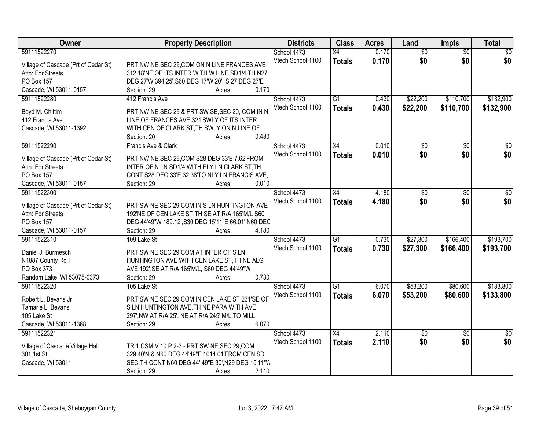| Owner                                  | <b>Property Description</b>                                            | <b>Districts</b>  | <b>Class</b>    | <b>Acres</b> | Land            | <b>Impts</b>    | <b>Total</b>    |
|----------------------------------------|------------------------------------------------------------------------|-------------------|-----------------|--------------|-----------------|-----------------|-----------------|
| 59111522270                            |                                                                        | School 4473       | $\overline{X4}$ | 0.170        | $\overline{50}$ | $\overline{50}$ | $\overline{30}$ |
| Village of Cascade (Prt of Cedar St)   | PRT NW NE, SEC 29, COM ON N LINE FRANCES AVE                           | Vtech School 1100 | <b>Totals</b>   | 0.170        | \$0             | \$0             | \$0             |
| Attn: For Streets                      | 312.18'NE OF ITS INTER WITH W LINE SD1/4, TH N27                       |                   |                 |              |                 |                 |                 |
| PO Box 157                             | DEG 27'W 394.25', S60 DEG 17'W 20', S 27 DEG 27'E                      |                   |                 |              |                 |                 |                 |
| Cascade, WI 53011-0157                 | 0.170<br>Section: 29<br>Acres:                                         |                   |                 |              |                 |                 |                 |
| 59111522280                            | 412 Francis Ave                                                        | School 4473       | $\overline{G1}$ | 0.430        | \$22,200        | \$110,700       | \$132,900       |
|                                        |                                                                        | Vtech School 1100 |                 | 0.430        | \$22,200        | \$110,700       | \$132,900       |
| Boyd M. Chittim                        | PRT NW NE, SEC 29 & PRT SW SE, SEC 20, COM IN N                        |                   | <b>Totals</b>   |              |                 |                 |                 |
| 412 Francis Ave                        | LINE OF FRANCES AVE 321'SWLY OF ITS INTER                              |                   |                 |              |                 |                 |                 |
| Cascade, WI 53011-1392                 | WITH CEN OF CLARK ST, TH SWLY ON N LINE OF                             |                   |                 |              |                 |                 |                 |
|                                        | 0.430<br>Section: 20<br>Acres:                                         |                   |                 |              |                 |                 |                 |
| 59111522290                            | Francis Ave & Clark                                                    | School 4473       | X4              | 0.010        | $\overline{50}$ | $\overline{50}$ | $\overline{30}$ |
|                                        |                                                                        | Vtech School 1100 | <b>Totals</b>   | 0.010        | \$0             | \$0             | \$0             |
| Village of Cascade (Prt of Cedar St)   | PRT NW NE, SEC 29, COM S28 DEG 33'E 7.62'FROM                          |                   |                 |              |                 |                 |                 |
| Attn: For Streets<br><b>PO Box 157</b> | INTER OF N LN SD1/4 WITH ELY LN CLARK ST, TH                           |                   |                 |              |                 |                 |                 |
|                                        | CONT S28 DEG 33'E 32.38'TO NLY LN FRANCIS AVE,<br>Section: 29<br>0.010 |                   |                 |              |                 |                 |                 |
| Cascade, WI 53011-0157                 | Acres:                                                                 |                   |                 |              |                 |                 |                 |
| 59111522300                            |                                                                        | School 4473       | X4              | 4.180        | \$0             | \$0             | \$0             |
| Village of Cascade (Prt of Cedar St)   | PRT SW NE, SEC 29, COM IN S LN HUNTINGTON AVE                          | Vtech School 1100 | <b>Totals</b>   | 4.180        | \$0             | \$0             | \$0             |
| Attn: For Streets                      | 192'NE OF CEN LAKE ST, TH SE AT R/A 165'M/L S60                        |                   |                 |              |                 |                 |                 |
| <b>PO Box 157</b>                      | DEG 44'49"W 189.12', S30 DEG 15'11"E 66.01', N60 DEC                   |                   |                 |              |                 |                 |                 |
| Cascade, WI 53011-0157                 | 4.180<br>Section: 29<br>Acres:                                         |                   |                 |              |                 |                 |                 |
| 59111522310                            | 109 Lake St                                                            | School 4473       | $\overline{G1}$ | 0.730        | \$27,300        | \$166,400       | \$193,700       |
|                                        |                                                                        | Vtech School 1100 | <b>Totals</b>   | 0.730        | \$27,300        | \$166,400       | \$193,700       |
| Daniel J. Burmesch                     | PRT SW NE, SEC 29, COM AT INTER OF SLN                                 |                   |                 |              |                 |                 |                 |
| N1887 County Rd I                      | HUNTINGTON AVE WITH CEN LAKE ST, TH NE ALG                             |                   |                 |              |                 |                 |                 |
| PO Box 373                             | AVE 192', SE AT R/A 165'M/L, S60 DEG 44'49"W                           |                   |                 |              |                 |                 |                 |
| Random Lake, WI 53075-0373             | 0.730<br>Section: 29<br>Acres:                                         |                   |                 |              |                 |                 |                 |
| 59111522320                            | 105 Lake St                                                            | School 4473       | $\overline{G1}$ | 6.070        | \$53,200        | \$80,600        | \$133,800       |
| Robert L. Bevans Jr                    | PRT SW NE, SEC 29 COM IN CEN LAKE ST 231'SE OF                         | Vtech School 1100 | <b>Totals</b>   | 6.070        | \$53,200        | \$80,600        | \$133,800       |
| Tamarie L. Bevans                      | S LN HUNTINGTON AVE, TH NE PARA WITH AVE                               |                   |                 |              |                 |                 |                 |
| 105 Lake St                            | 297', NW AT R/A 25', NE AT R/A 245' M/L TO MILL                        |                   |                 |              |                 |                 |                 |
| Cascade, WI 53011-1368                 | 6.070<br>Section: 29<br>Acres:                                         |                   |                 |              |                 |                 |                 |
| 59111522321                            |                                                                        | School 4473       | X4              | 2.110        | $\overline{50}$ | $\overline{30}$ | $\overline{50}$ |
|                                        |                                                                        | Vtech School 1100 |                 | 2.110        | \$0             | \$0             | \$0             |
| Village of Cascade Village Hall        | TR 1, CSM V 10 P 2-3 - PRT SW NE, SEC 29, COM                          |                   | <b>Totals</b>   |              |                 |                 |                 |
| 301 1st St                             | 329.40'N & N60 DEG 44'49"E 1014.01'FROM CEN SD                         |                   |                 |              |                 |                 |                 |
| Cascade, WI 53011                      | SEC, TH CONT N60 DEG 44' 49"E 30', N29 DEG 15'11"W                     |                   |                 |              |                 |                 |                 |
|                                        | 2.110<br>Section: 29<br>Acres:                                         |                   |                 |              |                 |                 |                 |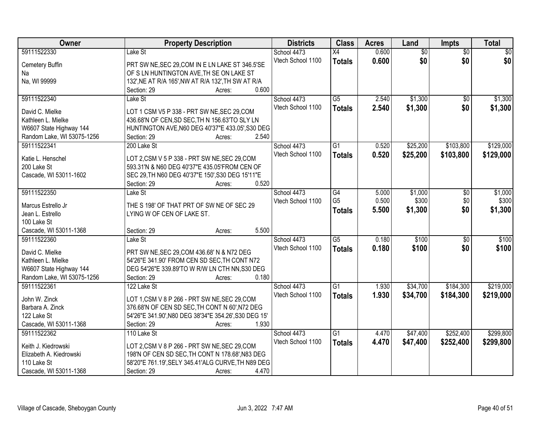| Owner                      | <b>Property Description</b>                           | <b>Districts</b>  | <b>Class</b>    | <b>Acres</b> | Land            | <b>Impts</b>    | <b>Total</b> |
|----------------------------|-------------------------------------------------------|-------------------|-----------------|--------------|-----------------|-----------------|--------------|
| 59111522330                | Lake St                                               | School 4473       | X4              | 0.600        | $\overline{50}$ | $\overline{50}$ | $\sqrt{50}$  |
| Cemetery Buffin            | PRT SW NE, SEC 29, COM IN E LN LAKE ST 346.5'SE       | Vtech School 1100 | <b>Totals</b>   | 0.600        | \$0             | \$0             | \$0          |
| Na                         | OF S LN HUNTINGTON AVE, TH SE ON LAKE ST              |                   |                 |              |                 |                 |              |
| Na, WI 99999               | 132', NE AT R/A 165', NW AT R/A 132', TH SW AT R/A    |                   |                 |              |                 |                 |              |
|                            | 0.600<br>Section: 29<br>Acres:                        |                   |                 |              |                 |                 |              |
| 59111522340                | Lake St                                               | School 4473       | $\overline{G5}$ | 2.540        | \$1,300         | $\overline{50}$ | \$1,300      |
|                            |                                                       | Vtech School 1100 | <b>Totals</b>   | 2.540        | \$1,300         | \$0             | \$1,300      |
| David C. Mielke            | LOT 1 CSM V5 P 338 - PRT SW NE, SEC 29, COM           |                   |                 |              |                 |                 |              |
| Kathleen L. Mielke         | 436.68'N OF CEN, SD SEC, TH N 156.63'TO SLY LN        |                   |                 |              |                 |                 |              |
| W6607 State Highway 144    | HUNTINGTON AVE, N60 DEG 40'37"E 433.05', S30 DEG      |                   |                 |              |                 |                 |              |
| Random Lake, WI 53075-1256 | Section: 29<br>2.540<br>Acres:                        |                   |                 |              |                 |                 |              |
| 59111522341                | 200 Lake St                                           | School 4473       | $\overline{G1}$ | 0.520        | \$25,200        | \$103,800       | \$129,000    |
| Katie L. Henschel          | LOT 2,CSM V 5 P 338 - PRT SW NE, SEC 29, COM          | Vtech School 1100 | <b>Totals</b>   | 0.520        | \$25,200        | \$103,800       | \$129,000    |
| 200 Lake St                | 593.31'N & N60 DEG 40'37"E 435.05'FROM CEN OF         |                   |                 |              |                 |                 |              |
| Cascade, WI 53011-1602     | SEC 29, TH N60 DEG 40'37"E 150', S30 DEG 15'11"E      |                   |                 |              |                 |                 |              |
|                            | Section: 29<br>0.520<br>Acres:                        |                   |                 |              |                 |                 |              |
| 59111522350                | Lake St                                               | School 4473       | $\overline{G4}$ | 5.000        | \$1,000         | \$0             | \$1,000      |
|                            |                                                       | Vtech School 1100 | G <sub>5</sub>  | 0.500        | \$300           | \$0             | \$300        |
| Marcus Estrello Jr         | THE S 198' OF THAT PRT OF SW NE OF SEC 29             |                   | Totals          | 5.500        | \$1,300         | \$0             | \$1,300      |
| Jean L. Estrello           | LYING W OF CEN OF LAKE ST.                            |                   |                 |              |                 |                 |              |
| 100 Lake St                |                                                       |                   |                 |              |                 |                 |              |
| Cascade, WI 53011-1368     | 5.500<br>Section: 29<br>Acres:                        |                   |                 |              |                 |                 |              |
| 59111522360                | Lake St                                               | School 4473       | $\overline{G5}$ | 0.180        | \$100           | $\overline{30}$ | \$100        |
| David C. Mielke            | PRT SW NE, SEC 29, COM 436.68' N & N72 DEG            | Vtech School 1100 | <b>Totals</b>   | 0.180        | \$100           | \$0             | \$100        |
| Kathleen L. Mielke         | 54'26"E 341.90' FROM CEN SD SEC, TH CONT N72          |                   |                 |              |                 |                 |              |
| W6607 State Highway 144    | DEG 54'26"E 339.89'TO W R/W LN CTH NN, S30 DEG        |                   |                 |              |                 |                 |              |
| Random Lake, WI 53075-1256 | 0.180<br>Section: 29<br>Acres:                        |                   |                 |              |                 |                 |              |
| 59111522361                | 122 Lake St                                           | School 4473       | $\overline{G1}$ | 1.930        | \$34,700        | \$184,300       | \$219,000    |
|                            |                                                       | Vtech School 1100 | <b>Totals</b>   | 1.930        | \$34,700        | \$184,300       | \$219,000    |
| John W. Zinck              | LOT 1,CSM V 8 P 266 - PRT SW NE, SEC 29, COM          |                   |                 |              |                 |                 |              |
| Barbara A. Zinck           | 376.68'N OF CEN SD SEC, TH CONT N 60', N72 DEG        |                   |                 |              |                 |                 |              |
| 122 Lake St                | 54'26"E 341.90', N80 DEG 38'34"E 354.26', S30 DEG 15' |                   |                 |              |                 |                 |              |
| Cascade, WI 53011-1368     | 1.930<br>Section: 29<br>Acres:                        |                   |                 |              |                 |                 |              |
| 59111522362                | 110 Lake St                                           | School 4473       | $\overline{G1}$ | 4.470        | \$47,400        | \$252,400       | \$299,800    |
| Keith J. Kiedrowski        | LOT 2,CSM V 8 P 266 - PRT SW NE, SEC 29,COM           | Vtech School 1100 | <b>Totals</b>   | 4.470        | \$47,400        | \$252,400       | \$299,800    |
| Elizabeth A. Kiedrowski    | 198'N OF CEN SD SEC, TH CONT N 178.68', N83 DEG       |                   |                 |              |                 |                 |              |
| 110 Lake St                | 58'20"E 761.19', SELY 345.41'ALG CURVE, TH N89 DEG    |                   |                 |              |                 |                 |              |
| Cascade, WI 53011-1368     | Section: 29<br>4.470<br>Acres:                        |                   |                 |              |                 |                 |              |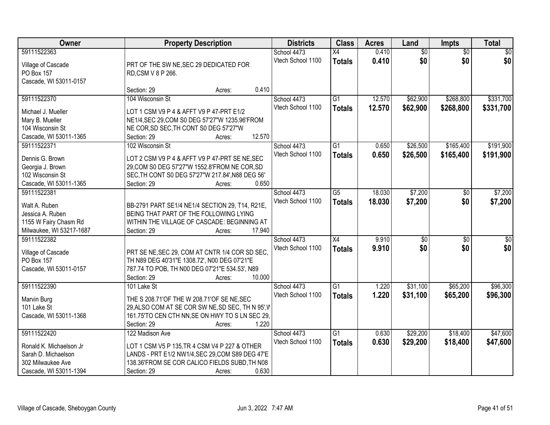| 59111522363<br>0.410<br>$\overline{50}$<br>$\overline{50}$<br>\$0<br>School 4473<br>X4<br>\$0<br>\$0<br>\$0<br>Vtech School 1100<br>0.410<br><b>Totals</b><br>Village of Cascade<br>PRT OF THE SW NE, SEC 29 DEDICATED FOR<br>PO Box 157<br>RD,CSM V 8 P 266.<br>Cascade, WI 53011-0157<br>0.410<br>Section: 29<br>Acres:<br>\$331,700<br>59111522370<br>104 Wisconsin St<br>School 4473<br>$\overline{G1}$<br>12.570<br>\$62,900<br>\$268,800<br>12.570<br>Vtech School 1100<br>\$62,900<br>\$268,800<br>\$331,700<br><b>Totals</b><br>LOT 1 CSM V9 P 4 & AFFT V9 P 47-PRT E1/2<br>Michael J. Mueller<br>Mary B. Mueller<br>NE1/4, SEC 29, COM S0 DEG 57'27"W 1235.96'FROM<br>104 Wisconsin St<br>NE COR, SD SEC, TH CONT S0 DEG 57'27"W<br>12.570<br>Cascade, WI 53011-1365<br>Section: 29<br>Acres:<br>\$165,400<br>\$191,900<br>59111522371<br>102 Wisconsin St<br>School 4473<br>G1<br>0.650<br>\$26,500<br>Vtech School 1100<br>0.650<br>\$26,500<br>\$165,400<br>\$191,900<br><b>Totals</b><br>LOT 2 CSM V9 P 4 & AFFT V9 P 47-PRT SE NE, SEC<br>Dennis G. Brown<br>29, COM S0 DEG 57'27"W 1552.8'FROM NE COR, SD<br>Georgia J. Brown<br>SEC, TH CONT S0 DEG 57'27"W 217.84', N88 DEG 56'<br>102 Wisconsin St<br>0.650<br>Cascade, WI 53011-1365<br>Section: 29<br>Acres:<br>59111522381<br>18.030<br>\$7,200<br>\$7,200<br>School 4473<br>G5<br>$\sqrt[6]{}$<br>Vtech School 1100<br>18.030<br>\$7,200<br>\$0<br>\$7,200<br><b>Totals</b><br>BB-2791 PART SE1/4 NE1/4 SECTION 29, T14, R21E,<br>Walt A. Ruben<br>Jessica A. Ruben<br>BEING THAT PART OF THE FOLLOWING LYING<br>1155 W Fairy Chasm Rd<br>WITHIN THE VILLAGE OF CASCADE: BEGINNING AT<br>Milwaukee, WI 53217-1687<br>17.940<br>Section: 29<br>Acres:<br>$\overline{X4}$<br>9.910<br>59111522382<br>$\overline{\$0}$<br>$\overline{50}$<br>School 4473<br>\$0<br>\$0<br>9.910<br>\$0<br>Vtech School 1100<br><b>Totals</b><br>PRT SE NE, SEC 29, COM AT CNTR 1/4 COR SD SEC,<br>Village of Cascade<br>PO Box 157<br>TH N89 DEG 40'31"E 1308.72', N00 DEG 07'21"E<br>Cascade, WI 53011-0157<br>787.74 TO POB, TH N00 DEG 07'21"E 534.53', N89 | Owner | <b>Property Description</b> | <b>Districts</b> | <b>Class</b> | <b>Acres</b> | Land | Impts | <b>Total</b> |
|-------------------------------------------------------------------------------------------------------------------------------------------------------------------------------------------------------------------------------------------------------------------------------------------------------------------------------------------------------------------------------------------------------------------------------------------------------------------------------------------------------------------------------------------------------------------------------------------------------------------------------------------------------------------------------------------------------------------------------------------------------------------------------------------------------------------------------------------------------------------------------------------------------------------------------------------------------------------------------------------------------------------------------------------------------------------------------------------------------------------------------------------------------------------------------------------------------------------------------------------------------------------------------------------------------------------------------------------------------------------------------------------------------------------------------------------------------------------------------------------------------------------------------------------------------------------------------------------------------------------------------------------------------------------------------------------------------------------------------------------------------------------------------------------------------------------------------------------------------------------------------------------------------------------------------------------------------------------------------------------------------------------------------------------------------------------------------------------------------------------|-------|-----------------------------|------------------|--------------|--------------|------|-------|--------------|
|                                                                                                                                                                                                                                                                                                                                                                                                                                                                                                                                                                                                                                                                                                                                                                                                                                                                                                                                                                                                                                                                                                                                                                                                                                                                                                                                                                                                                                                                                                                                                                                                                                                                                                                                                                                                                                                                                                                                                                                                                                                                                                                   |       |                             |                  |              |              |      |       |              |
|                                                                                                                                                                                                                                                                                                                                                                                                                                                                                                                                                                                                                                                                                                                                                                                                                                                                                                                                                                                                                                                                                                                                                                                                                                                                                                                                                                                                                                                                                                                                                                                                                                                                                                                                                                                                                                                                                                                                                                                                                                                                                                                   |       |                             |                  |              |              |      |       |              |
|                                                                                                                                                                                                                                                                                                                                                                                                                                                                                                                                                                                                                                                                                                                                                                                                                                                                                                                                                                                                                                                                                                                                                                                                                                                                                                                                                                                                                                                                                                                                                                                                                                                                                                                                                                                                                                                                                                                                                                                                                                                                                                                   |       |                             |                  |              |              |      |       |              |
|                                                                                                                                                                                                                                                                                                                                                                                                                                                                                                                                                                                                                                                                                                                                                                                                                                                                                                                                                                                                                                                                                                                                                                                                                                                                                                                                                                                                                                                                                                                                                                                                                                                                                                                                                                                                                                                                                                                                                                                                                                                                                                                   |       |                             |                  |              |              |      |       |              |
|                                                                                                                                                                                                                                                                                                                                                                                                                                                                                                                                                                                                                                                                                                                                                                                                                                                                                                                                                                                                                                                                                                                                                                                                                                                                                                                                                                                                                                                                                                                                                                                                                                                                                                                                                                                                                                                                                                                                                                                                                                                                                                                   |       |                             |                  |              |              |      |       |              |
|                                                                                                                                                                                                                                                                                                                                                                                                                                                                                                                                                                                                                                                                                                                                                                                                                                                                                                                                                                                                                                                                                                                                                                                                                                                                                                                                                                                                                                                                                                                                                                                                                                                                                                                                                                                                                                                                                                                                                                                                                                                                                                                   |       |                             |                  |              |              |      |       |              |
|                                                                                                                                                                                                                                                                                                                                                                                                                                                                                                                                                                                                                                                                                                                                                                                                                                                                                                                                                                                                                                                                                                                                                                                                                                                                                                                                                                                                                                                                                                                                                                                                                                                                                                                                                                                                                                                                                                                                                                                                                                                                                                                   |       |                             |                  |              |              |      |       |              |
|                                                                                                                                                                                                                                                                                                                                                                                                                                                                                                                                                                                                                                                                                                                                                                                                                                                                                                                                                                                                                                                                                                                                                                                                                                                                                                                                                                                                                                                                                                                                                                                                                                                                                                                                                                                                                                                                                                                                                                                                                                                                                                                   |       |                             |                  |              |              |      |       |              |
|                                                                                                                                                                                                                                                                                                                                                                                                                                                                                                                                                                                                                                                                                                                                                                                                                                                                                                                                                                                                                                                                                                                                                                                                                                                                                                                                                                                                                                                                                                                                                                                                                                                                                                                                                                                                                                                                                                                                                                                                                                                                                                                   |       |                             |                  |              |              |      |       |              |
|                                                                                                                                                                                                                                                                                                                                                                                                                                                                                                                                                                                                                                                                                                                                                                                                                                                                                                                                                                                                                                                                                                                                                                                                                                                                                                                                                                                                                                                                                                                                                                                                                                                                                                                                                                                                                                                                                                                                                                                                                                                                                                                   |       |                             |                  |              |              |      |       |              |
|                                                                                                                                                                                                                                                                                                                                                                                                                                                                                                                                                                                                                                                                                                                                                                                                                                                                                                                                                                                                                                                                                                                                                                                                                                                                                                                                                                                                                                                                                                                                                                                                                                                                                                                                                                                                                                                                                                                                                                                                                                                                                                                   |       |                             |                  |              |              |      |       |              |
|                                                                                                                                                                                                                                                                                                                                                                                                                                                                                                                                                                                                                                                                                                                                                                                                                                                                                                                                                                                                                                                                                                                                                                                                                                                                                                                                                                                                                                                                                                                                                                                                                                                                                                                                                                                                                                                                                                                                                                                                                                                                                                                   |       |                             |                  |              |              |      |       |              |
|                                                                                                                                                                                                                                                                                                                                                                                                                                                                                                                                                                                                                                                                                                                                                                                                                                                                                                                                                                                                                                                                                                                                                                                                                                                                                                                                                                                                                                                                                                                                                                                                                                                                                                                                                                                                                                                                                                                                                                                                                                                                                                                   |       |                             |                  |              |              |      |       |              |
|                                                                                                                                                                                                                                                                                                                                                                                                                                                                                                                                                                                                                                                                                                                                                                                                                                                                                                                                                                                                                                                                                                                                                                                                                                                                                                                                                                                                                                                                                                                                                                                                                                                                                                                                                                                                                                                                                                                                                                                                                                                                                                                   |       |                             |                  |              |              |      |       |              |
|                                                                                                                                                                                                                                                                                                                                                                                                                                                                                                                                                                                                                                                                                                                                                                                                                                                                                                                                                                                                                                                                                                                                                                                                                                                                                                                                                                                                                                                                                                                                                                                                                                                                                                                                                                                                                                                                                                                                                                                                                                                                                                                   |       |                             |                  |              |              |      |       |              |
|                                                                                                                                                                                                                                                                                                                                                                                                                                                                                                                                                                                                                                                                                                                                                                                                                                                                                                                                                                                                                                                                                                                                                                                                                                                                                                                                                                                                                                                                                                                                                                                                                                                                                                                                                                                                                                                                                                                                                                                                                                                                                                                   |       |                             |                  |              |              |      |       |              |
|                                                                                                                                                                                                                                                                                                                                                                                                                                                                                                                                                                                                                                                                                                                                                                                                                                                                                                                                                                                                                                                                                                                                                                                                                                                                                                                                                                                                                                                                                                                                                                                                                                                                                                                                                                                                                                                                                                                                                                                                                                                                                                                   |       |                             |                  |              |              |      |       |              |
|                                                                                                                                                                                                                                                                                                                                                                                                                                                                                                                                                                                                                                                                                                                                                                                                                                                                                                                                                                                                                                                                                                                                                                                                                                                                                                                                                                                                                                                                                                                                                                                                                                                                                                                                                                                                                                                                                                                                                                                                                                                                                                                   |       |                             |                  |              |              |      |       |              |
|                                                                                                                                                                                                                                                                                                                                                                                                                                                                                                                                                                                                                                                                                                                                                                                                                                                                                                                                                                                                                                                                                                                                                                                                                                                                                                                                                                                                                                                                                                                                                                                                                                                                                                                                                                                                                                                                                                                                                                                                                                                                                                                   |       |                             |                  |              |              |      |       |              |
|                                                                                                                                                                                                                                                                                                                                                                                                                                                                                                                                                                                                                                                                                                                                                                                                                                                                                                                                                                                                                                                                                                                                                                                                                                                                                                                                                                                                                                                                                                                                                                                                                                                                                                                                                                                                                                                                                                                                                                                                                                                                                                                   |       |                             |                  |              |              |      |       |              |
| $\overline{\$0}$                                                                                                                                                                                                                                                                                                                                                                                                                                                                                                                                                                                                                                                                                                                                                                                                                                                                                                                                                                                                                                                                                                                                                                                                                                                                                                                                                                                                                                                                                                                                                                                                                                                                                                                                                                                                                                                                                                                                                                                                                                                                                                  |       |                             |                  |              |              |      |       |              |
|                                                                                                                                                                                                                                                                                                                                                                                                                                                                                                                                                                                                                                                                                                                                                                                                                                                                                                                                                                                                                                                                                                                                                                                                                                                                                                                                                                                                                                                                                                                                                                                                                                                                                                                                                                                                                                                                                                                                                                                                                                                                                                                   |       |                             |                  |              |              |      |       |              |
|                                                                                                                                                                                                                                                                                                                                                                                                                                                                                                                                                                                                                                                                                                                                                                                                                                                                                                                                                                                                                                                                                                                                                                                                                                                                                                                                                                                                                                                                                                                                                                                                                                                                                                                                                                                                                                                                                                                                                                                                                                                                                                                   |       |                             |                  |              |              |      |       |              |
|                                                                                                                                                                                                                                                                                                                                                                                                                                                                                                                                                                                                                                                                                                                                                                                                                                                                                                                                                                                                                                                                                                                                                                                                                                                                                                                                                                                                                                                                                                                                                                                                                                                                                                                                                                                                                                                                                                                                                                                                                                                                                                                   |       |                             |                  |              |              |      |       |              |
|                                                                                                                                                                                                                                                                                                                                                                                                                                                                                                                                                                                                                                                                                                                                                                                                                                                                                                                                                                                                                                                                                                                                                                                                                                                                                                                                                                                                                                                                                                                                                                                                                                                                                                                                                                                                                                                                                                                                                                                                                                                                                                                   |       |                             |                  |              |              |      |       |              |
|                                                                                                                                                                                                                                                                                                                                                                                                                                                                                                                                                                                                                                                                                                                                                                                                                                                                                                                                                                                                                                                                                                                                                                                                                                                                                                                                                                                                                                                                                                                                                                                                                                                                                                                                                                                                                                                                                                                                                                                                                                                                                                                   |       |                             |                  |              |              |      |       |              |
| 10.000<br>Section: 29<br>Acres:                                                                                                                                                                                                                                                                                                                                                                                                                                                                                                                                                                                                                                                                                                                                                                                                                                                                                                                                                                                                                                                                                                                                                                                                                                                                                                                                                                                                                                                                                                                                                                                                                                                                                                                                                                                                                                                                                                                                                                                                                                                                                   |       |                             |                  |              |              |      |       |              |
| 59111522390<br>G1<br>\$31,100<br>\$65,200<br>\$96,300<br>101 Lake St<br>School 4473<br>1.220                                                                                                                                                                                                                                                                                                                                                                                                                                                                                                                                                                                                                                                                                                                                                                                                                                                                                                                                                                                                                                                                                                                                                                                                                                                                                                                                                                                                                                                                                                                                                                                                                                                                                                                                                                                                                                                                                                                                                                                                                      |       |                             |                  |              |              |      |       |              |
| Vtech School 1100<br>1.220<br>\$31,100<br>\$65,200<br>\$96,300<br><b>Totals</b>                                                                                                                                                                                                                                                                                                                                                                                                                                                                                                                                                                                                                                                                                                                                                                                                                                                                                                                                                                                                                                                                                                                                                                                                                                                                                                                                                                                                                                                                                                                                                                                                                                                                                                                                                                                                                                                                                                                                                                                                                                   |       |                             |                  |              |              |      |       |              |
| Marvin Burg<br>THE S 208.71'OF THE W 208.71'OF SE NE, SEC                                                                                                                                                                                                                                                                                                                                                                                                                                                                                                                                                                                                                                                                                                                                                                                                                                                                                                                                                                                                                                                                                                                                                                                                                                                                                                                                                                                                                                                                                                                                                                                                                                                                                                                                                                                                                                                                                                                                                                                                                                                         |       |                             |                  |              |              |      |       |              |
| 29, ALSO COM AT SE COR SW NE, SD SEC, TH N 95', V<br>101 Lake St                                                                                                                                                                                                                                                                                                                                                                                                                                                                                                                                                                                                                                                                                                                                                                                                                                                                                                                                                                                                                                                                                                                                                                                                                                                                                                                                                                                                                                                                                                                                                                                                                                                                                                                                                                                                                                                                                                                                                                                                                                                  |       |                             |                  |              |              |      |       |              |
| 161.75'TO CEN CTH NN, SE ON HWY TO S LN SEC 29,<br>Cascade, WI 53011-1368                                                                                                                                                                                                                                                                                                                                                                                                                                                                                                                                                                                                                                                                                                                                                                                                                                                                                                                                                                                                                                                                                                                                                                                                                                                                                                                                                                                                                                                                                                                                                                                                                                                                                                                                                                                                                                                                                                                                                                                                                                         |       |                             |                  |              |              |      |       |              |
| 1.220<br>Section: 29<br>Acres:                                                                                                                                                                                                                                                                                                                                                                                                                                                                                                                                                                                                                                                                                                                                                                                                                                                                                                                                                                                                                                                                                                                                                                                                                                                                                                                                                                                                                                                                                                                                                                                                                                                                                                                                                                                                                                                                                                                                                                                                                                                                                    |       |                             |                  |              |              |      |       |              |
| \$18,400<br>\$47,600<br>59111522420<br>School 4473<br>\$29,200<br>122 Madison Ave<br>$\overline{G1}$<br>0.630                                                                                                                                                                                                                                                                                                                                                                                                                                                                                                                                                                                                                                                                                                                                                                                                                                                                                                                                                                                                                                                                                                                                                                                                                                                                                                                                                                                                                                                                                                                                                                                                                                                                                                                                                                                                                                                                                                                                                                                                     |       |                             |                  |              |              |      |       |              |
| 0.630<br>Vtech School 1100<br>\$29,200<br>\$18,400<br>\$47,600<br><b>Totals</b><br>Ronald K. Michaelson Jr<br>LOT 1 CSM V5 P 135, TR 4 CSM V4 P 227 & OTHER                                                                                                                                                                                                                                                                                                                                                                                                                                                                                                                                                                                                                                                                                                                                                                                                                                                                                                                                                                                                                                                                                                                                                                                                                                                                                                                                                                                                                                                                                                                                                                                                                                                                                                                                                                                                                                                                                                                                                       |       |                             |                  |              |              |      |       |              |
| Sarah D. Michaelson<br>LANDS - PRT E1/2 NW1/4, SEC 29, COM S89 DEG 47'E                                                                                                                                                                                                                                                                                                                                                                                                                                                                                                                                                                                                                                                                                                                                                                                                                                                                                                                                                                                                                                                                                                                                                                                                                                                                                                                                                                                                                                                                                                                                                                                                                                                                                                                                                                                                                                                                                                                                                                                                                                           |       |                             |                  |              |              |      |       |              |
| 138.36'FROM SE COR CALICO FIELDS SUBD, TH N08<br>302 Milwaukee Ave                                                                                                                                                                                                                                                                                                                                                                                                                                                                                                                                                                                                                                                                                                                                                                                                                                                                                                                                                                                                                                                                                                                                                                                                                                                                                                                                                                                                                                                                                                                                                                                                                                                                                                                                                                                                                                                                                                                                                                                                                                                |       |                             |                  |              |              |      |       |              |
| 0.630<br>Cascade, WI 53011-1394<br>Section: 29<br>Acres:                                                                                                                                                                                                                                                                                                                                                                                                                                                                                                                                                                                                                                                                                                                                                                                                                                                                                                                                                                                                                                                                                                                                                                                                                                                                                                                                                                                                                                                                                                                                                                                                                                                                                                                                                                                                                                                                                                                                                                                                                                                          |       |                             |                  |              |              |      |       |              |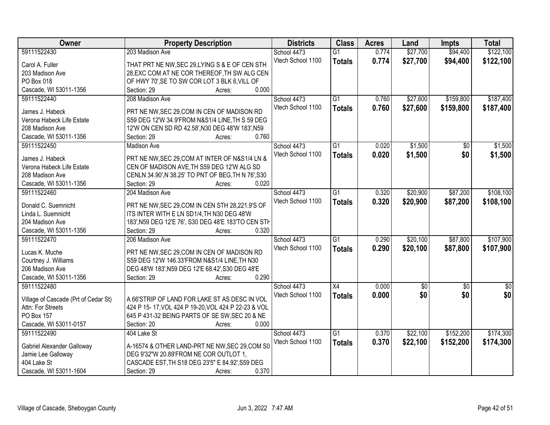| Owner                                | <b>Property Description</b>                         | <b>Districts</b>  | <b>Class</b>    | <b>Acres</b> | Land        | <b>Impts</b>    | <b>Total</b> |
|--------------------------------------|-----------------------------------------------------|-------------------|-----------------|--------------|-------------|-----------------|--------------|
| 59111522430                          | 203 Madison Ave                                     | School 4473       | $\overline{G1}$ | 0.774        | \$27,700    | \$94,400        | \$122,100    |
| Carol A. Fuller                      | THAT PRT NE NW, SEC 29, LYING S & E OF CEN STH      | Vtech School 1100 | <b>Totals</b>   | 0.774        | \$27,700    | \$94,400        | \$122,100    |
| 203 Madison Ave                      | 28, EXC COM AT NE COR THEREOF, TH SW ALG CEN        |                   |                 |              |             |                 |              |
| PO Box 018                           | OF HWY 70', SE TO SW COR LOT 3 BLK 6, VILL OF       |                   |                 |              |             |                 |              |
| Cascade, WI 53011-1356               | 0.000<br>Section: 29<br>Acres:                      |                   |                 |              |             |                 |              |
| 59111522440                          | 208 Madison Ave                                     | School 4473       | $\overline{G1}$ | 0.760        | \$27,600    | \$159,800       | \$187,400    |
| James J. Habeck                      | PRT NE NW, SEC 29, COM IN CEN OF MADISON RD         | Vtech School 1100 | <b>Totals</b>   | 0.760        | \$27,600    | \$159,800       | \$187,400    |
| Verona Habeck Life Estate            | S59 DEG 12'W 34.9'FROM N&S1/4 LINE, TH S 59 DEG     |                   |                 |              |             |                 |              |
| 208 Madison Ave                      | 12'W ON CEN SD RD 42.58', N30 DEG 48'W 183', N59    |                   |                 |              |             |                 |              |
| Cascade, WI 53011-1356               | 0.760<br>Section: 29<br>Acres:                      |                   |                 |              |             |                 |              |
| 59111522450                          | <b>Madison Ave</b>                                  | School 4473       | $\overline{G1}$ | 0.020        | \$1,500     | \$0             | \$1,500      |
|                                      |                                                     | Vtech School 1100 | <b>Totals</b>   | 0.020        | \$1,500     | \$0             | \$1,500      |
| James J. Habeck                      | PRT NE NW, SEC 29, COM AT INTER OF N&S1/4 LN &      |                   |                 |              |             |                 |              |
| Verona Habeck Life Estate            | CEN OF MADISON AVE, TH S59 DEG 12'W ALG SD          |                   |                 |              |             |                 |              |
| 208 Madison Ave                      | CENLN 34.90', N 38.25' TO PNT OF BEG, TH N 76', S30 |                   |                 |              |             |                 |              |
| Cascade, WI 53011-1356               | Section: 29<br>0.020<br>Acres:                      |                   |                 |              |             |                 |              |
| 59111522460                          | 204 Madison Ave                                     | School 4473       | $\overline{G1}$ | 0.320        | \$20,900    | \$87,200        | \$108,100    |
| Donald C. Suemnicht                  | PRT NE NW, SEC 29, COM IN CEN STH 28, 221.9'S OF    | Vtech School 1100 | <b>Totals</b>   | 0.320        | \$20,900    | \$87,200        | \$108,100    |
| Linda L. Suemnicht                   | ITS INTER WITH E LN SD1/4, TH N30 DEG 48'W          |                   |                 |              |             |                 |              |
| 204 Madison Ave                      | 183', N59 DEG 12'E 76', S30 DEG 48'E 183'TO CEN STH |                   |                 |              |             |                 |              |
| Cascade, WI 53011-1356               | Section: 29<br>0.320<br>Acres:                      |                   |                 |              |             |                 |              |
| 59111522470                          | 206 Madison Ave                                     | School 4473       | $\overline{G1}$ | 0.290        | \$20,100    | \$87,800        | \$107,900    |
|                                      |                                                     | Vtech School 1100 | <b>Totals</b>   | 0.290        | \$20,100    | \$87,800        | \$107,900    |
| Lucas K. Muche                       | PRT NE NW, SEC 29, COM IN CEN OF MADISON RD         |                   |                 |              |             |                 |              |
| Courtney J. Williams                 | S59 DEG 12'W 146.33'FROM N&S1/4 LINE, TH N30        |                   |                 |              |             |                 |              |
| 206 Madison Ave                      | DEG 48'W 183', N59 DEG 12'E 68.42', S30 DEG 48'E    |                   |                 |              |             |                 |              |
| Cascade, WI 53011-1356               | 0.290<br>Section: 29<br>Acres:                      |                   |                 |              |             |                 |              |
| 59111522480                          |                                                     | School 4473       | X4              | 0.000        | $\sqrt{50}$ | $\overline{60}$ | $\sqrt{30}$  |
| Village of Cascade (Prt of Cedar St) | A 66'STRIP OF LAND FOR LAKE ST AS DESC IN VOL       | Vtech School 1100 | <b>Totals</b>   | 0.000        | \$0         | \$0             | \$0          |
| Attn: For Streets                    | 424 P 15-17, VOL 424 P 19-20, VOL 424 P 22-23 & VOL |                   |                 |              |             |                 |              |
| PO Box 157                           | 645 P 431-32 BEING PARTS OF SE SW, SEC 20 & NE      |                   |                 |              |             |                 |              |
| Cascade, WI 53011-0157               | 0.000<br>Section: 20<br>Acres:                      |                   |                 |              |             |                 |              |
| 59111522490                          | 404 Lake St                                         | School 4473       | $\overline{G1}$ | 0.370        | \$22,100    | \$152,200       | \$174,300    |
|                                      |                                                     | Vtech School 1100 | <b>Totals</b>   | 0.370        | \$22,100    | \$152,200       | \$174,300    |
| Gabriel Alexander Galloway           | A-16574 & OTHER LAND-PRT NE NW, SEC 29, COM S0      |                   |                 |              |             |                 |              |
| Jamie Lee Galloway                   | DEG 9'32"W 20.89'FROM NE COR OUTLOT 1,              |                   |                 |              |             |                 |              |
| 404 Lake St                          | CASCADE EST, TH S18 DEG 23'5" E 84.92', S59 DEG     |                   |                 |              |             |                 |              |
| Cascade, WI 53011-1604               | 0.370<br>Section: 29<br>Acres:                      |                   |                 |              |             |                 |              |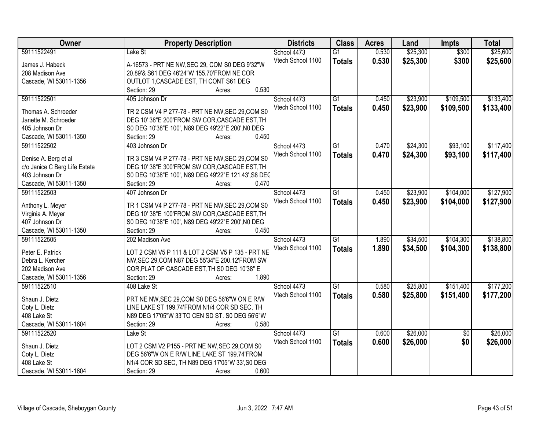| Owner                         | <b>Property Description</b>                          | <b>Districts</b>  | <b>Class</b>    | <b>Acres</b> | Land     | <b>Impts</b>    | <b>Total</b> |
|-------------------------------|------------------------------------------------------|-------------------|-----------------|--------------|----------|-----------------|--------------|
| 59111522491                   | Lake St                                              | School 4473       | $\overline{G1}$ | 0.530        | \$25,300 | \$300           | \$25,600     |
| James J. Habeck               | A-16573 - PRT NE NW, SEC 29, COM S0 DEG 9'32"W       | Vtech School 1100 | <b>Totals</b>   | 0.530        | \$25,300 | \$300           | \$25,600     |
| 208 Madison Ave               | 20.89'& S61 DEG 46'24"W 155.70'FROM NE COR           |                   |                 |              |          |                 |              |
| Cascade, WI 53011-1356        | OUTLOT 1, CASCADE EST, TH CONT S61 DEG               |                   |                 |              |          |                 |              |
|                               | 0.530<br>Section: 29<br>Acres:                       |                   |                 |              |          |                 |              |
| 59111522501                   | 405 Johnson Dr                                       | School 4473       | $\overline{G1}$ | 0.450        | \$23,900 | \$109,500       | \$133,400    |
|                               |                                                      | Vtech School 1100 | <b>Totals</b>   | 0.450        | \$23,900 | \$109,500       | \$133,400    |
| Thomas A. Schroeder           | TR 2 CSM V4 P 277-78 - PRT NE NW, SEC 29, COM S0     |                   |                 |              |          |                 |              |
| Janette M. Schroeder          | DEG 10' 38"E 200'FROM SW COR, CASCADE EST, TH        |                   |                 |              |          |                 |              |
| 405 Johnson Dr                | S0 DEG 10'38"E 100', N89 DEG 49'22"E 200', N0 DEG    |                   |                 |              |          |                 |              |
| Cascade, WI 53011-1350        | 0.450<br>Section: 29<br>Acres:                       |                   |                 |              |          |                 |              |
| 59111522502                   | 403 Johnson Dr                                       | School 4473       | $\overline{G1}$ | 0.470        | \$24,300 | \$93,100        | \$117,400    |
| Denise A. Berg et al          | TR 3 CSM V4 P 277-78 - PRT NE NW, SEC 29, COM S0     | Vtech School 1100 | <b>Totals</b>   | 0.470        | \$24,300 | \$93,100        | \$117,400    |
| c/o Janice C Berg Life Estate | DEG 10' 38"E 300'FROM SW COR, CASCADE EST, TH        |                   |                 |              |          |                 |              |
| 403 Johnson Dr                | S0 DEG 10'38"E 100', N89 DEG 49'22"E 121.43', S8 DEC |                   |                 |              |          |                 |              |
| Cascade, WI 53011-1350        | 0.470<br>Section: 29<br>Acres:                       |                   |                 |              |          |                 |              |
| 59111522503                   | 407 Johnson Dr                                       | School 4473       | G1              | 0.450        | \$23,900 | \$104,000       | \$127,900    |
|                               |                                                      | Vtech School 1100 |                 | 0.450        | \$23,900 | \$104,000       | \$127,900    |
| Anthony L. Meyer              | TR 1 CSM V4 P 277-78 - PRT NE NW, SEC 29, COM S0     |                   | <b>Totals</b>   |              |          |                 |              |
| Virginia A. Meyer             | DEG 10' 38"E 100'FROM SW COR, CASCADE EST, TH        |                   |                 |              |          |                 |              |
| 407 Johnson Dr                | S0 DEG 10'38"E 100', N89 DEG 49'22"E 200', N0 DEG    |                   |                 |              |          |                 |              |
| Cascade, WI 53011-1350        | Section: 29<br>0.450<br>Acres:                       |                   |                 |              |          |                 |              |
| 59111522505                   | 202 Madison Ave                                      | School 4473       | $\overline{G1}$ | 1.890        | \$34,500 | \$104,300       | \$138,800    |
|                               |                                                      | Vtech School 1100 | <b>Totals</b>   | 1.890        | \$34,500 | \$104,300       | \$138,800    |
| Peter E. Patrick              | LOT 2 CSM V5 P 111 & LOT 2 CSM V5 P 135 - PRT NE     |                   |                 |              |          |                 |              |
| Debra L. Kercher              | NW, SEC 29, COM N87 DEG 55'34"E 200.12'FROM SW       |                   |                 |              |          |                 |              |
| 202 Madison Ave               | COR, PLAT OF CASCADE EST, TH S0 DEG 10'38" E         |                   |                 |              |          |                 |              |
| Cascade, WI 53011-1356        | 1.890<br>Section: 29<br>Acres:                       |                   |                 |              |          |                 |              |
| 59111522510                   | 408 Lake St                                          | School 4473       | $\overline{G1}$ | 0.580        | \$25,800 | \$151,400       | \$177,200    |
| Shaun J. Dietz                | PRT NE NW, SEC 29, COM S0 DEG 56'6"W ON E R/W        | Vtech School 1100 | <b>Totals</b>   | 0.580        | \$25,800 | \$151,400       | \$177,200    |
| Coty L. Dietz                 | LINE LAKE ST 199.74'FROM N1/4 COR SD SEC, TH         |                   |                 |              |          |                 |              |
| 408 Lake St                   | N89 DEG 17'05"W 33'TO CEN SD ST. S0 DEG 56'6"W       |                   |                 |              |          |                 |              |
| Cascade, WI 53011-1604        | 0.580<br>Section: 29<br>Acres:                       |                   |                 |              |          |                 |              |
| 59111522520                   | Lake St                                              | School 4473       | $\overline{G1}$ | 0.600        | \$26,000 | $\overline{50}$ | \$26,000     |
|                               |                                                      | Vtech School 1100 | <b>Totals</b>   | 0.600        | \$26,000 | \$0             | \$26,000     |
| Shaun J. Dietz                | LOT 2 CSM V2 P155 - PRT NE NW, SEC 29, COM S0        |                   |                 |              |          |                 |              |
| Coty L. Dietz                 | DEG 56'6"W ON E R/W LINE LAKE ST 199.74'FROM         |                   |                 |              |          |                 |              |
| 408 Lake St                   | N1/4 COR SD SEC, TH N89 DEG 17'05"W 33', S0 DEG      |                   |                 |              |          |                 |              |
| Cascade, WI 53011-1604        | Section: 29<br>0.600<br>Acres:                       |                   |                 |              |          |                 |              |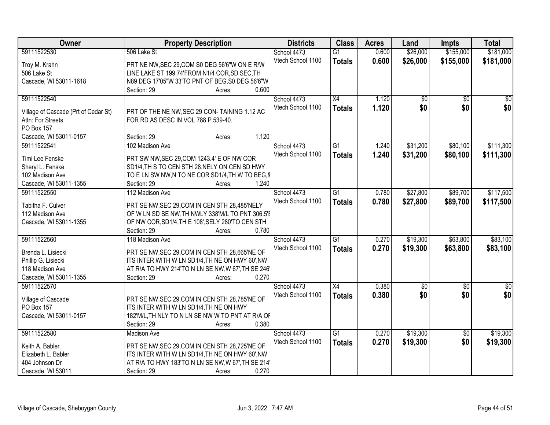| Owner                                   | <b>Property Description</b>                                                                | <b>Districts</b>  | <b>Class</b>    | <b>Acres</b> | Land            | <b>Impts</b>    | <b>Total</b> |
|-----------------------------------------|--------------------------------------------------------------------------------------------|-------------------|-----------------|--------------|-----------------|-----------------|--------------|
| 59111522530                             | 506 Lake St                                                                                | School 4473       | $\overline{G1}$ | 0.600        | \$26,000        | \$155,000       | \$181,000    |
| Troy M. Krahn                           | PRT NE NW, SEC 29, COM S0 DEG 56'6"W ON E R/W                                              | Vtech School 1100 | <b>Totals</b>   | 0.600        | \$26,000        | \$155,000       | \$181,000    |
| 506 Lake St                             | LINE LAKE ST 199.74'FROM N1/4 COR, SD SEC, TH                                              |                   |                 |              |                 |                 |              |
| Cascade, WI 53011-1618                  | N89 DEG 17'05"W 33'TO PNT OF BEG, S0 DEG 56'6"W                                            |                   |                 |              |                 |                 |              |
|                                         | 0.600<br>Section: 29<br>Acres:                                                             |                   |                 |              |                 |                 |              |
| 59111522540                             |                                                                                            | School 4473       | $\overline{X4}$ | 1.120        | $\overline{50}$ | $\overline{50}$ | $\sqrt{50}$  |
|                                         |                                                                                            | Vtech School 1100 | <b>Totals</b>   | 1.120        | \$0             | \$0             | \$0          |
| Village of Cascade (Prt of Cedar St)    | PRT OF THE NE NW, SEC 29 CON-TAINING 1.12 AC                                               |                   |                 |              |                 |                 |              |
| Attn: For Streets                       | FOR RD AS DESC IN VOL 788 P 539-40.                                                        |                   |                 |              |                 |                 |              |
| PO Box 157                              | 1.120                                                                                      |                   |                 |              |                 |                 |              |
| Cascade, WI 53011-0157                  | Section: 29<br>Acres:                                                                      |                   |                 |              |                 |                 |              |
| 59111522541                             | 102 Madison Ave                                                                            | School 4473       | $\overline{G1}$ | 1.240        | \$31,200        | \$80,100        | \$111,300    |
| Timi Lee Fenske                         | PRT SW NW, SEC 29, COM 1243.4' E OF NW COR                                                 | Vtech School 1100 | <b>Totals</b>   | 1.240        | \$31,200        | \$80,100        | \$111,300    |
| Sheryl L. Fenske                        | SD1/4, TH S TO CEN STH 28, NELY ON CEN SD HWY                                              |                   |                 |              |                 |                 |              |
| 102 Madison Ave                         | TO E LN SW NW, N TO NE COR SD1/4, TH W TO BEG, &                                           |                   |                 |              |                 |                 |              |
| Cascade, WI 53011-1355                  | Section: 29<br>1.240<br>Acres:                                                             |                   |                 |              |                 |                 |              |
| 59111522550                             | 112 Madison Ave                                                                            | School 4473       | $\overline{G1}$ | 0.780        | \$27,800        | \$89,700        | \$117,500    |
|                                         |                                                                                            | Vtech School 1100 | <b>Totals</b>   | 0.780        | \$27,800        | \$89,700        | \$117,500    |
| Tabitha F. Culver                       | PRT SE NW, SEC 29, COM IN CEN STH 28, 485'NELY                                             |                   |                 |              |                 |                 |              |
| 112 Madison Ave                         | OF W LN SD SE NW, TH NWLY 338'M/L TO PNT 306.5'I                                           |                   |                 |              |                 |                 |              |
| Cascade, WI 53011-1355                  | OF NW COR, SD1/4, TH E 108', SELY 280'TO CEN STH                                           |                   |                 |              |                 |                 |              |
|                                         | 0.780<br>Section: 29<br>Acres:                                                             |                   |                 |              |                 |                 |              |
| 59111522560                             | 118 Madison Ave                                                                            | School 4473       | $\overline{G1}$ | 0.270        | \$19,300        | \$63,800        | \$83,100     |
| Brenda L. Lisiecki                      | PRT SE NW, SEC 29, COM IN CEN STH 28, 665'NE OF                                            | Vtech School 1100 | <b>Totals</b>   | 0.270        | \$19,300        | \$63,800        | \$83,100     |
| Phillip G. Lisiecki                     | ITS INTER WITH W LN SD1/4, TH NE ON HWY 60', NW                                            |                   |                 |              |                 |                 |              |
| 118 Madison Ave                         | AT R/A TO HWY 214'TO N LN SE NW, W 67', TH SE 246'                                         |                   |                 |              |                 |                 |              |
| Cascade, WI 53011-1355                  | 0.270<br>Section: 29<br>Acres:                                                             |                   |                 |              |                 |                 |              |
| 59111522570                             |                                                                                            | School 4473       | X4              | 0.380        | $\sqrt{$0}$     | \$0             | $\sqrt{50}$  |
|                                         |                                                                                            | Vtech School 1100 | <b>Totals</b>   | 0.380        | \$0             | \$0             | \$0          |
| Village of Cascade<br><b>PO Box 157</b> | PRT SE NW, SEC 29, COM IN CEN STH 28, 785'NE OF<br>ITS INTER WITH W LN SD1/4, TH NE ON HWY |                   |                 |              |                 |                 |              |
| Cascade, WI 53011-0157                  | 182'M/L, TH NLY TO N LN SE NW W TO PNT AT R/A OF                                           |                   |                 |              |                 |                 |              |
|                                         | 0.380<br>Section: 29                                                                       |                   |                 |              |                 |                 |              |
| 59111522580                             | Acres:<br><b>Madison Ave</b>                                                               | School 4473       | $\overline{G1}$ | 0.270        | \$19,300        |                 | \$19,300     |
|                                         |                                                                                            | Vtech School 1100 |                 |              |                 | $\overline{50}$ |              |
| Keith A. Babler                         | PRT SE NW, SEC 29, COM IN CEN STH 28, 725'NE OF                                            |                   | <b>Totals</b>   | 0.270        | \$19,300        | \$0             | \$19,300     |
| Elizabeth L. Babler                     | ITS INTER WITH W LN SD1/4, TH NE ON HWY 60', NW                                            |                   |                 |              |                 |                 |              |
| 404 Johnson Dr                          | AT R/A TO HWY 183'TO N LN SE NW, W 67', TH SE 214'                                         |                   |                 |              |                 |                 |              |
| Cascade, WI 53011                       | 0.270<br>Section: 29<br>Acres:                                                             |                   |                 |              |                 |                 |              |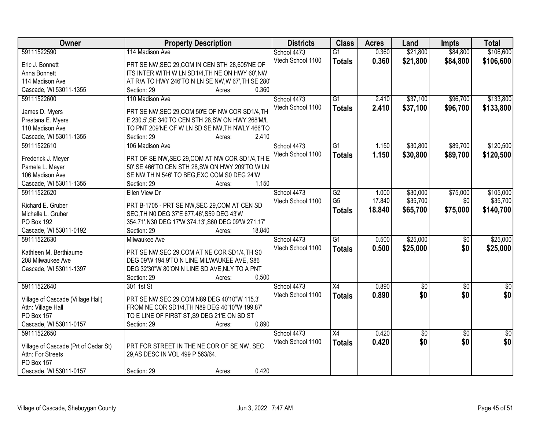| Owner                                                     | <b>Property Description</b>                         | <b>Districts</b>  | <b>Class</b>    | <b>Acres</b> | Land        | <b>Impts</b>    | <b>Total</b>    |
|-----------------------------------------------------------|-----------------------------------------------------|-------------------|-----------------|--------------|-------------|-----------------|-----------------|
| 59111522590                                               | 114 Madison Ave                                     | School 4473       | $\overline{G1}$ | 0.360        | \$21,800    | \$84,800        | \$106,600       |
| Eric J. Bonnett                                           | PRT SE NW, SEC 29, COM IN CEN STH 28, 605'NE OF     | Vtech School 1100 | <b>Totals</b>   | 0.360        | \$21,800    | \$84,800        | \$106,600       |
| Anna Bonnett                                              | ITS INTER WITH W LN SD1/4, TH NE ON HWY 60', NW     |                   |                 |              |             |                 |                 |
| 114 Madison Ave                                           | AT R/A TO HWY 246'TO N LN SE NW, W 67', TH SE 280'  |                   |                 |              |             |                 |                 |
| Cascade, WI 53011-1355                                    | 0.360<br>Section: 29<br>Acres:                      |                   |                 |              |             |                 |                 |
| 59111522600                                               | 110 Madison Ave                                     | School 4473       | $\overline{G1}$ | 2.410        | \$37,100    | \$96,700        | \$133,800       |
|                                                           |                                                     | Vtech School 1100 | <b>Totals</b>   | 2.410        | \$37,100    | \$96,700        | \$133,800       |
| James D. Myers                                            | PRT SE NW, SEC 29, COM 50'E OF NW COR SD1/4, TH     |                   |                 |              |             |                 |                 |
| Prestana E. Myers                                         | E 230.5', SE 340'TO CEN STH 28, SW ON HWY 268'M/L   |                   |                 |              |             |                 |                 |
| 110 Madison Ave                                           | TO PNT 209'NE OF W LN SD SE NW, TH NWLY 466'TO      |                   |                 |              |             |                 |                 |
| Cascade, WI 53011-1355                                    | 2.410<br>Section: 29<br>Acres:                      |                   |                 |              |             |                 |                 |
| 59111522610                                               | 106 Madison Ave                                     | School 4473       | $\overline{G1}$ | 1.150        | \$30,800    | \$89,700        | \$120,500       |
| Frederick J. Meyer                                        | PRT OF SE NW, SEC 29, COM AT NW COR SD1/4, TH E     | Vtech School 1100 | <b>Totals</b>   | 1.150        | \$30,800    | \$89,700        | \$120,500       |
| Pamela L. Meyer                                           | 50', SE 466'TO CEN STH 28, SW ON HWY 209'TO W LN    |                   |                 |              |             |                 |                 |
| 106 Madison Ave                                           | SE NW, TH N 546' TO BEG, EXC COM S0 DEG 24'W        |                   |                 |              |             |                 |                 |
| Cascade, WI 53011-1355                                    | 1.150<br>Section: 29<br>Acres:                      |                   |                 |              |             |                 |                 |
| 59111522620                                               | Ellen View Dr                                       | School 4473       | $\overline{G2}$ | 1.000        | \$30,000    | \$75,000        | \$105,000       |
|                                                           |                                                     | Vtech School 1100 | G <sub>5</sub>  | 17.840       | \$35,700    | \$0             | \$35,700        |
| Richard E. Gruber                                         | PRT B-1705 - PRT SE NW, SEC 29, COM AT CEN SD       |                   | <b>Totals</b>   | 18.840       | \$65,700    | \$75,000        | \$140,700       |
| Michelle L. Gruber                                        | SEC, TH NO DEG 37'E 677.46', S59 DEG 43'W           |                   |                 |              |             |                 |                 |
| PO Box 192                                                | 354.71', N30 DEG 17'W 374.13', S60 DEG 09'W 271.17' |                   |                 |              |             |                 |                 |
| Cascade, WI 53011-0192                                    | 18.840<br>Section: 29<br>Acres:                     |                   |                 |              |             |                 |                 |
| 59111522630                                               | Milwaukee Ave                                       | School 4473       | $\overline{G1}$ | 0.500        | \$25,000    | $\overline{50}$ | \$25,000        |
| Kathleen M. Berthiaume                                    | PRT SE NW, SEC 29, COM AT NE COR SD1/4, TH S0       | Vtech School 1100 | <b>Totals</b>   | 0.500        | \$25,000    | \$0             | \$25,000        |
| 208 Milwaukee Ave                                         | DEG 09'W 194.9'TO N LINE MILWAUKEE AVE, S86         |                   |                 |              |             |                 |                 |
| Cascade, WI 53011-1397                                    | DEG 32'30"W 80'ON N LINE SD AVE, NLY TO A PNT       |                   |                 |              |             |                 |                 |
|                                                           | 0.500<br>Section: 29<br>Acres:                      |                   |                 |              |             |                 |                 |
| 59111522640                                               | 301 1st St                                          | School 4473       | $\overline{X4}$ | 0.890        | $\sqrt{50}$ | $\overline{50}$ | $\overline{30}$ |
|                                                           |                                                     | Vtech School 1100 |                 | 0.890        | \$0         | \$0             | \$0             |
| Village of Cascade (Village Hall)                         | PRT SE NW, SEC 29, COM N89 DEG 40'10"W 115.3'       |                   | <b>Totals</b>   |              |             |                 |                 |
| Attn: Village Hall                                        | FROM NE COR SD1/4, TH N89 DEG 40'10"W 199.87'       |                   |                 |              |             |                 |                 |
| PO Box 157                                                | TO E LINE OF FIRST ST, S9 DEG 21'E ON SD ST         |                   |                 |              |             |                 |                 |
| Cascade, WI 53011-0157                                    | 0.890<br>Section: 29<br>Acres:                      |                   |                 |              |             |                 |                 |
| 59111522650                                               |                                                     | School 4473       | $\overline{X4}$ | 0.420        | \$0         | $\overline{30}$ | $\sqrt{50}$     |
|                                                           | PRT FOR STREET IN THE NE COR OF SE NW, SEC          | Vtech School 1100 | <b>Totals</b>   | 0.420        | \$0         | \$0             | \$0             |
| Village of Cascade (Prt of Cedar St)<br>Attn: For Streets | 29, AS DESC IN VOL 499 P 563/64.                    |                   |                 |              |             |                 |                 |
| PO Box 157                                                |                                                     |                   |                 |              |             |                 |                 |
| Cascade, WI 53011-0157                                    | 0.420<br>Section: 29                                |                   |                 |              |             |                 |                 |
|                                                           | Acres:                                              |                   |                 |              |             |                 |                 |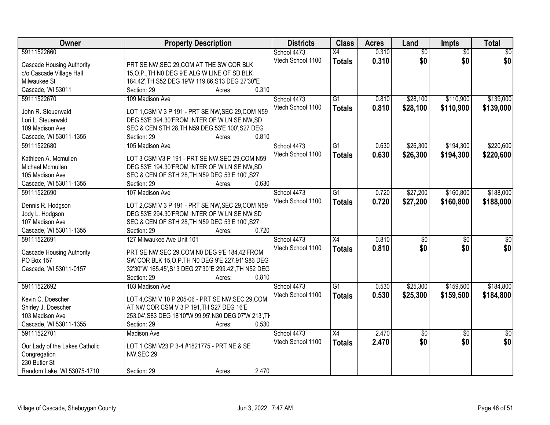| Owner                            | <b>Property Description</b>                             | <b>Districts</b>  | <b>Class</b>    | <b>Acres</b> | Land            | Impts           | <b>Total</b>    |
|----------------------------------|---------------------------------------------------------|-------------------|-----------------|--------------|-----------------|-----------------|-----------------|
| 59111522660                      |                                                         | School 4473       | X4              | 0.310        | $\overline{50}$ | $\overline{30}$ | $\overline{50}$ |
| <b>Cascade Housing Authority</b> | PRT SE NW, SEC 29, COM AT THE SW COR BLK                | Vtech School 1100 | <b>Totals</b>   | 0.310        | \$0             | \$0             | \$0             |
| c/o Cascade Village Hall         | 15, O.P., TH NO DEG 9'E ALG W LINE OF SD BLK            |                   |                 |              |                 |                 |                 |
| Milwaukee St                     | 184.42', TH S52 DEG 19'W 119.86, S13 DEG 27'30"E        |                   |                 |              |                 |                 |                 |
| Cascade, WI 53011                | 0.310<br>Section: 29<br>Acres:                          |                   |                 |              |                 |                 |                 |
| 59111522670                      | 109 Madison Ave                                         | School 4473       | $\overline{G1}$ | 0.810        | \$28,100        | \$110,900       | \$139,000       |
|                                  |                                                         | Vtech School 1100 | <b>Totals</b>   | 0.810        | \$28,100        | \$110,900       | \$139,000       |
| John R. Steuerwald               | LOT 1, CSM V 3 P 191 - PRT SE NW, SEC 29, COM N59       |                   |                 |              |                 |                 |                 |
| Lori L. Steuerwald               | DEG 53'E 394.30'FROM INTER OF W LN SE NW, SD            |                   |                 |              |                 |                 |                 |
| 109 Madison Ave                  | SEC & CEN STH 28, TH N59 DEG 53'E 100', S27 DEG         |                   |                 |              |                 |                 |                 |
| Cascade, WI 53011-1355           | 0.810<br>Section: 29<br>Acres:                          |                   |                 |              |                 |                 |                 |
| 59111522680                      | 105 Madison Ave                                         | School 4473       | $\overline{G1}$ | 0.630        | \$26,300        | \$194,300       | \$220,600       |
|                                  |                                                         | Vtech School 1100 | <b>Totals</b>   | 0.630        | \$26,300        | \$194,300       | \$220,600       |
| Kathleen A. Mcmullen             | LOT 3 CSM V3 P 191 - PRT SE NW, SEC 29, COM N59         |                   |                 |              |                 |                 |                 |
| Michael Mcmullen                 | DEG 53'E 194.30'FROM INTER OF W LN SE NW, SD            |                   |                 |              |                 |                 |                 |
| 105 Madison Ave                  | SEC & CEN OF STH 28, TH N59 DEG 53'E 100', S27<br>0.630 |                   |                 |              |                 |                 |                 |
| Cascade, WI 53011-1355           | Section: 29<br>Acres:                                   |                   |                 |              |                 |                 |                 |
| 59111522690                      | 107 Madison Ave                                         | School 4473       | $\overline{G1}$ | 0.720        | \$27,200        | \$160,800       | \$188,000       |
| Dennis R. Hodgson                | LOT 2,CSM V 3 P 191 - PRT SE NW, SEC 29, COM N59        | Vtech School 1100 | <b>Totals</b>   | 0.720        | \$27,200        | \$160,800       | \$188,000       |
| Jody L. Hodgson                  | DEG 53'E 294.30'FROM INTER OF W LN SE NW SD             |                   |                 |              |                 |                 |                 |
| 107 Madison Ave                  | SEC,& CEN OF STH 28, TH N59 DEG 53'E 100', S27          |                   |                 |              |                 |                 |                 |
| Cascade, WI 53011-1355           | 0.720<br>Section: 29<br>Acres:                          |                   |                 |              |                 |                 |                 |
| 59111522691                      | 127 Milwaukee Ave Unit 101                              | School 4473       | $\overline{X4}$ | 0.810        | \$0             | $\overline{50}$ | \$0             |
|                                  |                                                         | Vtech School 1100 | <b>Totals</b>   | 0.810        | \$0             | \$0             | \$0             |
| <b>Cascade Housing Authority</b> | PRT SE NW, SEC 29, COM N0 DEG 9'E 184.42'FROM           |                   |                 |              |                 |                 |                 |
| PO Box 157                       | SW COR BLK 15, O.P. TH N0 DEG 9'E 227.91' S86 DEG       |                   |                 |              |                 |                 |                 |
| Cascade, WI 53011-0157           | 32'30"W 165.45', S13 DEG 27'30"E 299.42', TH N52 DEG    |                   |                 |              |                 |                 |                 |
|                                  | Section: 29<br>0.810<br>Acres:                          |                   |                 |              |                 |                 |                 |
| 59111522692                      | 103 Madison Ave                                         | School 4473       | G1              | 0.530        | \$25,300        | \$159,500       | \$184,800       |
| Kevin C. Doescher                | LOT 4, CSM V 10 P 205-06 - PRT SE NW, SEC 29, COM       | Vtech School 1100 | <b>Totals</b>   | 0.530        | \$25,300        | \$159,500       | \$184,800       |
| Shirley J. Doescher              | AT NW COR CSM V 3 P 191, TH S27 DEG 16'E                |                   |                 |              |                 |                 |                 |
| 103 Madison Ave                  | 253.04', S83 DEG 18'10"W 99.95', N30 DEG 07'W 213', TH  |                   |                 |              |                 |                 |                 |
| Cascade, WI 53011-1355           | 0.530<br>Section: 29<br>Acres:                          |                   |                 |              |                 |                 |                 |
| 59111522701                      | <b>Madison Ave</b>                                      | School 4473       | $\overline{X4}$ | 2.470        | \$0             | $\overline{50}$ | $\overline{50}$ |
|                                  |                                                         | Vtech School 1100 |                 | 2.470        | \$0             | \$0             | \$0             |
| Our Lady of the Lakes Catholic   | LOT 1 CSM V23 P 3-4 #1821775 - PRT NE & SE              |                   | <b>Totals</b>   |              |                 |                 |                 |
| Congregation                     | NW, SEC 29                                              |                   |                 |              |                 |                 |                 |
| 230 Butler St                    |                                                         |                   |                 |              |                 |                 |                 |
| Random Lake, WI 53075-1710       | 2.470<br>Section: 29<br>Acres:                          |                   |                 |              |                 |                 |                 |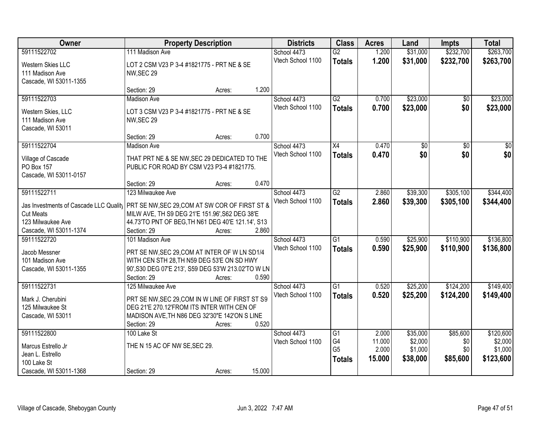| Owner                                                                                 | <b>Property Description</b>                                                                                                                    |        |        | <b>Districts</b>  | <b>Class</b>         | <b>Acres</b>    | Land               | <b>Impts</b>    | <b>Total</b>       |
|---------------------------------------------------------------------------------------|------------------------------------------------------------------------------------------------------------------------------------------------|--------|--------|-------------------|----------------------|-----------------|--------------------|-----------------|--------------------|
| 59111522702                                                                           | 111 Madison Ave                                                                                                                                |        |        | School 4473       | $\overline{G2}$      | 1.200           | \$31,000           | \$232,700       | \$263,700          |
| Western Skies LLC<br>111 Madison Ave<br>Cascade, WI 53011-1355                        | LOT 2 CSM V23 P 3-4 #1821775 - PRT NE & SE<br>NW, SEC 29                                                                                       |        |        | Vtech School 1100 | <b>Totals</b>        | 1.200           | \$31,000           | \$232,700       | \$263,700          |
|                                                                                       | Section: 29                                                                                                                                    | Acres: | 1.200  |                   |                      |                 |                    |                 |                    |
| 59111522703                                                                           | <b>Madison Ave</b>                                                                                                                             |        |        | School 4473       | G2                   | 0.700           | \$23,000           | \$0             | \$23,000           |
| Western Skies, LLC<br>111 Madison Ave<br>Cascade, WI 53011                            | LOT 3 CSM V23 P 3-4 #1821775 - PRT NE & SE<br>NW, SEC 29                                                                                       |        |        | Vtech School 1100 | <b>Totals</b>        | 0.700           | \$23,000           | \$0             | \$23,000           |
|                                                                                       | Section: 29                                                                                                                                    | Acres: | 0.700  |                   |                      |                 |                    |                 |                    |
| 59111522704                                                                           | <b>Madison Ave</b>                                                                                                                             |        |        | School 4473       | $\overline{X4}$      | 0.470           | \$0                | $\overline{50}$ | $\sqrt{50}$        |
| Village of Cascade<br><b>PO Box 157</b><br>Cascade, WI 53011-0157                     | THAT PRT NE & SE NW, SEC 29 DEDICATED TO THE<br>PUBLIC FOR ROAD BY CSM V23 P3-4 #1821775.                                                      |        |        | Vtech School 1100 | <b>Totals</b>        | 0.470           | \$0                | \$0             | \$0                |
|                                                                                       | Section: 29                                                                                                                                    | Acres: | 0.470  |                   |                      |                 |                    |                 |                    |
| 59111522711                                                                           | 123 Milwaukee Ave                                                                                                                              |        |        | School 4473       | $\overline{G2}$      | 2.860           | \$39,300           | \$305,100       | \$344,400          |
| Jas Investments of Cascade LLC Quality PRT SE NW, SEC 29, COM AT SW COR OF FIRST ST & |                                                                                                                                                |        |        | Vtech School 1100 | <b>Totals</b>        | 2.860           | \$39,300           | \$305,100       | \$344,400          |
| <b>Cut Meats</b>                                                                      | MILW AVE, TH S9 DEG 21'E 151.96', S62 DEG 38'E                                                                                                 |        |        |                   |                      |                 |                    |                 |                    |
| 123 Milwaukee Ave                                                                     | 44.73'TO PNT OF BEG, TH N61 DEG 40'E 121.14', S13                                                                                              |        |        |                   |                      |                 |                    |                 |                    |
| Cascade, WI 53011-1374                                                                | Section: 29                                                                                                                                    | Acres: | 2.860  |                   |                      |                 |                    |                 |                    |
| 59111522720                                                                           | 101 Madison Ave                                                                                                                                |        |        | School 4473       | $\overline{G1}$      | 0.590           | \$25,900           | \$110,900       | \$136,800          |
| Jacob Messner                                                                         | PRT SE NW, SEC 29, COM AT INTER OF W LN SD1/4                                                                                                  |        |        | Vtech School 1100 | <b>Totals</b>        | 0.590           | \$25,900           | \$110,900       | \$136,800          |
| 101 Madison Ave                                                                       | WITH CEN STH 28, TH N59 DEG 53'E ON SD HWY                                                                                                     |        |        |                   |                      |                 |                    |                 |                    |
| Cascade, WI 53011-1355                                                                | 90', S30 DEG 07'E 213', S59 DEG 53'W 213.02'TO W LN                                                                                            |        |        |                   |                      |                 |                    |                 |                    |
|                                                                                       | Section: 29                                                                                                                                    | Acres: | 0.590  |                   |                      |                 |                    |                 |                    |
| 59111522731                                                                           | 125 Milwaukee Ave                                                                                                                              |        |        | School 4473       | $\overline{G1}$      | 0.520           | \$25,200           | \$124,200       | \$149,400          |
| Mark J. Cherubini<br>125 Milwaukee St<br>Cascade, WI 53011                            | PRT SE NW, SEC 29, COM IN W LINE OF FIRST ST S9<br>DEG 21'E 270.12'FROM ITS INTER WITH CEN OF<br>MADISON AVE, TH N86 DEG 32'30"E 142'ON S LINE |        |        | Vtech School 1100 | <b>Totals</b>        | 0.520           | \$25,200           | \$124,200       | \$149,400          |
|                                                                                       | Section: 29                                                                                                                                    | Acres: | 0.520  |                   |                      |                 |                    |                 |                    |
| 59111522800                                                                           | 100 Lake St                                                                                                                                    |        |        | School 4473       | $\overline{G1}$      | 2.000           | \$35,000           | \$85,600        | \$120,600          |
| Marcus Estrello Jr                                                                    | THE N 15 AC OF NW SE, SEC 29.                                                                                                                  |        |        | Vtech School 1100 | G4<br>G <sub>5</sub> | 11.000<br>2.000 | \$2,000<br>\$1,000 | \$0<br>\$0      | \$2,000<br>\$1,000 |
| Jean L. Estrello                                                                      |                                                                                                                                                |        |        |                   |                      | 15,000          | \$38,000           | \$85,600        |                    |
| 100 Lake St                                                                           |                                                                                                                                                |        |        |                   | <b>Totals</b>        |                 |                    |                 | \$123,600          |
| Cascade, WI 53011-1368                                                                | Section: 29                                                                                                                                    | Acres: | 15.000 |                   |                      |                 |                    |                 |                    |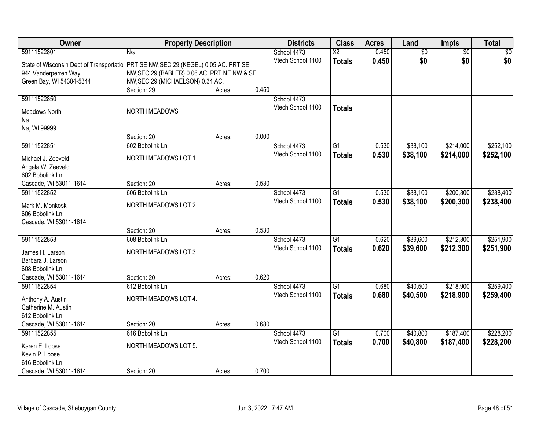| Owner                                    | <b>Property Description</b>                 |        |       | <b>Districts</b>  | <b>Class</b>           | <b>Acres</b> | Land            | <b>Impts</b>    | <b>Total</b> |
|------------------------------------------|---------------------------------------------|--------|-------|-------------------|------------------------|--------------|-----------------|-----------------|--------------|
| 59111522801                              | N/a                                         |        |       | School 4473       | $\overline{\text{X2}}$ | 0.450        | $\overline{60}$ | $\overline{50}$ | \$0          |
| State of Wisconsin Dept of Transportatic | PRT SE NW, SEC 29 (KEGEL) 0.05 AC. PRT SE   |        |       | Vtech School 1100 | <b>Totals</b>          | 0.450        | \$0             | \$0             | \$0          |
| 944 Vanderperren Way                     | NW, SEC 29 (BABLER) 0.06 AC. PRT NE NW & SE |        |       |                   |                        |              |                 |                 |              |
| Green Bay, WI 54304-5344                 | NW, SEC 29 (MICHAELSON) 0.34 AC.            |        |       |                   |                        |              |                 |                 |              |
|                                          | Section: 29                                 | Acres: | 0.450 |                   |                        |              |                 |                 |              |
| 59111522850                              |                                             |        |       | School 4473       |                        |              |                 |                 |              |
| Meadows North                            | <b>NORTH MEADOWS</b>                        |        |       | Vtech School 1100 | <b>Totals</b>          |              |                 |                 |              |
| Na                                       |                                             |        |       |                   |                        |              |                 |                 |              |
| Na, WI 99999                             |                                             |        |       |                   |                        |              |                 |                 |              |
|                                          | Section: 20                                 | Acres: | 0.000 |                   |                        |              |                 |                 |              |
| 59111522851                              | 602 Bobolink Ln                             |        |       | School 4473       | $\overline{G1}$        | 0.530        | \$38,100        | \$214,000       | \$252,100    |
| Michael J. Zeeveld                       | NORTH MEADOWS LOT 1.                        |        |       | Vtech School 1100 | <b>Totals</b>          | 0.530        | \$38,100        | \$214,000       | \$252,100    |
| Angela W. Zeeveld                        |                                             |        |       |                   |                        |              |                 |                 |              |
| 602 Bobolink Ln                          |                                             |        |       |                   |                        |              |                 |                 |              |
| Cascade, WI 53011-1614                   | Section: 20                                 | Acres: | 0.530 |                   |                        |              |                 |                 |              |
| 59111522852                              | 606 Bobolink Ln                             |        |       | School 4473       | $\overline{G1}$        | 0.530        | \$38,100        | \$200,300       | \$238,400    |
| Mark M. Monkoski                         | NORTH MEADOWS LOT 2.                        |        |       | Vtech School 1100 | <b>Totals</b>          | 0.530        | \$38,100        | \$200,300       | \$238,400    |
| 606 Bobolink Ln                          |                                             |        |       |                   |                        |              |                 |                 |              |
| Cascade, WI 53011-1614                   |                                             |        |       |                   |                        |              |                 |                 |              |
|                                          | Section: 20                                 | Acres: | 0.530 |                   |                        |              |                 |                 |              |
| 59111522853                              | 608 Bobolink Ln                             |        |       | School 4473       | $\overline{G1}$        | 0.620        | \$39,600        | \$212,300       | \$251,900    |
| James H. Larson                          | NORTH MEADOWS LOT 3.                        |        |       | Vtech School 1100 | <b>Totals</b>          | 0.620        | \$39,600        | \$212,300       | \$251,900    |
| Barbara J. Larson                        |                                             |        |       |                   |                        |              |                 |                 |              |
| 608 Bobolink Ln                          |                                             |        |       |                   |                        |              |                 |                 |              |
| Cascade, WI 53011-1614                   | Section: 20                                 | Acres: | 0.620 |                   |                        |              |                 |                 |              |
| 59111522854                              | 612 Bobolink Ln                             |        |       | School 4473       | $\overline{G1}$        | 0.680        | \$40,500        | \$218,900       | \$259,400    |
|                                          | NORTH MEADOWS LOT 4.                        |        |       | Vtech School 1100 | <b>Totals</b>          | 0.680        | \$40,500        | \$218,900       | \$259,400    |
| Anthony A. Austin<br>Catherine M. Austin |                                             |        |       |                   |                        |              |                 |                 |              |
| 612 Bobolink Ln                          |                                             |        |       |                   |                        |              |                 |                 |              |
| Cascade, WI 53011-1614                   | Section: 20                                 | Acres: | 0.680 |                   |                        |              |                 |                 |              |
| 59111522855                              | 616 Bobolink Ln                             |        |       | School 4473       | $\overline{G1}$        | 0.700        | \$40,800        | \$187,400       | \$228,200    |
|                                          |                                             |        |       | Vtech School 1100 | <b>Totals</b>          | 0.700        | \$40,800        | \$187,400       | \$228,200    |
| Karen E. Loose<br>Kevin P. Loose         | NORTH MEADOWS LOT 5.                        |        |       |                   |                        |              |                 |                 |              |
| 616 Bobolink Ln                          |                                             |        |       |                   |                        |              |                 |                 |              |
| Cascade, WI 53011-1614                   | Section: 20                                 | Acres: | 0.700 |                   |                        |              |                 |                 |              |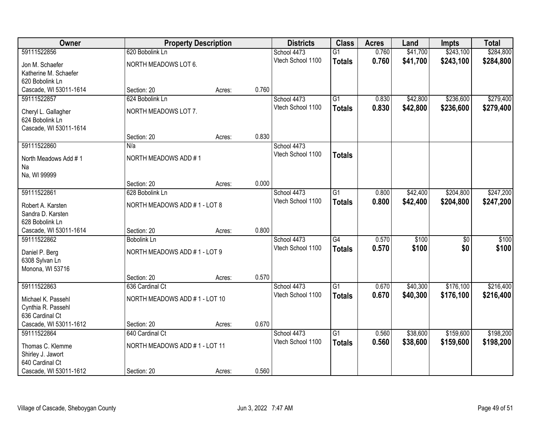| Owner                  |                      | <b>Property Description</b>   |       | <b>Districts</b>                 | <b>Class</b>    | <b>Acres</b> | Land     | <b>Impts</b>    | <b>Total</b> |
|------------------------|----------------------|-------------------------------|-------|----------------------------------|-----------------|--------------|----------|-----------------|--------------|
| 59111522856            | 620 Bobolink Ln      |                               |       | School 4473                      | $\overline{G1}$ | 0.760        | \$41,700 | \$243,100       | \$284,800    |
| Jon M. Schaefer        | NORTH MEADOWS LOT 6. |                               |       | Vtech School 1100                | <b>Totals</b>   | 0.760        | \$41,700 | \$243,100       | \$284,800    |
| Katherine M. Schaefer  |                      |                               |       |                                  |                 |              |          |                 |              |
| 620 Bobolink Ln        |                      |                               |       |                                  |                 |              |          |                 |              |
| Cascade, WI 53011-1614 | Section: 20          | Acres:                        | 0.760 |                                  |                 |              |          |                 |              |
| 59111522857            | 624 Bobolink Ln      |                               |       | School 4473                      | $\overline{G1}$ | 0.830        | \$42,800 | \$236,600       | \$279,400    |
| Cheryl L. Gallagher    | NORTH MEADOWS LOT 7. |                               |       | Vtech School 1100                | <b>Totals</b>   | 0.830        | \$42,800 | \$236,600       | \$279,400    |
| 624 Bobolink Ln        |                      |                               |       |                                  |                 |              |          |                 |              |
| Cascade, WI 53011-1614 |                      |                               |       |                                  |                 |              |          |                 |              |
|                        | Section: 20          | Acres:                        | 0.830 |                                  |                 |              |          |                 |              |
| 59111522860            | N/a                  |                               |       | School 4473                      |                 |              |          |                 |              |
| North Meadows Add #1   | NORTH MEADOWS ADD #1 |                               |       | Vtech School 1100                | <b>Totals</b>   |              |          |                 |              |
| Na                     |                      |                               |       |                                  |                 |              |          |                 |              |
| Na, WI 99999           |                      |                               |       |                                  |                 |              |          |                 |              |
|                        | Section: 20          | Acres:                        | 0.000 |                                  |                 |              |          |                 |              |
| 59111522861            | 628 Bobolink Ln      |                               |       | School 4473<br>Vtech School 1100 | $\overline{G1}$ | 0.800        | \$42,400 | \$204,800       | \$247,200    |
| Robert A. Karsten      |                      | NORTH MEADOWS ADD #1 - LOT 8  |       |                                  | <b>Totals</b>   | 0.800        | \$42,400 | \$204,800       | \$247,200    |
| Sandra D. Karsten      |                      |                               |       |                                  |                 |              |          |                 |              |
| 628 Bobolink Ln        |                      |                               |       |                                  |                 |              |          |                 |              |
| Cascade, WI 53011-1614 | Section: 20          | Acres:                        | 0.800 |                                  |                 |              |          |                 |              |
| 59111522862            | <b>Bobolink Ln</b>   |                               |       | School 4473<br>Vtech School 1100 | $\overline{G4}$ | 0.570        | \$100    | $\overline{30}$ | \$100        |
| Daniel P. Berg         |                      | NORTH MEADOWS ADD #1 - LOT 9  |       |                                  | <b>Totals</b>   | 0.570        | \$100    | \$0             | \$100        |
| 6308 Sylvan Ln         |                      |                               |       |                                  |                 |              |          |                 |              |
| Monona, WI 53716       |                      |                               |       |                                  |                 |              |          |                 |              |
|                        | Section: 20          | Acres:                        | 0.570 |                                  |                 |              |          |                 |              |
| 59111522863            | 636 Cardinal Ct      |                               |       | School 4473<br>Vtech School 1100 | $\overline{G1}$ | 0.670        | \$40,300 | \$176,100       | \$216,400    |
| Michael K. Passehl     |                      | NORTH MEADOWS ADD #1 - LOT 10 |       |                                  | <b>Totals</b>   | 0.670        | \$40,300 | \$176,100       | \$216,400    |
| Cynthia R. Passehl     |                      |                               |       |                                  |                 |              |          |                 |              |
| 636 Cardinal Ct        |                      |                               |       |                                  |                 |              |          |                 |              |
| Cascade, WI 53011-1612 | Section: 20          | Acres:                        | 0.670 |                                  |                 |              |          |                 |              |
| 59111522864            | 640 Cardinal Ct      |                               |       | School 4473                      | $\overline{G1}$ | 0.560        | \$38,600 | \$159,600       | \$198,200    |
| Thomas C. Klemme       |                      | NORTH MEADOWS ADD #1 - LOT 11 |       | Vtech School 1100                | <b>Totals</b>   | 0.560        | \$38,600 | \$159,600       | \$198,200    |
| Shirley J. Jawort      |                      |                               |       |                                  |                 |              |          |                 |              |
| 640 Cardinal Ct        |                      |                               |       |                                  |                 |              |          |                 |              |
| Cascade, WI 53011-1612 | Section: 20          | Acres:                        | 0.560 |                                  |                 |              |          |                 |              |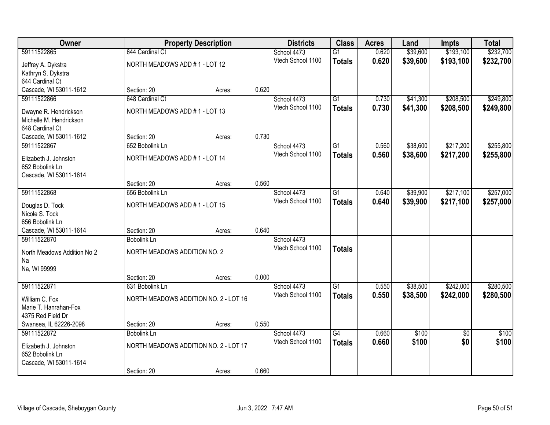| Owner                       |                                       | <b>Property Description</b>   |                   | <b>Districts</b>                 | <b>Class</b>    | <b>Acres</b> | Land      | <b>Impts</b>    | <b>Total</b> |
|-----------------------------|---------------------------------------|-------------------------------|-------------------|----------------------------------|-----------------|--------------|-----------|-----------------|--------------|
| 59111522865                 | 644 Cardinal Ct                       |                               |                   | School 4473                      | $\overline{G1}$ | 0.620        | \$39,600  | \$193,100       | \$232,700    |
| Jeffrey A. Dykstra          | NORTH MEADOWS ADD #1 - LOT 12         |                               |                   | Vtech School 1100                | <b>Totals</b>   | 0.620        | \$39,600  | \$193,100       | \$232,700    |
| Kathryn S. Dykstra          |                                       |                               |                   |                                  |                 |              |           |                 |              |
| 644 Cardinal Ct             |                                       |                               |                   |                                  |                 |              |           |                 |              |
| Cascade, WI 53011-1612      | Section: 20                           | Acres:                        | 0.620             |                                  |                 |              |           |                 |              |
| 59111522866                 | 648 Cardinal Ct                       |                               |                   | School 4473<br>Vtech School 1100 | $\overline{G1}$ | 0.730        | \$41,300  | \$208,500       | \$249,800    |
| Dwayne R. Hendrickson       |                                       | NORTH MEADOWS ADD #1 - LOT 13 |                   |                                  | <b>Totals</b>   | 0.730        | \$41,300  | \$208,500       | \$249,800    |
| Michelle M. Hendrickson     |                                       |                               |                   |                                  |                 |              |           |                 |              |
| 648 Cardinal Ct             |                                       |                               |                   |                                  |                 |              |           |                 |              |
| Cascade, WI 53011-1612      | Section: 20                           | Acres:                        | 0.730             |                                  |                 |              |           |                 |              |
| 59111522867                 | 652 Bobolink Ln                       |                               |                   | School 4473<br>Vtech School 1100 | $\overline{G1}$ | 0.560        | \$38,600  | \$217,200       | \$255,800    |
| Elizabeth J. Johnston       |                                       | NORTH MEADOWS ADD #1 - LOT 14 |                   |                                  | <b>Totals</b>   | 0.560        | \$38,600  | \$217,200       | \$255,800    |
| 652 Bobolink Ln             |                                       |                               |                   |                                  |                 |              |           |                 |              |
| Cascade, WI 53011-1614      |                                       |                               |                   |                                  |                 |              |           |                 |              |
|                             | Section: 20                           | Acres:                        | 0.560             |                                  |                 |              |           |                 |              |
| 59111522868                 | 656 Bobolink Ln                       |                               |                   | School 4473                      | G1              | 0.640        | \$39,900  | \$217,100       | \$257,000    |
| Douglas D. Tock             | NORTH MEADOWS ADD #1 - LOT 15         |                               | Vtech School 1100 | <b>Totals</b>                    | 0.640           | \$39,900     | \$217,100 | \$257,000       |              |
| Nicole S. Tock              |                                       |                               |                   |                                  |                 |              |           |                 |              |
| 656 Bobolink Ln             |                                       |                               |                   |                                  |                 |              |           |                 |              |
| Cascade, WI 53011-1614      | Section: 20                           | Acres:                        | 0.640             |                                  |                 |              |           |                 |              |
| 59111522870                 | <b>Bobolink Ln</b>                    |                               |                   | School 4473                      |                 |              |           |                 |              |
| North Meadows Addition No 2 | NORTH MEADOWS ADDITION NO. 2          |                               |                   | Vtech School 1100                | <b>Totals</b>   |              |           |                 |              |
| Na                          |                                       |                               |                   |                                  |                 |              |           |                 |              |
| Na, WI 99999                |                                       |                               |                   |                                  |                 |              |           |                 |              |
|                             | Section: 20                           | Acres:                        | 0.000             |                                  |                 |              |           |                 |              |
| 59111522871                 | 631 Bobolink Ln                       |                               |                   | School 4473                      | $\overline{G1}$ | 0.550        | \$38,500  | \$242,000       | \$280,500    |
| William C. Fox              | NORTH MEADOWS ADDITION NO. 2 - LOT 16 |                               | Vtech School 1100 | <b>Totals</b>                    | 0.550           | \$38,500     | \$242,000 | \$280,500       |              |
| Marie T. Hanrahan-Fox       |                                       |                               |                   |                                  |                 |              |           |                 |              |
| 4375 Red Field Dr           |                                       |                               |                   |                                  |                 |              |           |                 |              |
| Swansea, IL 62226-2098      | Section: 20                           | Acres:                        | 0.550             |                                  |                 |              |           |                 |              |
| 59111522872                 | <b>Bobolink Ln</b>                    |                               |                   | School 4473                      | $\overline{G4}$ | 0.660        | \$100     | $\overline{30}$ | \$100        |
| Elizabeth J. Johnston       | NORTH MEADOWS ADDITION NO. 2 - LOT 17 |                               |                   | Vtech School 1100                | <b>Totals</b>   | 0.660        | \$100     | \$0             | \$100        |
| 652 Bobolink Ln             |                                       |                               |                   |                                  |                 |              |           |                 |              |
| Cascade, WI 53011-1614      |                                       |                               |                   |                                  |                 |              |           |                 |              |
|                             | Section: 20                           | Acres:                        | 0.660             |                                  |                 |              |           |                 |              |